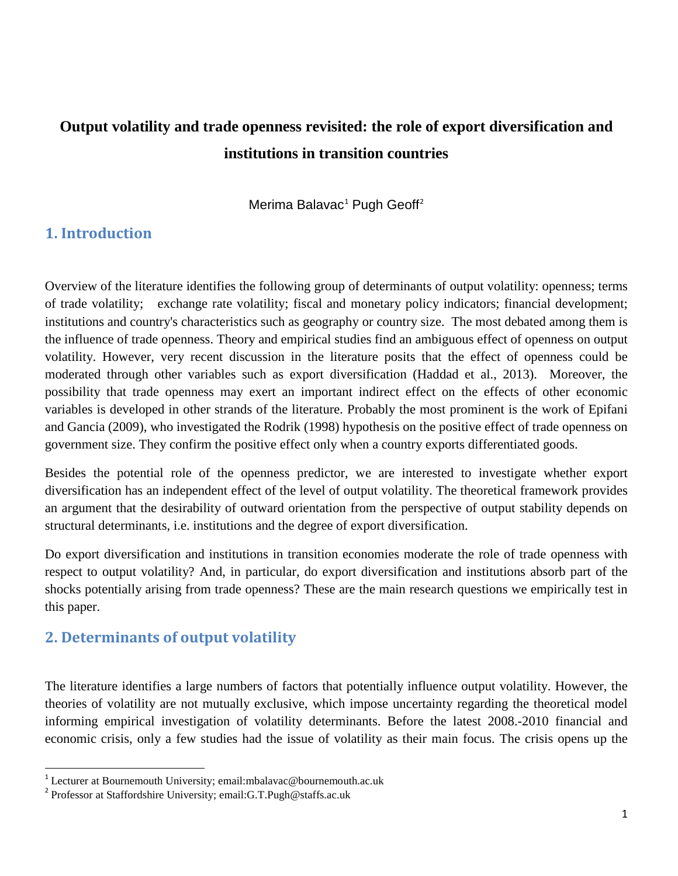# **Output volatility and trade openness revisited: the role of export diversification and institutions in transition countries**

Merima Balavac<sup>[1](#page-0-0)</sup> Pugh Geoff<sup>[2](#page-0-1)</sup>

# **1. Introduction**

Overview of the literature identifies the following group of determinants of output volatility: openness; terms of trade volatility; exchange rate volatility; fiscal and monetary policy indicators; financial development; institutions and country's characteristics such as geography or country size. The most debated among them is the influence of trade openness. Theory and empirical studies find an ambiguous effect of openness on output volatility. However, very recent discussion in the literature posits that the effect of openness could be moderated through other variables such as export diversification (Haddad et al., 2013). Moreover, the possibility that trade openness may exert an important indirect effect on the effects of other economic variables is developed in other strands of the literature. Probably the most prominent is the work of Epifani and Gancia (2009), who investigated the Rodrik (1998) hypothesis on the positive effect of trade openness on government size. They confirm the positive effect only when a country exports differentiated goods.

Besides the potential role of the openness predictor, we are interested to investigate whether export diversification has an independent effect of the level of output volatility. The theoretical framework provides an argument that the desirability of outward orientation from the perspective of output stability depends on structural determinants, i.e. institutions and the degree of export diversification.

Do export diversification and institutions in transition economies moderate the role of trade openness with respect to output volatility? And, in particular, do export diversification and institutions absorb part of the shocks potentially arising from trade openness? These are the main research questions we empirically test in this paper.

# **2. Determinants of output volatility**

The literature identifies a large numbers of factors that potentially influence output volatility. However, the theories of volatility are not mutually exclusive, which impose uncertainty regarding the theoretical model informing empirical investigation of volatility determinants. Before the latest 2008.-2010 financial and economic crisis, only a few studies had the issue of volatility as their main focus. The crisis opens up the

<span id="page-0-0"></span><sup>&</sup>lt;sup>1</sup> Lecturer at Bournemouth University; email:mbalavac@bournemouth.ac.uk  $2$  Professor at Staffordshire University; email:G.T.Pugh@staffs.ac.uk

<span id="page-0-1"></span>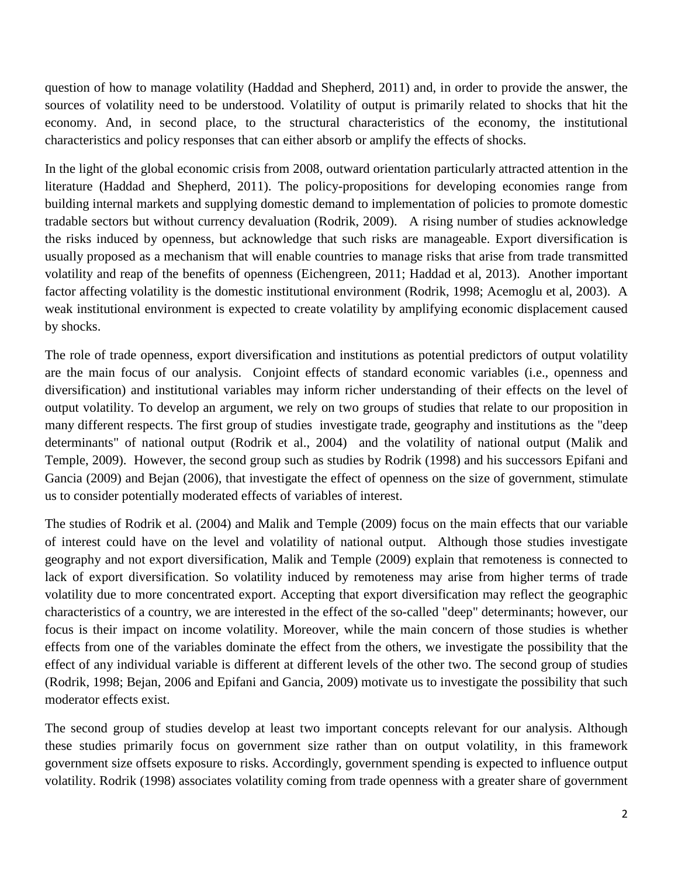question of how to manage volatility (Haddad and Shepherd, 2011) and, in order to provide the answer, the sources of volatility need to be understood. Volatility of output is primarily related to shocks that hit the economy. And, in second place, to the structural characteristics of the economy, the institutional characteristics and policy responses that can either absorb or amplify the effects of shocks.

In the light of the global economic crisis from 2008, outward orientation particularly attracted attention in the literature (Haddad and Shepherd, 2011). The policy-propositions for developing economies range from building internal markets and supplying domestic demand to implementation of policies to promote domestic tradable sectors but without currency devaluation (Rodrik, 2009). A rising number of studies acknowledge the risks induced by openness, but acknowledge that such risks are manageable. Export diversification is usually proposed as a mechanism that will enable countries to manage risks that arise from trade transmitted volatility and reap of the benefits of openness (Eichengreen, 2011; Haddad et al, 2013). Another important factor affecting volatility is the domestic institutional environment (Rodrik, 1998; Acemoglu et al, 2003). A weak institutional environment is expected to create volatility by amplifying economic displacement caused by shocks.

The role of trade openness, export diversification and institutions as potential predictors of output volatility are the main focus of our analysis. Conjoint effects of standard economic variables (i.e., openness and diversification) and institutional variables may inform richer understanding of their effects on the level of output volatility. To develop an argument, we rely on two groups of studies that relate to our proposition in many different respects. The first group of studies investigate trade, geography and institutions as the "deep determinants" of national output (Rodrik et al., 2004) and the volatility of national output (Malik and Temple, 2009). However, the second group such as studies by Rodrik (1998) and his successors Epifani and Gancia (2009) and Bejan (2006), that investigate the effect of openness on the size of government, stimulate us to consider potentially moderated effects of variables of interest.

The studies of Rodrik et al. (2004) and Malik and Temple (2009) focus on the main effects that our variable of interest could have on the level and volatility of national output. Although those studies investigate geography and not export diversification, Malik and Temple (2009) explain that remoteness is connected to lack of export diversification. So volatility induced by remoteness may arise from higher terms of trade volatility due to more concentrated export. Accepting that export diversification may reflect the geographic characteristics of a country, we are interested in the effect of the so-called "deep" determinants; however, our focus is their impact on income volatility. Moreover, while the main concern of those studies is whether effects from one of the variables dominate the effect from the others, we investigate the possibility that the effect of any individual variable is different at different levels of the other two. The second group of studies (Rodrik, 1998; Bejan, 2006 and Epifani and Gancia, 2009) motivate us to investigate the possibility that such moderator effects exist.

The second group of studies develop at least two important concepts relevant for our analysis. Although these studies primarily focus on government size rather than on output volatility, in this framework government size offsets exposure to risks. Accordingly, government spending is expected to influence output volatility. Rodrik (1998) associates volatility coming from trade openness with a greater share of government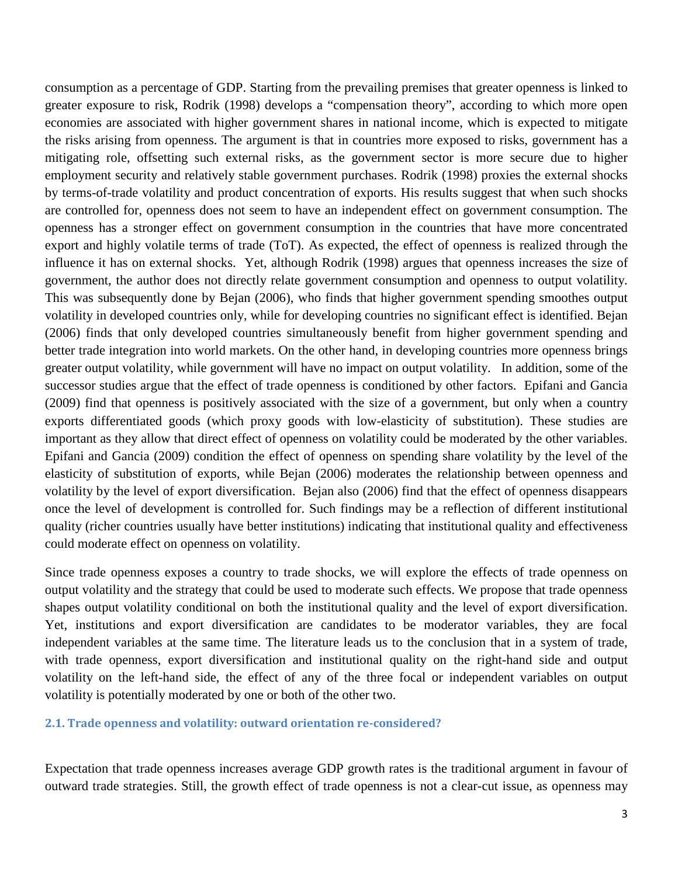consumption as a percentage of GDP. Starting from the prevailing premises that greater openness is linked to greater exposure to risk, Rodrik (1998) develops a "compensation theory", according to which more open economies are associated with higher government shares in national income, which is expected to mitigate the risks arising from openness. The argument is that in countries more exposed to risks, government has a mitigating role, offsetting such external risks, as the government sector is more secure due to higher employment security and relatively stable government purchases. Rodrik (1998) proxies the external shocks by terms-of-trade volatility and product concentration of exports. His results suggest that when such shocks are controlled for, openness does not seem to have an independent effect on government consumption. The openness has a stronger effect on government consumption in the countries that have more concentrated export and highly volatile terms of trade (ToT). As expected, the effect of openness is realized through the influence it has on external shocks. Yet, although Rodrik (1998) argues that openness increases the size of government, the author does not directly relate government consumption and openness to output volatility. This was subsequently done by Bejan (2006), who finds that higher government spending smoothes output volatility in developed countries only, while for developing countries no significant effect is identified. Bejan (2006) finds that only developed countries simultaneously benefit from higher government spending and better trade integration into world markets. On the other hand, in developing countries more openness brings greater output volatility, while government will have no impact on output volatility. In addition, some of the successor studies argue that the effect of trade openness is conditioned by other factors. Epifani and Gancia (2009) find that openness is positively associated with the size of a government, but only when a country exports differentiated goods (which proxy goods with low-elasticity of substitution). These studies are important as they allow that direct effect of openness on volatility could be moderated by the other variables. Epifani and Gancia (2009) condition the effect of openness on spending share volatility by the level of the elasticity of substitution of exports, while Bejan (2006) moderates the relationship between openness and volatility by the level of export diversification. Bejan also (2006) find that the effect of openness disappears once the level of development is controlled for. Such findings may be a reflection of different institutional quality (richer countries usually have better institutions) indicating that institutional quality and effectiveness could moderate effect on openness on volatility.

Since trade openness exposes a country to trade shocks, we will explore the effects of trade openness on output volatility and the strategy that could be used to moderate such effects. We propose that trade openness shapes output volatility conditional on both the institutional quality and the level of export diversification. Yet, institutions and export diversification are candidates to be moderator variables, they are focal independent variables at the same time. The literature leads us to the conclusion that in a system of trade, with trade openness, export diversification and institutional quality on the right-hand side and output volatility on the left-hand side, the effect of any of the three focal or independent variables on output volatility is potentially moderated by one or both of the other two.

#### **2.1. Trade openness and volatility: outward orientation re-considered?**

Expectation that trade openness increases average GDP growth rates is the traditional argument in favour of outward trade strategies. Still, the growth effect of trade openness is not a clear-cut issue, as openness may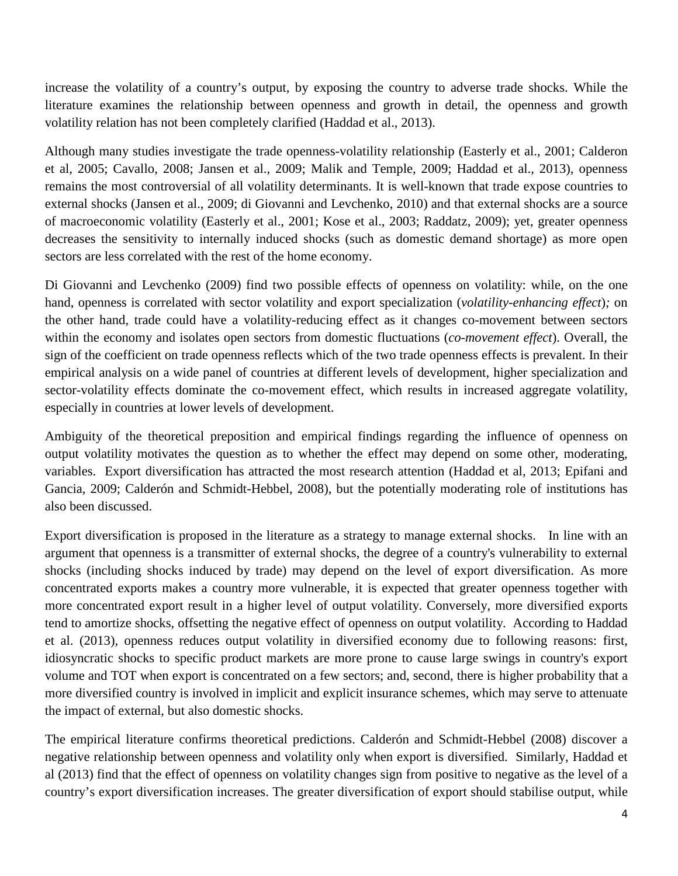increase the volatility of a country's output, by exposing the country to adverse trade shocks. While the literature examines the relationship between openness and growth in detail, the openness and growth volatility relation has not been completely clarified (Haddad et al., 2013).

Although many studies investigate the trade openness-volatility relationship (Easterly et al., 2001; Calderon et al, 2005; Cavallo, 2008; Jansen et al., 2009; Malik and Temple, 2009; Haddad et al., 2013), openness remains the most controversial of all volatility determinants. It is well-known that trade expose countries to external shocks (Jansen et al., 2009; di Giovanni and Levchenko, 2010) and that external shocks are a source of macroeconomic volatility (Easterly et al., 2001; Kose et al., 2003; Raddatz, 2009); yet, greater openness decreases the sensitivity to internally induced shocks (such as domestic demand shortage) as more open sectors are less correlated with the rest of the home economy.

Di Giovanni and Levchenko (2009) find two possible effects of openness on volatility: while, on the one hand, openness is correlated with sector volatility and export specialization (*volatility-enhancing effect*)*;* on the other hand, trade could have a volatility-reducing effect as it changes co-movement between sectors within the economy and isolates open sectors from domestic fluctuations (*co-movement effect*). Overall, the sign of the coefficient on trade openness reflects which of the two trade openness effects is prevalent. In their empirical analysis on a wide panel of countries at different levels of development, higher specialization and sector-volatility effects dominate the co-movement effect, which results in increased aggregate volatility, especially in countries at lower levels of development.

Ambiguity of the theoretical preposition and empirical findings regarding the influence of openness on output volatility motivates the question as to whether the effect may depend on some other, moderating, variables. Export diversification has attracted the most research attention (Haddad et al, 2013; Epifani and Gancia, 2009; Calderón and Schmidt-Hebbel, 2008), but the potentially moderating role of institutions has also been discussed.

Export diversification is proposed in the literature as a strategy to manage external shocks. In line with an argument that openness is a transmitter of external shocks, the degree of a country's vulnerability to external shocks (including shocks induced by trade) may depend on the level of export diversification. As more concentrated exports makes a country more vulnerable, it is expected that greater openness together with more concentrated export result in a higher level of output volatility. Conversely, more diversified exports tend to amortize shocks, offsetting the negative effect of openness on output volatility. According to Haddad et al. (2013), openness reduces output volatility in diversified economy due to following reasons: first, idiosyncratic shocks to specific product markets are more prone to cause large swings in country's export volume and TOT when export is concentrated on a few sectors; and, second, there is higher probability that a more diversified country is involved in implicit and explicit insurance schemes, which may serve to attenuate the impact of external, but also domestic shocks.

The empirical literature confirms theoretical predictions. Calderón and Schmidt-Hebbel (2008) discover a negative relationship between openness and volatility only when export is diversified. Similarly, Haddad et al (2013) find that the effect of openness on volatility changes sign from positive to negative as the level of a country's export diversification increases. The greater diversification of export should stabilise output, while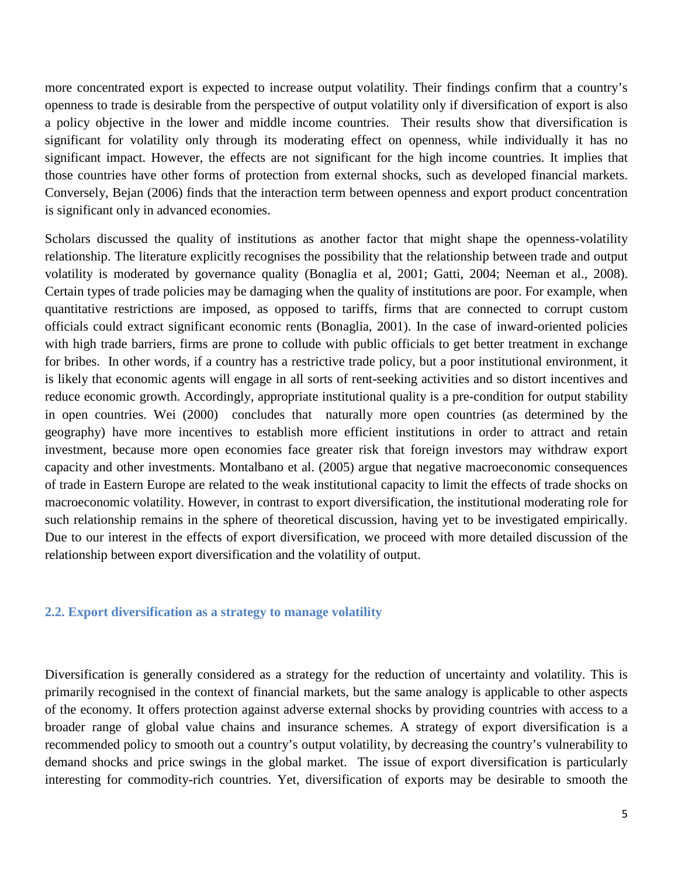more concentrated export is expected to increase output volatility. Their findings confirm that a country's openness to trade is desirable from the perspective of output volatility only if diversification of export is also a policy objective in the lower and middle income countries. Their results show that diversification is significant for volatility only through its moderating effect on openness, while individually it has no significant impact. However, the effects are not significant for the high income countries. It implies that those countries have other forms of protection from external shocks, such as developed financial markets. Conversely, Bejan (2006) finds that the interaction term between openness and export product concentration is significant only in advanced economies.

Scholars discussed the quality of institutions as another factor that might shape the openness-volatility relationship. The literature explicitly recognises the possibility that the relationship between trade and output volatility is moderated by governance quality (Bonaglia et al, 2001; Gatti, 2004; Neeman et al., 2008). Certain types of trade policies may be damaging when the quality of institutions are poor. For example, when quantitative restrictions are imposed, as opposed to tariffs, firms that are connected to corrupt custom officials could extract significant economic rents (Bonaglia, 2001). In the case of inward-oriented policies with high trade barriers, firms are prone to collude with public officials to get better treatment in exchange for bribes. In other words, if a country has a restrictive trade policy, but a poor institutional environment, it is likely that economic agents will engage in all sorts of rent-seeking activities and so distort incentives and reduce economic growth. Accordingly, appropriate institutional quality is a pre-condition for output stability in open countries. Wei (2000) concludes that naturally more open countries (as determined by the geography) have more incentives to establish more efficient institutions in order to attract and retain investment, because more open economies face greater risk that foreign investors may withdraw export capacity and other investments. Montalbano et al. (2005) argue that negative macroeconomic consequences of trade in Eastern Europe are related to the weak institutional capacity to limit the effects of trade shocks on macroeconomic volatility. However, in contrast to export diversification, the institutional moderating role for such relationship remains in the sphere of theoretical discussion, having yet to be investigated empirically. Due to our interest in the effects of export diversification, we proceed with more detailed discussion of the relationship between export diversification and the volatility of output.

### **2.2. Export diversification as a strategy to manage volatility**

Diversification is generally considered as a strategy for the reduction of uncertainty and volatility. This is primarily recognised in the context of financial markets, but the same analogy is applicable to other aspects of the economy. It offers protection against adverse external shocks by providing countries with access to a broader range of global value chains and insurance schemes. A strategy of export diversification is a recommended policy to smooth out a country's output volatility, by decreasing the country's vulnerability to demand shocks and price swings in the global market. The issue of export diversification is particularly interesting for commodity-rich countries. Yet, diversification of exports may be desirable to smooth the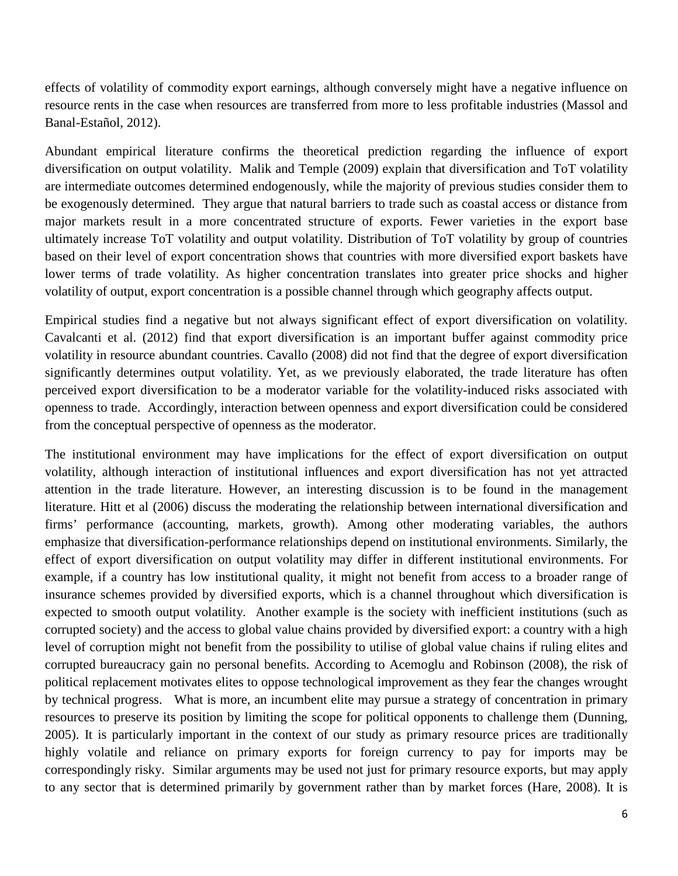effects of volatility of commodity export earnings, although conversely might have a negative influence on resource rents in the case when resources are transferred from more to less profitable industries (Massol and Banal-Estañol, 2012).

Abundant empirical literature confirms the theoretical prediction regarding the influence of export diversification on output volatility. Malik and Temple (2009) explain that diversification and ToT volatility are intermediate outcomes determined endogenously, while the majority of previous studies consider them to be exogenously determined. They argue that natural barriers to trade such as coastal access or distance from major markets result in a more concentrated structure of exports. Fewer varieties in the export base ultimately increase ToT volatility and output volatility. Distribution of ToT volatility by group of countries based on their level of export concentration shows that countries with more diversified export baskets have lower terms of trade volatility. As higher concentration translates into greater price shocks and higher volatility of output, export concentration is a possible channel through which geography affects output.

Empirical studies find a negative but not always significant effect of export diversification on volatility. Cavalcanti et al. (2012) find that export diversification is an important buffer against commodity price volatility in resource abundant countries. Cavallo (2008) did not find that the degree of export diversification significantly determines output volatility. Yet, as we previously elaborated, the trade literature has often perceived export diversification to be a moderator variable for the volatility-induced risks associated with openness to trade. Accordingly, interaction between openness and export diversification could be considered from the conceptual perspective of openness as the moderator.

The institutional environment may have implications for the effect of export diversification on output volatility, although interaction of institutional influences and export diversification has not yet attracted attention in the trade literature. However, an interesting discussion is to be found in the management literature. Hitt et al (2006) discuss the moderating the relationship between international diversification and firms' performance (accounting, markets, growth). Among other moderating variables, the authors emphasize that diversification-performance relationships depend on institutional environments. Similarly, the effect of export diversification on output volatility may differ in different institutional environments. For example, if a country has low institutional quality, it might not benefit from access to a broader range of insurance schemes provided by diversified exports, which is a channel throughout which diversification is expected to smooth output volatility. Another example is the society with inefficient institutions (such as corrupted society) and the access to global value chains provided by diversified export: a country with a high level of corruption might not benefit from the possibility to utilise of global value chains if ruling elites and corrupted [bureaucracy](http://www.eudict.com/?lang=engcro&word=bureaucracy) gain no personal benefits. According to Acemoglu and Robinson (2008), the risk of political replacement motivates elites to oppose technological improvement as they fear the changes wrought by technical progress. What is more, an incumbent elite may pursue a strategy of concentration in primary resources to preserve its position by limiting the scope for political opponents to challenge them (Dunning, 2005). It is particularly important in the context of our study as primary resource prices are traditionally highly volatile and reliance on primary exports for foreign currency to pay for imports may be correspondingly risky. Similar arguments may be used not just for primary resource exports, but may apply to any sector that is determined primarily by government rather than by market forces (Hare, 2008). It is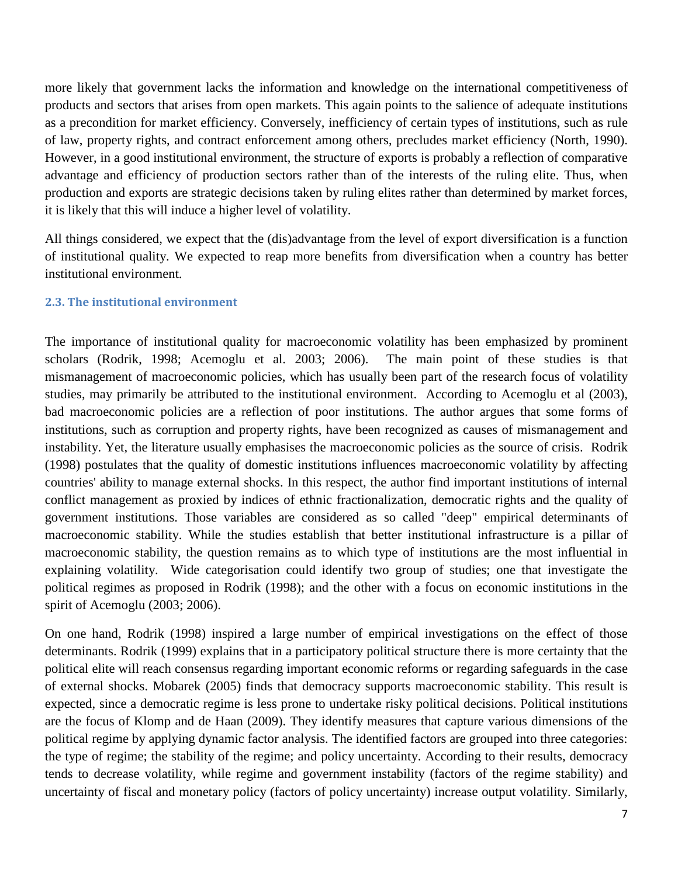more likely that government lacks the information and knowledge on the international competitiveness of products and sectors that arises from open markets. This again points to the salience of adequate institutions as a precondition for market efficiency. Conversely, inefficiency of certain types of institutions, such as rule of law, property rights, and contract enforcement among others, precludes market efficiency (North, 1990). However, in a good institutional environment, the structure of exports is probably a reflection of comparative advantage and efficiency of production sectors rather than of the interests of the ruling elite. Thus, when production and exports are strategic decisions taken by ruling elites rather than determined by market forces, it is likely that this will induce a higher level of volatility.

All things considered, we expect that the (dis)advantage from the level of export diversification is a function of institutional quality. We expected to reap more benefits from diversification when a country has better institutional environment.

### **2.3. The institutional environment**

The importance of institutional quality for macroeconomic volatility has been emphasized by prominent scholars (Rodrik, 1998; Acemoglu et al. 2003; 2006). The main point of these studies is that mismanagement of macroeconomic policies, which has usually been part of the research focus of volatility studies, may primarily be attributed to the institutional environment. According to Acemoglu et al (2003), bad macroeconomic policies are a reflection of poor institutions. The author argues that some forms of institutions, such as corruption and property rights, have been recognized as causes of mismanagement and instability. Yet, the literature usually emphasises the macroeconomic policies as the source of crisis. Rodrik (1998) postulates that the quality of domestic institutions influences macroeconomic volatility by affecting countries' ability to manage external shocks. In this respect, the author find important institutions of internal conflict management as proxied by indices of ethnic fractionalization, democratic rights and the quality of government institutions. Those variables are considered as so called "deep" empirical determinants of macroeconomic stability. While the studies establish that better institutional infrastructure is a pillar of macroeconomic stability, the question remains as to which type of institutions are the most influential in explaining volatility. Wide categorisation could identify two group of studies; one that investigate the political regimes as proposed in Rodrik (1998); and the other with a focus on economic institutions in the spirit of Acemoglu (2003; 2006).

On one hand, Rodrik (1998) inspired a large number of empirical investigations on the effect of those determinants. Rodrik (1999) explains that in a participatory political structure there is more certainty that the political elite will reach consensus regarding important economic reforms or regarding safeguards in the case of external shocks. Mobarek (2005) finds that democracy supports macroeconomic stability. This result is expected, since a democratic regime is less prone to undertake risky political decisions. Political institutions are the focus of Klomp and de Haan (2009). They identify measures that capture various dimensions of the political regime by applying dynamic factor analysis. The identified factors are grouped into three categories: the type of regime; the stability of the regime; and policy uncertainty. According to their results, democracy tends to decrease volatility, while regime and government instability (factors of the regime stability) and uncertainty of fiscal and monetary policy (factors of policy uncertainty) increase output volatility. Similarly,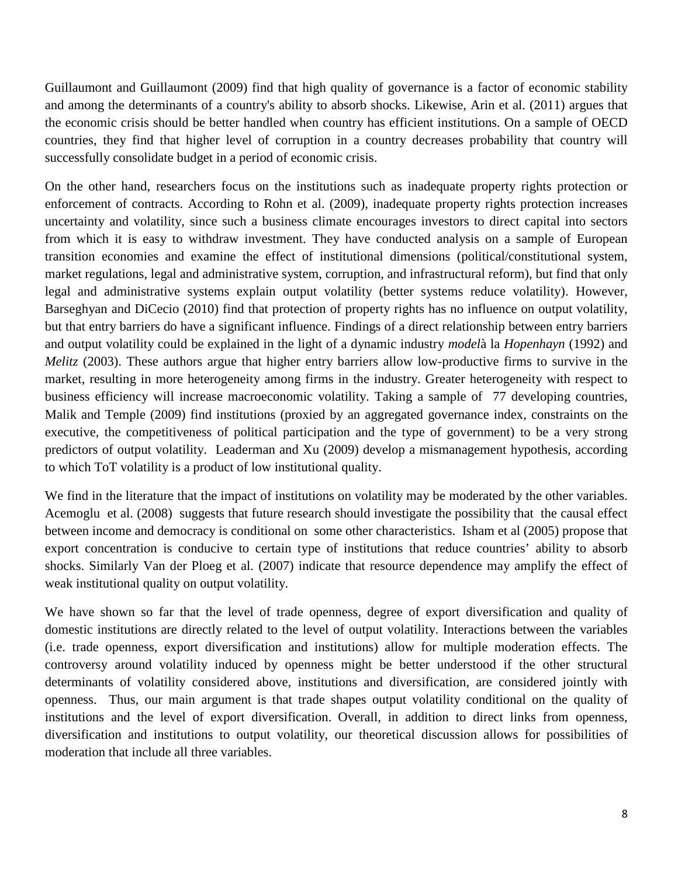Guillaumont and Guillaumont (2009) find that high quality of governance is a factor of economic stability and among the determinants of a country's ability to absorb shocks. Likewise, Arin et al. (2011) argues that the economic crisis should be better handled when country has efficient institutions. On a sample of OECD countries, they find that higher level of corruption in a country decreases probability that country will successfully consolidate budget in a period of economic crisis.

On the other hand, researchers focus on the institutions such as inadequate property rights protection or enforcement of contracts. According to Rohn et al. (2009), inadequate property rights protection increases uncertainty and volatility, since such a business climate encourages investors to direct capital into sectors from which it is easy to withdraw investment. They have conducted analysis on a sample of European transition economies and examine the effect of institutional dimensions (political/constitutional system, market regulations, legal and administrative system, corruption, and infrastructural reform), but find that only legal and administrative systems explain output volatility (better systems reduce volatility). However, Barseghyan and DiCecio (2010) find that protection of property rights has no influence on output volatility, but that entry barriers do have a significant influence. Findings of a direct relationship between entry barriers and output volatility could be explained in the light of a dynamic industry *model*à la *Hopenhayn* (1992) and *Melitz* (2003). These authors argue that higher entry barriers allow low-productive firms to survive in the market, resulting in more heterogeneity among firms in the industry. Greater heterogeneity with respect to business efficiency will increase macroeconomic volatility. Taking a sample of 77 developing countries, Malik and Temple (2009) find institutions (proxied by an aggregated governance index, constraints on the executive, the competitiveness of political participation and the type of government) to be a very strong predictors of output volatility. Leaderman and Xu (2009) develop a mismanagement hypothesis, according to which ToT volatility is a product of low institutional quality.

We find in the literature that the impact of institutions on volatility may be moderated by the other variables. Acemoglu et al. (2008) suggests that future research should investigate the possibility that the causal effect between income and democracy is conditional on some other characteristics. Isham et al (2005) propose that export concentration is conducive to certain type of institutions that reduce countries' ability to absorb shocks. Similarly Van der Ploeg et al. (2007) indicate that resource dependence may amplify the effect of weak institutional quality on output volatility.

We have shown so far that the level of trade openness, degree of export diversification and quality of domestic institutions are directly related to the level of output volatility. Interactions between the variables (i.e. trade openness, export diversification and institutions) allow for multiple moderation effects. The controversy around volatility induced by openness might be better understood if the other structural determinants of volatility considered above, institutions and diversification, are considered jointly with openness. Thus, our main argument is that trade shapes output volatility conditional on the quality of institutions and the level of export diversification. Overall, in addition to direct links from openness, diversification and institutions to output volatility, our theoretical discussion allows for possibilities of moderation that include all three variables.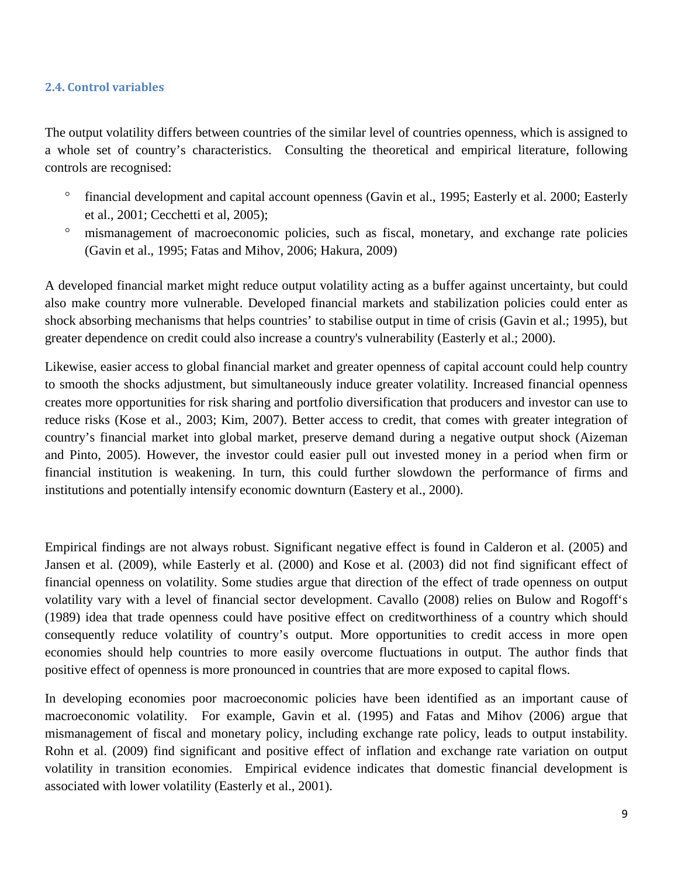### **2.4. Control variables**

The output volatility differs between countries of the similar level of countries openness, which is assigned to a whole set of country's characteristics. Consulting the theoretical and empirical literature, following controls are recognised:

- financial development and capital account openness (Gavin et al., 1995; Easterly et al. 2000; Easterly et al., 2001; Cecchetti et al, 2005);
- ° mismanagement of macroeconomic policies, such as fiscal, monetary, and exchange rate policies (Gavin et al., 1995; Fatas and Mihov, 2006; Hakura, 2009)

A developed financial market might reduce output volatility acting as a buffer against uncertainty, but could also make country more vulnerable. Developed financial markets and stabilization policies could enter as shock absorbing mechanisms that helps countries' to stabilise output in time of crisis (Gavin et al.; 1995), but greater dependence on credit could also increase a country's vulnerability (Easterly et al.; 2000).

Likewise, easier access to global financial market and greater openness of capital account could help country to smooth the shocks adjustment, but simultaneously induce greater volatility. Increased financial openness creates more opportunities for risk sharing and portfolio diversification that producers and investor can use to reduce risks (Kose et al., 2003; Kim, 2007). Better access to credit, that comes with greater integration of country's financial market into global market, preserve demand during a negative output shock (Aizeman and Pinto, 2005). However, the investor could easier pull out invested money in a period when firm or financial institution is weakening. In turn, this could further slowdown the performance of firms and institutions and potentially intensify economic downturn (Eastery et al., 2000).

Empirical findings are not always robust. Significant negative effect is found in Calderon et al. (2005) and Jansen et al. (2009), while Easterly et al. (2000) and Kose et al. (2003) did not find significant effect of financial openness on volatility. Some studies argue that direction of the effect of trade openness on output volatility vary with a level of financial sector development. Cavallo (2008) relies on Bulow and Rogoff's (1989) idea that trade openness could have positive effect on creditworthiness of a country which should consequently reduce volatility of country's output. More opportunities to credit access in more open economies should help countries to more easily overcome fluctuations in output. The author finds that positive effect of openness is more pronounced in countries that are more exposed to capital flows.

In developing economies poor macroeconomic policies have been identified as an important cause of macroeconomic volatility. For example, Gavin et al. (1995) and Fatas and Mihov (2006) argue that mismanagement of fiscal and monetary policy, including exchange rate policy, leads to output instability. Rohn et al. (2009) find significant and positive effect of inflation and exchange rate variation on output volatility in transition economies. Empirical evidence indicates that domestic financial development is associated with lower volatility (Easterly et al., 2001).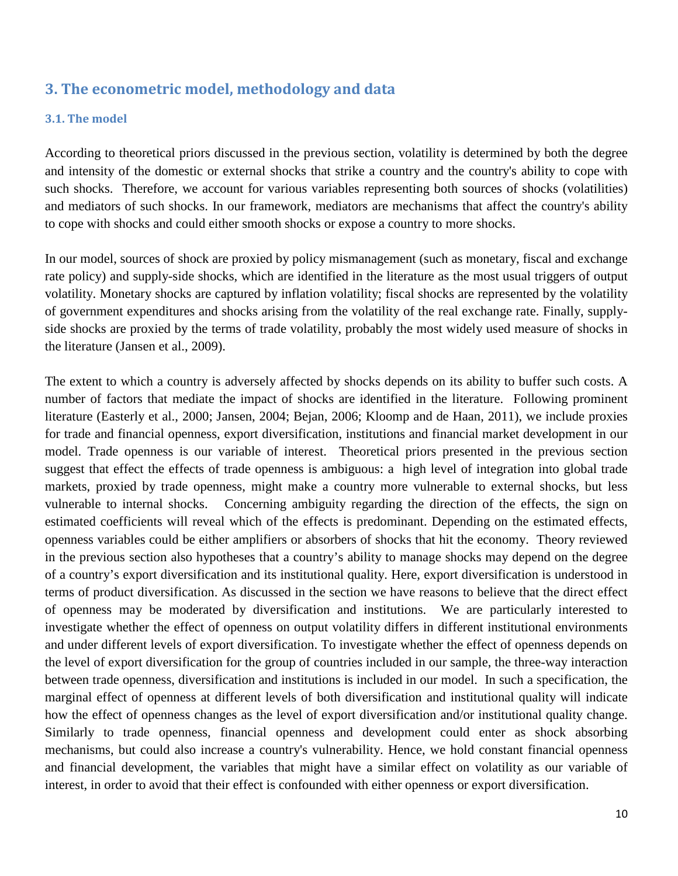## **3. The econometric model, methodology and data**

## **3.1. The model**

According to theoretical priors discussed in the previous section, volatility is determined by both the degree and intensity of the domestic or external shocks that strike a country and the country's ability to cope with such shocks. Therefore, we account for various variables representing both sources of shocks (volatilities) and mediators of such shocks. In our framework, mediators are mechanisms that affect the country's ability to cope with shocks and could either smooth shocks or expose a country to more shocks.

In our model, sources of shock are proxied by policy mismanagement (such as monetary, fiscal and exchange rate policy) and supply-side shocks, which are identified in the literature as the most usual triggers of output volatility. Monetary shocks are captured by inflation volatility; fiscal shocks are represented by the volatility of government expenditures and shocks arising from the volatility of the real exchange rate. Finally, supplyside shocks are proxied by the terms of trade volatility, probably the most widely used measure of shocks in the literature (Jansen et al., 2009).

The extent to which a country is adversely affected by shocks depends on its ability to buffer such costs. A number of factors that mediate the impact of shocks are identified in the literature. Following prominent literature (Easterly et al., 2000; Jansen, 2004; Bejan, 2006; Kloomp and de Haan, 2011), we include proxies for trade and financial openness, export diversification, institutions and financial market development in our model. Trade openness is our variable of interest. Theoretical priors presented in the previous section suggest that effect the effects of trade openness is ambiguous: a high level of integration into global trade markets, proxied by trade openness, might make a country more vulnerable to external shocks, but less vulnerable to internal shocks. Concerning ambiguity regarding the direction of the effects, the sign on estimated coefficients will reveal which of the effects is predominant. Depending on the estimated effects, openness variables could be either amplifiers or absorbers of shocks that hit the economy. Theory reviewed in the previous section also hypotheses that a country's ability to manage shocks may depend on the degree of a country's export diversification and its institutional quality. Here, export diversification is understood in terms of product diversification. As discussed in the section we have reasons to believe that the direct effect of openness may be moderated by diversification and institutions. We are particularly interested to investigate whether the effect of openness on output volatility differs in different institutional environments and under different levels of export diversification. To investigate whether the effect of openness depends on the level of export diversification for the group of countries included in our sample, the three-way interaction between trade openness, diversification and institutions is included in our model. In such a specification, the marginal effect of openness at different levels of both diversification and institutional quality will indicate how the effect of openness changes as the level of export diversification and/or institutional quality change. Similarly to trade openness, financial openness and development could enter as shock absorbing mechanisms, but could also increase a country's vulnerability. Hence, we hold constant financial openness and financial development, the variables that might have a similar effect on volatility as our variable of interest, in order to avoid that their effect is confounded with either openness or export diversification.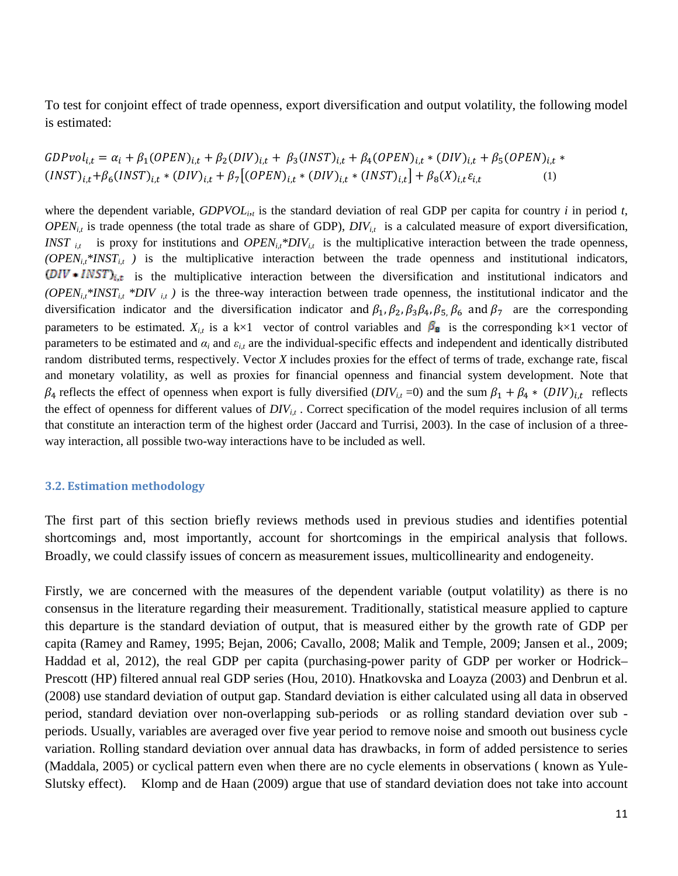To test for conjoint effect of trade openness, export diversification and output volatility, the following model is estimated:

$$
GDPvol_{i,t} = \alpha_i + \beta_1 (OPEN)_{i,t} + \beta_2 (DIV)_{i,t} + \beta_3 (INST)_{i,t} + \beta_4 (OPEN)_{i,t} * (DIV)_{i,t} + \beta_5 (OPEN)_{i,t} * (NST)_{i,t} + \beta_6 (INST)_{i,t} * (DIV)_{i,t} + \beta_7 [(OPEN)_{i,t} * (DIV)_{i,t} * (INST)_{i,t}] + \beta_8 (X)_{i,t} \varepsilon_{i,t}
$$
\n(1)

where the dependent variable,  $GDPVOL_{i,t}$  is the standard deviation of real GDP per capita for country *i* in period *t*,  $OPEN_{i,t}$  is trade openness (the total trade as share of GDP),  $DIV_{i,t}$  is a calculated measure of export diversification, *INST*  $_{it}$  is proxy for institutions and *OPEN<sub>i,t</sub>\*DIV*<sub> $_{it}$ </sub> is the multiplicative interaction between the trade openness,  $(OPEN<sub>i,t</sub>*INST<sub>i,t</sub>)$  is the multiplicative interaction between the trade openness and institutional indicators,  $(DIV * INST)_{i,t}$  is the multiplicative interaction between the diversification and institutional indicators and  $(OPEN_{it} * INST_{it} * DIV_{it})$  is the three-way interaction between trade openness, the institutional indicator and the diversification indicator and the diversification indicator and  $\beta_1$ ,  $\beta_2$ ,  $\beta_3$ ,  $\beta_4$ ,  $\beta_5$ ,  $\beta_6$  and  $\beta_7$  are the corresponding parameters to be estimated.  $X_{i,t}$  is a k×1 vector of control variables and  $\beta_{\mathbf{g}}$  is the corresponding k×1 vector of parameters to be estimated and  $\alpha_i$  and  $\varepsilon_{i,t}$  are the individual-specific effects and independent and identically distributed random distributed terms, respectively. Vector *X* includes proxies for the effect of terms of trade, exchange rate, fiscal and monetary volatility, as well as proxies for financial openness and financial system development. Note that  $\beta_4$  reflects the effect of openness when export is fully diversified (*DIV*<sub>i,t</sub> =0) and the sum  $\beta_1 + \beta_4 * (DIV)_{i,t}$  reflects the effect of openness for different values of  $DIV_{i,t}$ . Correct specification of the model requires inclusion of all terms that constitute an interaction term of the highest order (Jaccard and Turrisi, 2003). In the case of inclusion of a threeway interaction, all possible two-way interactions have to be included as well.

#### **3.2. Estimation methodology**

The first part of this section briefly reviews methods used in previous studies and identifies potential shortcomings and, most importantly, account for shortcomings in the empirical analysis that follows. Broadly, we could classify issues of concern as measurement issues, multicollinearity and endogeneity.

Firstly, we are concerned with the measures of the dependent variable (output volatility) as there is no consensus in the literature regarding their measurement. Traditionally, statistical measure applied to capture this departure is the standard deviation of output, that is measured either by the growth rate of GDP per capita (Ramey and Ramey, 1995; Bejan, 2006; Cavallo, 2008; Malik and Temple, 2009; Jansen et al., 2009; Haddad et al, 2012), the real GDP per capita (purchasing-power parity of GDP per worker or Hodrick– Prescott (HP) filtered annual real GDP series (Hou, 2010). Hnatkovska and Loayza (2003) and Denbrun et al. (2008) use standard deviation of output gap. Standard deviation is either calculated using all data in observed period, standard deviation over non-overlapping sub-periods or as rolling standard deviation over sub periods. Usually, variables are averaged over five year period to remove noise and smooth out business cycle variation. Rolling standard deviation over annual data has drawbacks, in form of added persistence to series (Maddala, 2005) or cyclical pattern even when there are no cycle elements in observations ( known as Yule-Slutsky effect). Klomp and de Haan (2009) argue that use of standard deviation does not take into account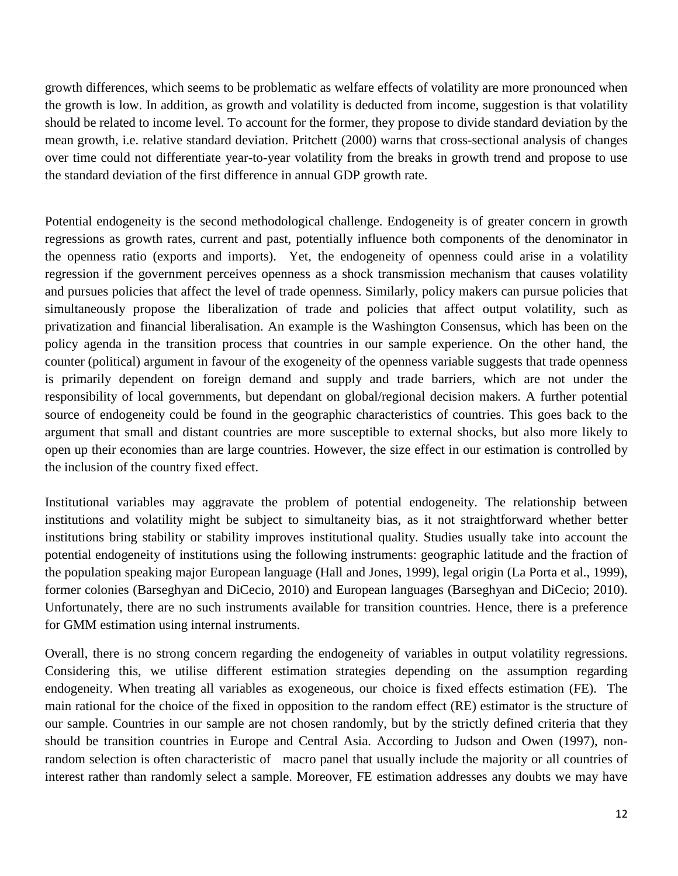growth differences, which seems to be problematic as welfare effects of volatility are more pronounced when the growth is low. In addition, as growth and volatility is deducted from income, suggestion is that volatility should be related to income level. To account for the former, they propose to divide standard deviation by the mean growth, i.e. relative standard deviation. Pritchett (2000) warns that cross-sectional analysis of changes over time could not differentiate year-to-year volatility from the breaks in growth trend and propose to use the standard deviation of the first difference in annual GDP growth rate.

Potential endogeneity is the second methodological challenge. Endogeneity is of greater concern in growth regressions as growth rates, current and past, potentially influence both components of the denominator in the openness ratio (exports and imports). Yet, the endogeneity of openness could arise in a volatility regression if the government perceives openness as a shock transmission mechanism that causes volatility and pursues policies that affect the level of trade openness. Similarly, policy makers can pursue policies that simultaneously propose the liberalization of trade and policies that affect output volatility, such as privatization and financial liberalisation. An example is the Washington Consensus, which has been on the policy agenda in the transition process that countries in our sample experience. On the other hand, the counter (political) argument in favour of the exogeneity of the openness variable suggests that trade openness is primarily dependent on foreign demand and supply and trade barriers, which are not under the responsibility of local governments, but dependant on global/regional decision makers. A further potential source of endogeneity could be found in the geographic characteristics of countries. This goes back to the argument that small and distant countries are more susceptible to external shocks, but also more likely to open up their economies than are large countries. However, the size effect in our estimation is controlled by the inclusion of the country fixed effect.

Institutional variables may aggravate the problem of potential endogeneity. The relationship between institutions and volatility might be subject to simultaneity bias, as it not straightforward whether better institutions bring stability or stability improves institutional quality. Studies usually take into account the potential endogeneity of institutions using the following instruments: geographic latitude and the fraction of the population speaking major European language (Hall and Jones, 1999), legal origin (La Porta et al., 1999), former colonies (Barseghyan and DiCecio, 2010) and European languages (Barseghyan and DiCecio; 2010). Unfortunately, there are no such instruments available for transition countries. Hence, there is a preference for GMM estimation using internal instruments.

Overall, there is no strong concern regarding the endogeneity of variables in output volatility regressions. Considering this, we utilise different estimation strategies depending on the assumption regarding endogeneity. When treating all variables as exogeneous, our choice is fixed effects estimation (FE). The main rational for the choice of the fixed in opposition to the random effect (RE) estimator is the structure of our sample. Countries in our sample are not chosen randomly, but by the strictly defined criteria that they should be transition countries in Europe and Central Asia. According to Judson and Owen (1997), nonrandom selection is often characteristic of macro panel that usually include the majority or all countries of interest rather than randomly select a sample. Moreover, FE estimation addresses any doubts we may have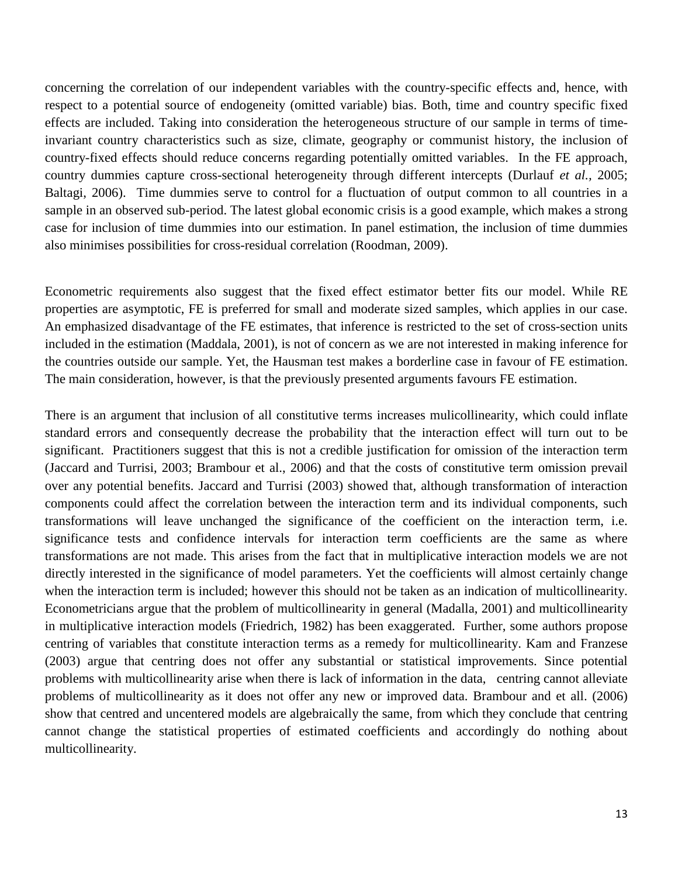concerning the correlation of our independent variables with the country-specific effects and, hence, with respect to a potential source of endogeneity (omitted variable) bias. Both, time and country specific fixed effects are included. Taking into consideration the heterogeneous structure of our sample in terms of timeinvariant country characteristics such as size, climate, geography or communist history, the inclusion of country-fixed effects should reduce concerns regarding potentially omitted variables. In the FE approach, country dummies capture cross-sectional heterogeneity through different intercepts (Durlauf *et al.,* 2005; Baltagi, 2006). Time dummies serve to control for a fluctuation of output common to all countries in a sample in an observed sub-period. The latest global economic crisis is a good example, which makes a strong case for inclusion of time dummies into our estimation. In panel estimation, the inclusion of time dummies also minimises possibilities for cross-residual correlation (Roodman, 2009).

Econometric requirements also suggest that the fixed effect estimator better fits our model. While RE properties are asymptotic, FE is preferred for small and moderate sized samples, which applies in our case. An emphasized disadvantage of the FE estimates, that inference is restricted to the set of cross-section units included in the estimation (Maddala, 2001), is not of concern as we are not interested in making inference for the countries outside our sample. Yet, the Hausman test makes a borderline case in favour of FE estimation. The main consideration, however, is that the previously presented arguments favours FE estimation.

There is an argument that inclusion of all constitutive terms increases mulicollinearity, which could inflate standard errors and consequently decrease the probability that the interaction effect will turn out to be significant. Practitioners suggest that this is not a credible justification for omission of the interaction term (Jaccard and Turrisi, 2003; Brambour et al., 2006) and that the costs of constitutive term omission prevail over any potential benefits. Jaccard and Turrisi (2003) showed that, although transformation of interaction components could affect the correlation between the interaction term and its individual components, such transformations will leave unchanged the significance of the coefficient on the interaction term, i.e. significance tests and confidence intervals for interaction term coefficients are the same as where transformations are not made. This arises from the fact that in multiplicative interaction models we are not directly interested in the significance of model parameters. Yet the coefficients will almost certainly change when the interaction term is included; however this should not be taken as an indication of multicollinearity. Econometricians argue that the problem of multicollinearity in general (Madalla, 2001) and multicollinearity in multiplicative interaction models (Friedrich, 1982) has been exaggerated. Further, some authors propose centring of variables that constitute interaction terms as a remedy for multicollinearity. Kam and Franzese (2003) argue that centring does not offer any substantial or statistical improvements. Since potential problems with multicollinearity arise when there is lack of information in the data, centring cannot alleviate problems of multicollinearity as it does not offer any new or improved data. Brambour and et all. (2006) show that centred and uncentered models are algebraically the same, from which they conclude that centring cannot change the statistical properties of estimated coefficients and accordingly do nothing about multicollinearity.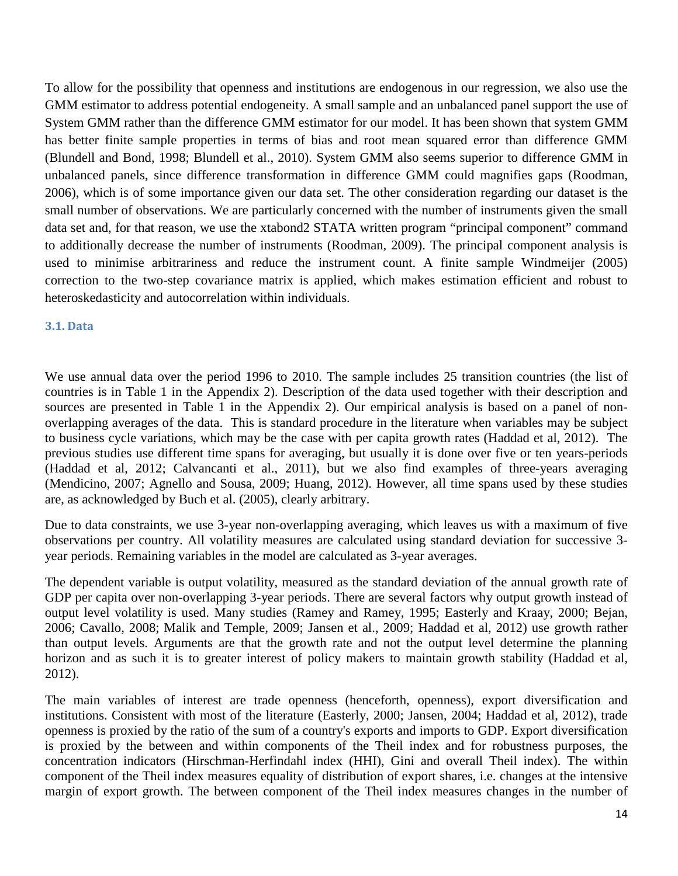To allow for the possibility that openness and institutions are endogenous in our regression, we also use the GMM estimator to address potential endogeneity. A small sample and an unbalanced panel support the use of System GMM rather than the difference GMM estimator for our model. It has been shown that system GMM has better finite sample properties in terms of bias and root mean squared error than difference GMM (Blundell and Bond, 1998; Blundell et al., 2010). System GMM also seems superior to difference GMM in unbalanced panels, since difference transformation in difference GMM could magnifies gaps (Roodman, 2006), which is of some importance given our data set. The other consideration regarding our dataset is the small number of observations. We are particularly concerned with the number of instruments given the small data set and, for that reason, we use the xtabond2 STATA written program "principal component" command to additionally decrease the number of instruments (Roodman, 2009). The principal component analysis is used to minimise arbitrariness and reduce the instrument count. A finite sample Windmeijer (2005) correction to the two-step covariance matrix is applied, which makes estimation efficient and robust to heteroskedasticity and autocorrelation within individuals.

#### **3.1. Data**

We use annual data over the period 1996 to 2010. The sample includes 25 transition countries (the list of countries is in Table 1 in the Appendix 2). Description of the data used together with their description and sources are presented in Table 1 in the Appendix 2). Our empirical analysis is based on a panel of nonoverlapping averages of the data. This is standard procedure in the literature when variables may be subject to business cycle variations, which may be the case with per capita growth rates (Haddad et al, 2012). The previous studies use different time spans for averaging, but usually it is done over five or ten years-periods (Haddad et al, 2012; Calvancanti et al., 2011), but we also find examples of three-years averaging (Mendicino, 2007; Agnello and Sousa, 2009; Huang, 2012). However, all time spans used by these studies are, as acknowledged by Buch et al. (2005), clearly arbitrary.

Due to data constraints, we use 3-year non-overlapping averaging, which leaves us with a maximum of five observations per country. All volatility measures are calculated using standard deviation for successive 3 year periods. Remaining variables in the model are calculated as 3-year averages.

The dependent variable is output volatility, measured as the standard deviation of the annual growth rate of GDP per capita over non-overlapping 3-year periods. There are several factors why output growth instead of output level volatility is used. Many studies (Ramey and Ramey, 1995; Easterly and Kraay, 2000; Bejan, 2006; Cavallo, 2008; Malik and Temple, 2009; Jansen et al., 2009; Haddad et al, 2012) use growth rather than output levels. Arguments are that the growth rate and not the output level determine the planning horizon and as such it is to greater interest of policy makers to maintain growth stability (Haddad et al, 2012).

The main variables of interest are trade openness (henceforth, openness), export diversification and institutions. Consistent with most of the literature (Easterly, 2000; Jansen, 2004; Haddad et al, 2012), trade openness is proxied by the ratio of the sum of a country's exports and imports to GDP. Export diversification is proxied by the between and within components of the Theil index and for robustness purposes, the concentration indicators (Hirschman-Herfindahl index (HHI), Gini and overall Theil index). The within component of the Theil index measures equality of distribution of export shares, i.e. changes at the intensive margin of export growth. The between component of the Theil index measures changes in the number of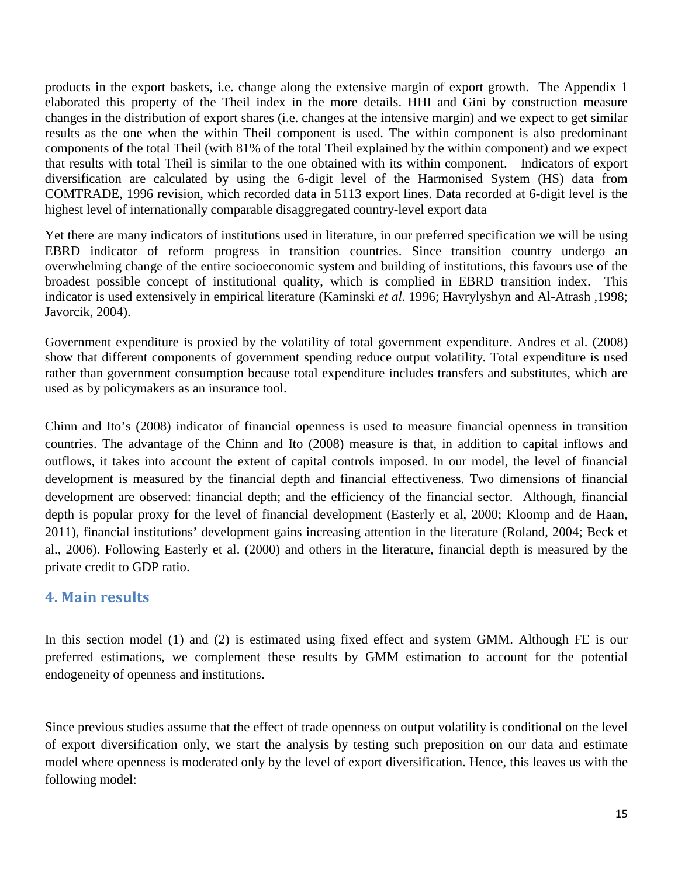products in the export baskets, i.e. change along the extensive margin of export growth. The Appendix 1 elaborated this property of the Theil index in the more details. HHI and Gini by construction measure changes in the distribution of export shares (i.e. changes at the intensive margin) and we expect to get similar results as the one when the within Theil component is used. The within component is also predominant components of the total Theil (with 81% of the total Theil explained by the within component) and we expect that results with total Theil is similar to the one obtained with its within component. Indicators of export diversification are calculated by using the 6-digit level of the Harmonised System (HS) data from COMTRADE, 1996 revision, which recorded data in 5113 export lines. Data recorded at 6-digit level is the highest level of internationally comparable disaggregated country-level export data

Yet there are many indicators of institutions used in literature, in our preferred specification we will be using EBRD indicator of reform progress in transition countries. Since transition country undergo an overwhelming change of the entire socioeconomic system and building of institutions, this favours use of the broadest possible concept of institutional quality, which is complied in EBRD transition index. This indicator is used extensively in empirical literature (Kaminski *et al*. 1996; Havrylyshyn and Al-Atrash ,1998; Javorcik, 2004).

Government expenditure is proxied by the volatility of total government expenditure. Andres et al. (2008) show that different components of government spending reduce output volatility. Total expenditure is used rather than government consumption because total expenditure includes transfers and substitutes, which are used as by policymakers as an insurance tool.

Chinn and Ito's (2008) indicator of financial openness is used to measure financial openness in transition countries. The advantage of the Chinn and Ito (2008) measure is that, in addition to capital inflows and outflows, it takes into account the extent of capital controls imposed. In our model, the level of financial development is measured by the financial depth and financial effectiveness. Two dimensions of financial development are observed: financial depth; and the efficiency of the financial sector. Although, financial depth is popular proxy for the level of financial development (Easterly et al, 2000; Kloomp and de Haan, 2011), financial institutions' development gains increasing attention in the literature (Roland, 2004; Beck et al., 2006). Following Easterly et al. (2000) and others in the literature, financial depth is measured by the private credit to GDP ratio.

## **4. Main results**

In this section model (1) and (2) is estimated using fixed effect and system GMM. Although FE is our preferred estimations, we complement these results by GMM estimation to account for the potential endogeneity of openness and institutions.

Since previous studies assume that the effect of trade openness on output volatility is conditional on the level of export diversification only, we start the analysis by testing such preposition on our data and estimate model where openness is moderated only by the level of export diversification. Hence, this leaves us with the following model: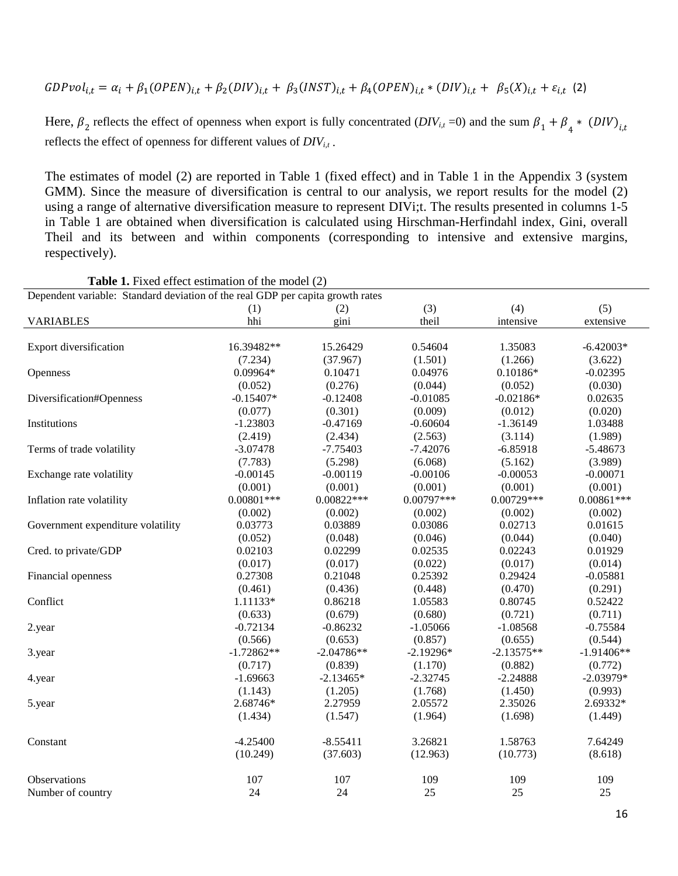$$
GDPvol_{i,t} = \alpha_i + \beta_1 (OPEN)_{i,t} + \beta_2 (DIV)_{i,t} + \beta_3 (INST)_{i,t} + \beta_4 (OPEN)_{i,t} * (DIV)_{i,t} + \beta_5 (X)_{i,t} + \varepsilon_{i,t} (2)
$$

Here,  $\beta_2$  reflects the effect of openness when export is fully concentrated  $(DIV_{i,t}=0)$  and the sum  $\beta_1 + \beta_4 * (DIV)_{i,t}$ reflects the effect of openness for different values of  $DIV_{i,t}$ .

The estimates of model (2) are reported in Table 1 (fixed effect) and in Table 1 in the Appendix 3 (system GMM). Since the measure of diversification is central to our analysis, we report results for the model (2) using a range of alternative diversification measure to represent DIVi;t. The results presented in columns 1-5 in Table 1 are obtained when diversification is calculated using Hirschman-Herfindahl index, Gini, overall Theil and its between and within components (corresponding to intensive and extensive margins, respectively).

| Dependent variable: Standard deviation of the real GDP per capita growth rates |              |              |              |              |              |  |  |  |
|--------------------------------------------------------------------------------|--------------|--------------|--------------|--------------|--------------|--|--|--|
|                                                                                | (1)          | (2)          | (3)          | (4)          | (5)          |  |  |  |
| <b>VARIABLES</b>                                                               | hhi          | gini         | theil        | intensive    | extensive    |  |  |  |
|                                                                                |              |              |              |              |              |  |  |  |
| Export diversification                                                         | 16.39482**   | 15.26429     | 0.54604      | 1.35083      | $-6.42003*$  |  |  |  |
|                                                                                | (7.234)      | (37.967)     | (1.501)      | (1.266)      | (3.622)      |  |  |  |
| Openness                                                                       | $0.09964*$   | 0.10471      | 0.04976      | $0.10186*$   | $-0.02395$   |  |  |  |
|                                                                                | (0.052)      | (0.276)      | (0.044)      | (0.052)      | (0.030)      |  |  |  |
| Diversification#Openness                                                       | $-0.15407*$  | $-0.12408$   | $-0.01085$   | $-0.02186*$  | 0.02635      |  |  |  |
|                                                                                | (0.077)      | (0.301)      | (0.009)      | (0.012)      | (0.020)      |  |  |  |
| Institutions                                                                   | $-1.23803$   | $-0.47169$   | $-0.60604$   | $-1.36149$   | 1.03488      |  |  |  |
|                                                                                | (2.419)      | (2.434)      | (2.563)      | (3.114)      | (1.989)      |  |  |  |
| Terms of trade volatility                                                      | $-3.07478$   | $-7.75403$   | $-7.42076$   | $-6.85918$   | $-5.48673$   |  |  |  |
|                                                                                | (7.783)      | (5.298)      | (6.068)      | (5.162)      | (3.989)      |  |  |  |
| Exchange rate volatility                                                       | $-0.00145$   | $-0.00119$   | $-0.00106$   | $-0.00053$   | $-0.00071$   |  |  |  |
|                                                                                | (0.001)      | (0.001)      | (0.001)      | (0.001)      | (0.001)      |  |  |  |
| Inflation rate volatility                                                      | $0.00801***$ | $0.00822***$ | $0.00797***$ | $0.00729***$ | $0.00861***$ |  |  |  |
|                                                                                | (0.002)      | (0.002)      | (0.002)      | (0.002)      | (0.002)      |  |  |  |
| Government expenditure volatility                                              | 0.03773      | 0.03889      | 0.03086      | 0.02713      | 0.01615      |  |  |  |
|                                                                                | (0.052)      | (0.048)      | (0.046)      | (0.044)      | (0.040)      |  |  |  |
| Cred. to private/GDP                                                           | 0.02103      | 0.02299      | 0.02535      | 0.02243      | 0.01929      |  |  |  |
|                                                                                | (0.017)      | (0.017)      | (0.022)      | (0.017)      | (0.014)      |  |  |  |
| Financial openness                                                             | 0.27308      | 0.21048      | 0.25392      | 0.29424      | $-0.05881$   |  |  |  |
|                                                                                | (0.461)      | (0.436)      | (0.448)      | (0.470)      | (0.291)      |  |  |  |
| Conflict                                                                       | 1.11133*     | 0.86218      | 1.05583      | 0.80745      | 0.52422      |  |  |  |
|                                                                                | (0.633)      | (0.679)      | (0.680)      | (0.721)      | (0.711)      |  |  |  |
| 2.year                                                                         | $-0.72134$   | $-0.86232$   | $-1.05066$   | $-1.08568$   | $-0.75584$   |  |  |  |
|                                                                                | (0.566)      | (0.653)      | (0.857)      | (0.655)      | (0.544)      |  |  |  |
| 3.year                                                                         | $-1.72862**$ | $-2.04786**$ | $-2.19296*$  | $-2.13575**$ | $-1.91406**$ |  |  |  |
|                                                                                | (0.717)      | (0.839)      | (1.170)      | (0.882)      | (0.772)      |  |  |  |
| 4.year                                                                         | $-1.69663$   | $-2.13465*$  | $-2.32745$   | $-2.24888$   | $-2.03979*$  |  |  |  |
|                                                                                | (1.143)      | (1.205)      | (1.768)      | (1.450)      | (0.993)      |  |  |  |
| 5.year                                                                         | 2.68746*     | 2.27959      | 2.05572      | 2.35026      | 2.69332*     |  |  |  |
|                                                                                | (1.434)      | (1.547)      | (1.964)      | (1.698)      | (1.449)      |  |  |  |
| Constant                                                                       | $-4.25400$   | $-8.55411$   | 3.26821      | 1.58763      | 7.64249      |  |  |  |
|                                                                                | (10.249)     | (37.603)     | (12.963)     | (10.773)     | (8.618)      |  |  |  |
| Observations                                                                   | 107          | 107          | 109          | 109          | 109          |  |  |  |
| Number of country                                                              | 24           | 24           | 25           | 25           | 25           |  |  |  |
|                                                                                |              |              |              |              |              |  |  |  |

| <b>Table 1.</b> Fixed effect estimation of the model (2) |  |
|----------------------------------------------------------|--|
|----------------------------------------------------------|--|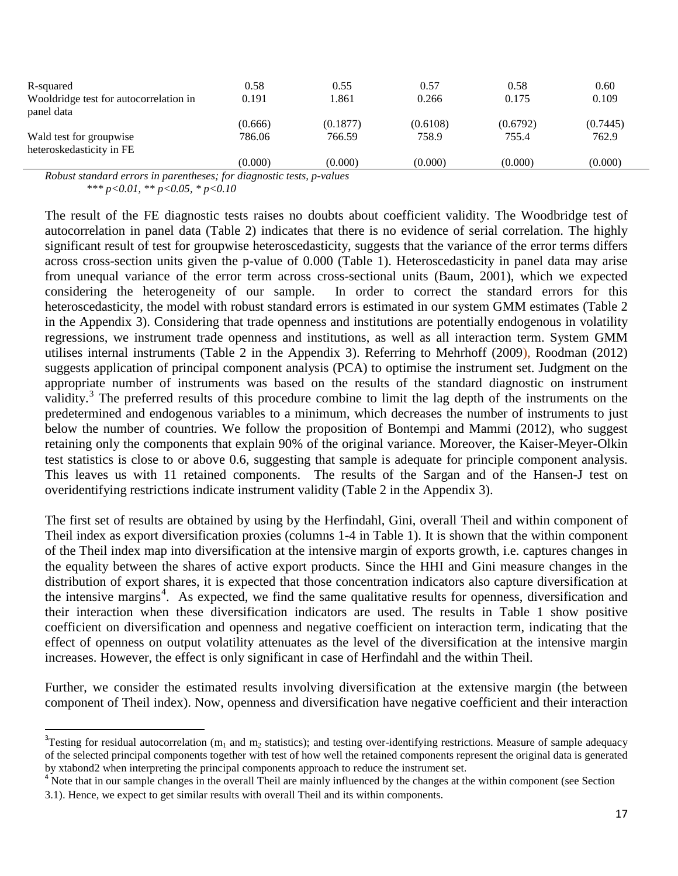| R-squared                              | 0.58    | 0.55     | 0.57     | 0.58     | 0.60     |
|----------------------------------------|---------|----------|----------|----------|----------|
| Wooldridge test for autocorrelation in | 0.191   | 1.861    | 0.266    | 0.175    | 0.109    |
| panel data                             |         |          |          |          |          |
|                                        | (0.666) | (0.1877) | (0.6108) | (0.6792) | (0.7445) |
| Wald test for groupwise                | 786.06  | 766.59   | 758.9    | 755.4    | 762.9    |
| heteroskedasticity in FE               |         |          |          |          |          |
|                                        | (0.000) | (0.000)  | (0.000)  | (0.000)  | (0.000)  |

*Robust standard errors in parentheses; for diagnostic tests, p-values*

 *\*\*\* p<0.01, \*\* p<0.05, \* p<0.10*

The result of the FE diagnostic tests raises no doubts about coefficient validity. The Woodbridge test of autocorrelation in panel data (Table 2) indicates that there is no evidence of serial correlation. The highly significant result of test for groupwise heteroscedasticity, suggests that the variance of the error terms differs across cross-section units given the p-value of 0.000 (Table 1). Heteroscedasticity in panel data may arise from unequal variance of the error term across cross-sectional units (Baum, 2001), which we expected considering the heterogeneity of our sample. In order to correct the standard errors for this heteroscedasticity, the model with robust standard errors is estimated in our system GMM estimates (Table 2) in the Appendix 3). Considering that trade openness and institutions are potentially endogenous in volatility regressions, we instrument trade openness and institutions, as well as all interaction term. System GMM utilises internal instruments (Table 2 in the Appendix 3). Referring to Mehrhoff (2009), Roodman (2012) suggests application of principal component analysis (PCA) to optimise the instrument set. Judgment on the appropriate number of instruments was based on the results of the standard diagnostic on instrument validity.<sup>[3](#page-16-0)</sup> The preferred results of this procedure combine to limit the lag depth of the instruments on the predetermined and endogenous variables to a minimum, which decreases the number of instruments to just below the number of countries. We follow the proposition of Bontempi and Mammi (2012), who suggest retaining only the components that explain 90% of the original variance. Moreover, the Kaiser-Meyer-Olkin test statistics is close to or above 0.6, suggesting that sample is adequate for principle component analysis. This leaves us with 11 retained components. The results of the Sargan and of the Hansen-J test on overidentifying restrictions indicate instrument validity (Table 2 in the Appendix 3).

The first set of results are obtained by using by the Herfindahl, Gini, overall Theil and within component of Theil index as export diversification proxies (columns 1-4 in Table 1). It is shown that the within component of the Theil index map into diversification at the intensive margin of exports growth, i.e. captures changes in the equality between the shares of active export products. Since the HHI and Gini measure changes in the distribution of export shares, it is expected that those concentration indicators also capture diversification at the intensive margins<sup>[4](#page-16-1)</sup>. As expected, we find the same qualitative results for openness, diversification and their interaction when these diversification indicators are used. The results in Table 1 show positive coefficient on diversification and openness and negative coefficient on interaction term, indicating that the effect of openness on output volatility attenuates as the level of the diversification at the intensive margin increases. However, the effect is only significant in case of Herfindahl and the within Theil.

Further, we consider the estimated results involving diversification at the extensive margin (the between component of Theil index). Now, openness and diversification have negative coefficient and their interaction

<span id="page-16-0"></span><sup>-&</sup>lt;br>3 <sup>3</sup>Testing for residual autocorrelation ( $m_1$  and  $m_2$  statistics); and testing over-identifying restrictions. Measure of sample adequacy of the selected principal components together with test of how well the retained components represent the original data is generated by xtabond2 when interpreting the principal components approach to reduce the instrument set.

<span id="page-16-1"></span><sup>&</sup>lt;sup>4</sup> Note that in our sample changes in the overall Theil are mainly influenced by the changes at the within component (see Section 3.1). Hence, we expect to get similar results with overall Theil and its within components.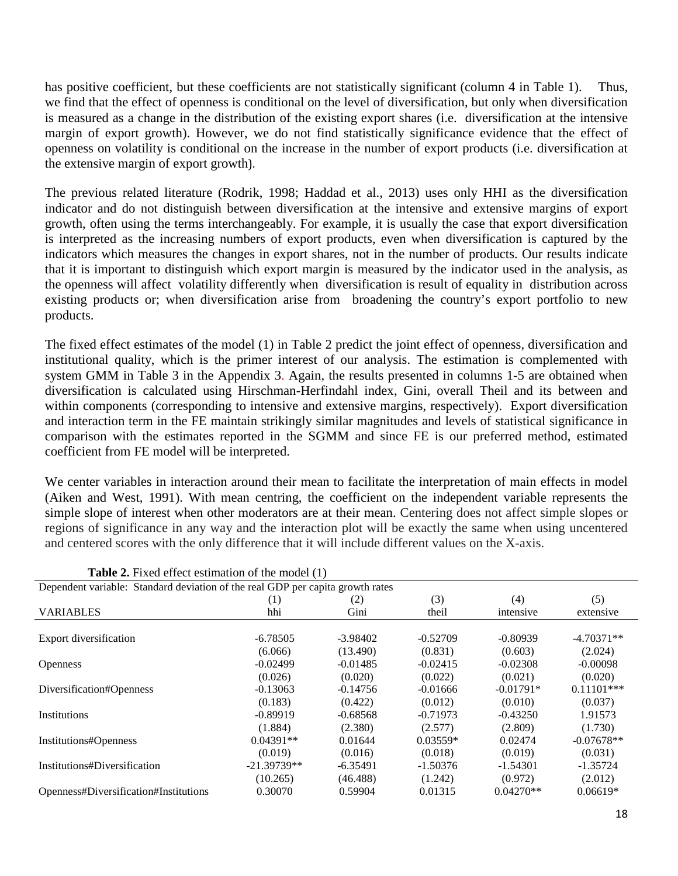has positive coefficient, but these coefficients are not statistically significant (column 4 in Table 1). Thus, we find that the effect of openness is conditional on the level of diversification, but only when diversification is measured as a change in the distribution of the existing export shares (i.e. diversification at the intensive margin of export growth). However, we do not find statistically significance evidence that the effect of openness on volatility is conditional on the increase in the number of export products (i.e. diversification at the extensive margin of export growth).

The previous related literature (Rodrik, 1998; Haddad et al., 2013) uses only HHI as the diversification indicator and do not distinguish between diversification at the intensive and extensive margins of export growth, often using the terms interchangeably. For example, it is usually the case that export diversification is interpreted as the increasing numbers of export products, even when diversification is captured by the indicators which measures the changes in export shares, not in the number of products. Our results indicate that it is important to distinguish which export margin is measured by the indicator used in the analysis, as the openness will affect volatility differently when diversification is result of equality in distribution across existing products or; when diversification arise from broadening the country's export portfolio to new products.

The fixed effect estimates of the model (1) in Table 2 predict the joint effect of openness, diversification and institutional quality, which is the primer interest of our analysis. The estimation is complemented with system GMM in Table 3 in the Appendix 3. Again, the results presented in columns 1-5 are obtained when diversification is calculated using Hirschman-Herfindahl index, Gini, overall Theil and its between and within components (corresponding to intensive and extensive margins, respectively). Export diversification and interaction term in the FE maintain strikingly similar magnitudes and levels of statistical significance in comparison with the estimates reported in the SGMM and since FE is our preferred method, estimated coefficient from FE model will be interpreted.

We center variables in interaction around their mean to facilitate the interpretation of main effects in model (Aiken and West, 1991). With mean centring, the coefficient on the independent variable represents the simple slope of interest when other moderators are at their mean. Centering does not affect simple slopes or regions of significance in any way and the interaction plot will be exactly the same when using uncentered and centered scores with the only difference that it will include different values on the X-axis.

| Dependent variable: Standard deviation of the real GDP per capita growth rates |               |            |            |             |              |  |  |  |
|--------------------------------------------------------------------------------|---------------|------------|------------|-------------|--------------|--|--|--|
|                                                                                | (1)           | (2)        | (3)        | (4)         | (5)          |  |  |  |
| <b>VARIABLES</b>                                                               | hhi           | Gini       | theil      | intensive   | extensive    |  |  |  |
|                                                                                |               |            |            |             |              |  |  |  |
| Export diversification                                                         | $-6.78505$    | $-3.98402$ | $-0.52709$ | $-0.80939$  | $-4.70371**$ |  |  |  |
|                                                                                | (6.066)       | (13.490)   | (0.831)    | (0.603)     | (2.024)      |  |  |  |
| <b>Openness</b>                                                                | $-0.02499$    | $-0.01485$ | $-0.02415$ | $-0.02308$  | $-0.00098$   |  |  |  |
|                                                                                | (0.026)       | (0.020)    | (0.022)    | (0.021)     | (0.020)      |  |  |  |
| Diversification#Openness                                                       | $-0.13063$    | $-0.14756$ | $-0.01666$ | $-0.01791*$ | $0.11101***$ |  |  |  |
|                                                                                | (0.183)       | (0.422)    | (0.012)    | (0.010)     | (0.037)      |  |  |  |
| <b>Institutions</b>                                                            | $-0.89919$    | $-0.68568$ | $-0.71973$ | $-0.43250$  | 1.91573      |  |  |  |
|                                                                                | (1.884)       | (2.380)    | (2.577)    | (2.809)     | (1.730)      |  |  |  |
| Institutions#Openness                                                          | $0.04391**$   | 0.01644    | $0.03559*$ | 0.02474     | $-0.07678**$ |  |  |  |
|                                                                                | (0.019)       | (0.016)    | (0.018)    | (0.019)     | (0.031)      |  |  |  |
| Institutions#Diversification                                                   | $-21.39739**$ | $-6.35491$ | $-1.50376$ | $-1.54301$  | $-1.35724$   |  |  |  |
|                                                                                | (10.265)      | (46.488)   | (1.242)    | (0.972)     | (2.012)      |  |  |  |
| Openness#Diversification#Institutions                                          | 0.30070       | 0.59904    | 0.01315    | $0.04270**$ | $0.06619*$   |  |  |  |

| <b>Table 2.</b> Fixed effect estimation of the model (1) |  |
|----------------------------------------------------------|--|
|----------------------------------------------------------|--|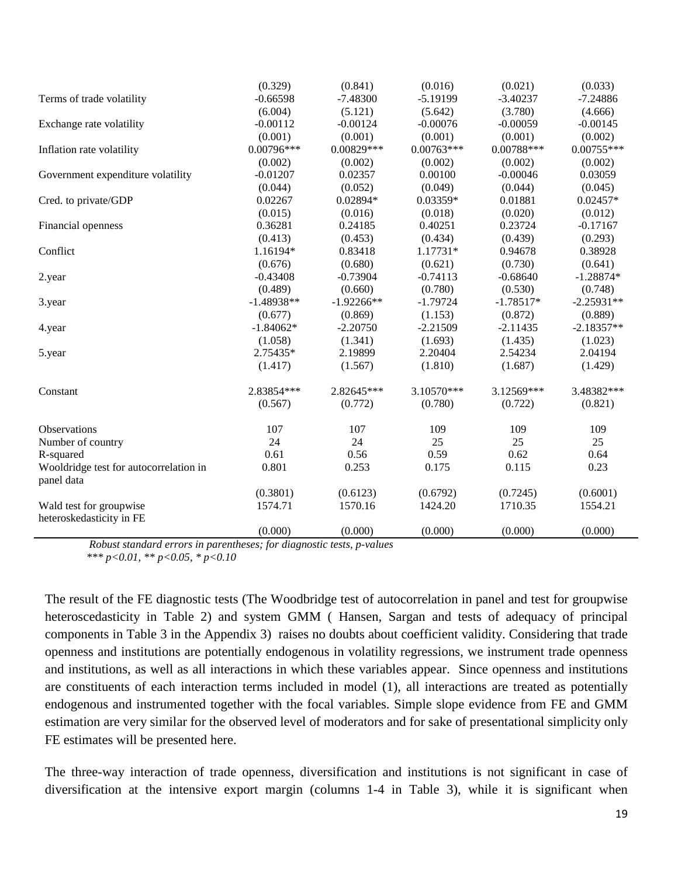|                                                     | (0.329)      | (0.841)      | (0.016)      | (0.021)      | (0.033)      |
|-----------------------------------------------------|--------------|--------------|--------------|--------------|--------------|
| Terms of trade volatility                           | $-0.66598$   | $-7.48300$   | $-5.19199$   | $-3.40237$   | $-7.24886$   |
|                                                     | (6.004)      | (5.121)      | (5.642)      | (3.780)      | (4.666)      |
| Exchange rate volatility                            | $-0.00112$   | $-0.00124$   | $-0.00076$   | $-0.00059$   | $-0.00145$   |
|                                                     | (0.001)      | (0.001)      | (0.001)      | (0.001)      | (0.002)      |
| Inflation rate volatility                           | 0.00796***   | 0.00829***   | $0.00763***$ | $0.00788***$ | $0.00755***$ |
|                                                     | (0.002)      | (0.002)      | (0.002)      | (0.002)      | (0.002)      |
| Government expenditure volatility                   | $-0.01207$   | 0.02357      | 0.00100      | $-0.00046$   | 0.03059      |
|                                                     | (0.044)      | (0.052)      | (0.049)      | (0.044)      | (0.045)      |
| Cred. to private/GDP                                | 0.02267      | $0.02894*$   | 0.03359*     | 0.01881      | $0.02457*$   |
|                                                     | (0.015)      | (0.016)      | (0.018)      | (0.020)      | (0.012)      |
| Financial openness                                  | 0.36281      | 0.24185      | 0.40251      | 0.23724      | $-0.17167$   |
|                                                     | (0.413)      | (0.453)      | (0.434)      | (0.439)      | (0.293)      |
| Conflict                                            | 1.16194*     | 0.83418      | 1.17731*     | 0.94678      | 0.38928      |
|                                                     | (0.676)      | (0.680)      | (0.621)      | (0.730)      | (0.641)      |
| 2.year                                              | $-0.43408$   | $-0.73904$   | $-0.74113$   | $-0.68640$   | $-1.28874*$  |
|                                                     | (0.489)      | (0.660)      | (0.780)      | (0.530)      | (0.748)      |
| 3.year                                              | $-1.48938**$ | $-1.92266**$ | $-1.79724$   | $-1.78517*$  | $-2.25931**$ |
|                                                     | (0.677)      | (0.869)      | (1.153)      | (0.872)      | (0.889)      |
| 4.year                                              | $-1.84062*$  | $-2.20750$   | $-2.21509$   | $-2.11435$   | $-2.18357**$ |
|                                                     | (1.058)      | (1.341)      | (1.693)      | (1.435)      | (1.023)      |
| 5.year                                              | 2.75435*     | 2.19899      | 2.20404      | 2.54234      | 2.04194      |
|                                                     | (1.417)      | (1.567)      | (1.810)      | (1.687)      | (1.429)      |
| Constant                                            | 2.83854***   | 2.82645***   | 3.10570***   | 3.12569***   | 3.48382***   |
|                                                     | (0.567)      | (0.772)      | (0.780)      | (0.722)      | (0.821)      |
| Observations                                        | 107          | 107          | 109          | 109          | 109          |
| Number of country                                   | 24           | 24           | 25           | 25           | 25           |
| R-squared                                           | 0.61         | 0.56         | 0.59         | 0.62         | 0.64         |
| Wooldridge test for autocorrelation in              | 0.801        | 0.253        | 0.175        | 0.115        | 0.23         |
| panel data                                          |              |              |              |              |              |
|                                                     | (0.3801)     | (0.6123)     | (0.6792)     | (0.7245)     | (0.6001)     |
| Wald test for groupwise<br>heteroskedasticity in FE | 1574.71      | 1570.16      | 1424.20      | 1710.35      | 1554.21      |
|                                                     | (0.000)      | (0.000)      | (0.000)      | (0.000)      | (0.000)      |

 *Robust standard errors in parentheses; for diagnostic tests, p-values \*\*\* p<0.01, \*\* p<0.05, \* p<0.10*

The result of the FE diagnostic tests (The Woodbridge test of autocorrelation in panel and test for groupwise heteroscedasticity in Table 2) and system GMM ( Hansen, Sargan and tests of adequacy of principal components in Table 3 in the Appendix 3) raises no doubts about coefficient validity. Considering that trade openness and institutions are potentially endogenous in volatility regressions, we instrument trade openness and institutions, as well as all interactions in which these variables appear. Since openness and institutions are constituents of each interaction terms included in model (1), all interactions are treated as potentially endogenous and instrumented together with the focal variables. Simple slope evidence from FE and GMM estimation are very similar for the observed level of moderators and for sake of presentational simplicity only FE estimates will be presented here.

The three-way interaction of trade openness, diversification and institutions is not significant in case of diversification at the intensive export margin (columns 1-4 in Table 3), while it is significant when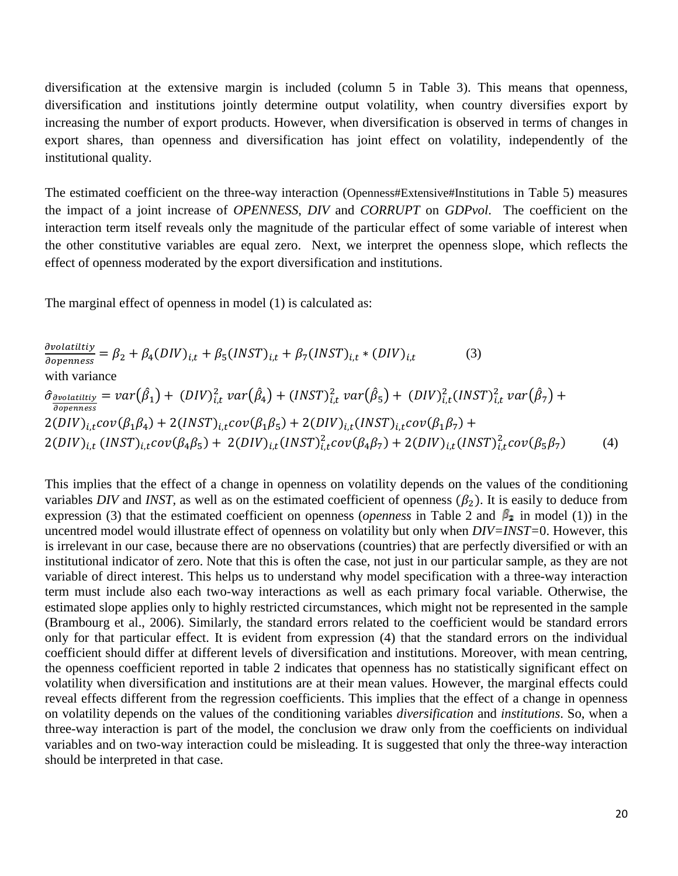diversification at the extensive margin is included (column 5 in Table 3). This means that openness, diversification and institutions jointly determine output volatility, when country diversifies export by increasing the number of export products. However, when diversification is observed in terms of changes in export shares, than openness and diversification has joint effect on volatility, independently of the institutional quality.

The estimated coefficient on the three-way interaction (Openness#Extensive#Institutions in Table 5) measures the impact of a joint increase of *OPENNESS*, *DIV* and *CORRUPT* on *GDPvol*. The coefficient on the interaction term itself reveals only the magnitude of the particular effect of some variable of interest when the other constitutive variables are equal zero. Next, we interpret the openness slope, which reflects the effect of openness moderated by the export diversification and institutions.

The marginal effect of openness in model (1) is calculated as:

$$
\frac{\partial volatility}{\partial openness} = \beta_2 + \beta_4 (DIV)_{i,t} + \beta_5 (INST)_{i,t} + \beta_7 (INST)_{i,t} * (DIV)_{i,t} \qquad (3)
$$
\nwith variance\n
$$
\hat{\sigma}_{\frac{\partial volatility}{\partial openness}} = var(\hat{\beta}_1) + (DIV)_{i,t}^2 var(\hat{\beta}_4) + (INST)_{i,t}^2 var(\hat{\beta}_5) + (DIV)_{i,t}^2 (INST)_{i,t}^2 var(\hat{\beta}_7) + 2(DIV)_{i,t} cov(\beta_1 \beta_4) + 2(INST)_{i,t} cov(\beta_1 \beta_5) + 2(DIV)_{i,t} (INST)_{i,t} cov(\beta_1 \beta_7) + 2(DIV)_{i,t} (INST)_{i,t} cov(\beta_4 \beta_5) + 2(DIV)_{i,t} (INST)_{i,t}^2 cov(\beta_4 \beta_7) + 2(DIV)_{i,t} (INST)_{i,t}^2 cov(\beta_5 \beta_7) \qquad (4)
$$

This implies that the effect of a change in openness on volatility depends on the values of the conditioning variables *DIV* and *INST*, as well as on the estimated coefficient of openness  $(\beta_2)$ . It is easily to deduce from expression (3) that the estimated coefficient on openness (*openness* in Table 2 and  $\beta_2$  in model (1)) in the uncentred model would illustrate effect of openness on volatility but only when *DIV=INST=*0. However, this is irrelevant in our case, because there are no observations (countries) that are perfectly diversified or with an institutional indicator of zero. Note that this is often the case, not just in our particular sample, as they are not variable of direct interest. This helps us to understand why model specification with a three-way interaction term must include also each two-way interactions as well as each primary focal variable. Otherwise, the estimated slope applies only to highly restricted circumstances, which might not be represented in the sample (Brambourg et al., 2006). Similarly, the standard errors related to the coefficient would be standard errors only for that particular effect. It is evident from expression (4) that the standard errors on the individual coefficient should differ at different levels of diversification and institutions. Moreover, with mean centring, the openness coefficient reported in table 2 indicates that openness has no statistically significant effect on volatility when diversification and institutions are at their mean values. However, the marginal effects could reveal effects different from the regression coefficients. This implies that the effect of a change in openness on volatility depends on the values of the conditioning variables *diversification* and *institutions*. So, when a three-way interaction is part of the model, the conclusion we draw only from the coefficients on individual variables and on two-way interaction could be misleading. It is suggested that only the three-way interaction should be interpreted in that case.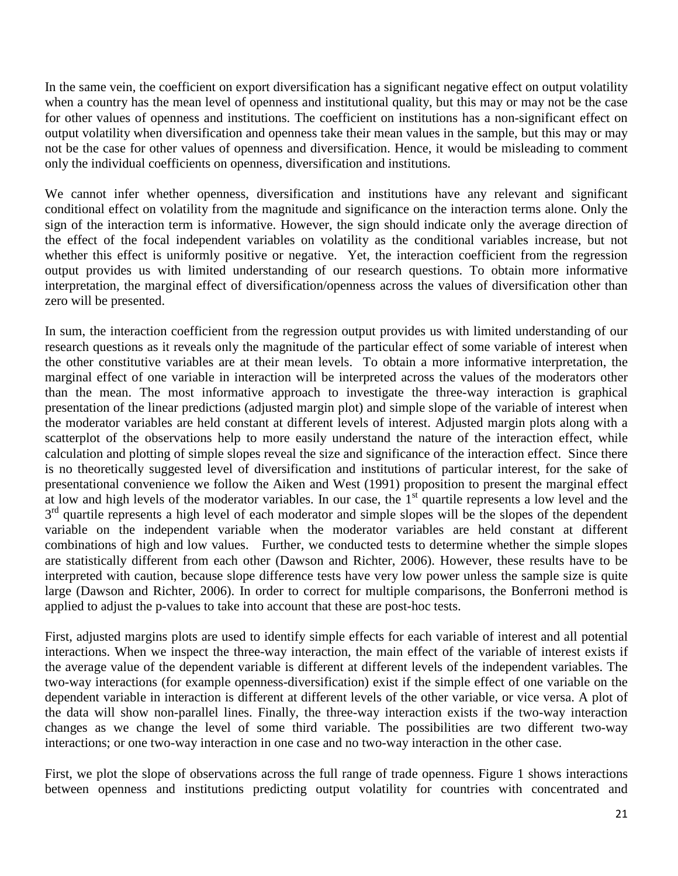In the same vein, the coefficient on export diversification has a significant negative effect on output volatility when a country has the mean level of openness and institutional quality, but this may or may not be the case for other values of openness and institutions. The coefficient on institutions has a non-significant effect on output volatility when diversification and openness take their mean values in the sample, but this may or may not be the case for other values of openness and diversification. Hence, it would be misleading to comment only the individual coefficients on openness, diversification and institutions.

We cannot infer whether openness, diversification and institutions have any relevant and significant conditional effect on volatility from the magnitude and significance on the interaction terms alone. Only the sign of the interaction term is informative. However, the sign should indicate only the average direction of the effect of the focal independent variables on volatility as the conditional variables increase, but not whether this effect is uniformly positive or negative. Yet, the interaction coefficient from the regression output provides us with limited understanding of our research questions. To obtain more informative interpretation, the marginal effect of diversification/openness across the values of diversification other than zero will be presented.

In sum, the interaction coefficient from the regression output provides us with limited understanding of our research questions as it reveals only the magnitude of the particular effect of some variable of interest when the other constitutive variables are at their mean levels. To obtain a more informative interpretation, the marginal effect of one variable in interaction will be interpreted across the values of the moderators other than the mean. The most informative approach to investigate the three-way interaction is graphical presentation of the linear predictions (adjusted margin plot) and simple slope of the variable of interest when the moderator variables are held constant at different levels of interest. Adjusted margin plots along with a scatterplot of the observations help to more easily understand the nature of the interaction effect, while calculation and plotting of simple slopes reveal the size and significance of the interaction effect. Since there is no theoretically suggested level of diversification and institutions of particular interest, for the sake of presentational convenience we follow the Aiken and West (1991) proposition to present the marginal effect at low and high levels of the moderator variables. In our case, the  $1<sup>st</sup>$  quartile represents a low level and the  $3<sup>rd</sup>$  quartile represents a high level of each moderator and simple slopes will be the slopes of the dependent variable on the independent variable when the moderator variables are held constant at different combinations of high and low values. Further, we conducted tests to determine whether the simple slopes are statistically different from each other (Dawson and Richter, 2006). However, these results have to be interpreted with caution, because slope difference tests have very low power unless the sample size is quite large (Dawson and Richter, 2006). In order to correct for multiple comparisons, the Bonferroni method is applied to adjust the p-values to take into account that these are post-hoc tests.

First, adjusted margins plots are used to identify simple effects for each variable of interest and all potential interactions. When we inspect the three-way interaction, the main effect of the variable of interest exists if the average value of the dependent variable is different at different levels of the independent variables. The two-way interactions (for example openness-diversification) exist if the simple effect of one variable on the dependent variable in interaction is different at different levels of the other variable, or vice versa. A plot of the data will show non-parallel lines. Finally, the three-way interaction exists if the two-way interaction changes as we change the level of some third variable. The possibilities are two different two-way interactions; or one two-way interaction in one case and no two-way interaction in the other case.

First, we plot the slope of observations across the full range of trade openness. Figure 1 shows interactions between openness and institutions predicting output volatility for countries with concentrated and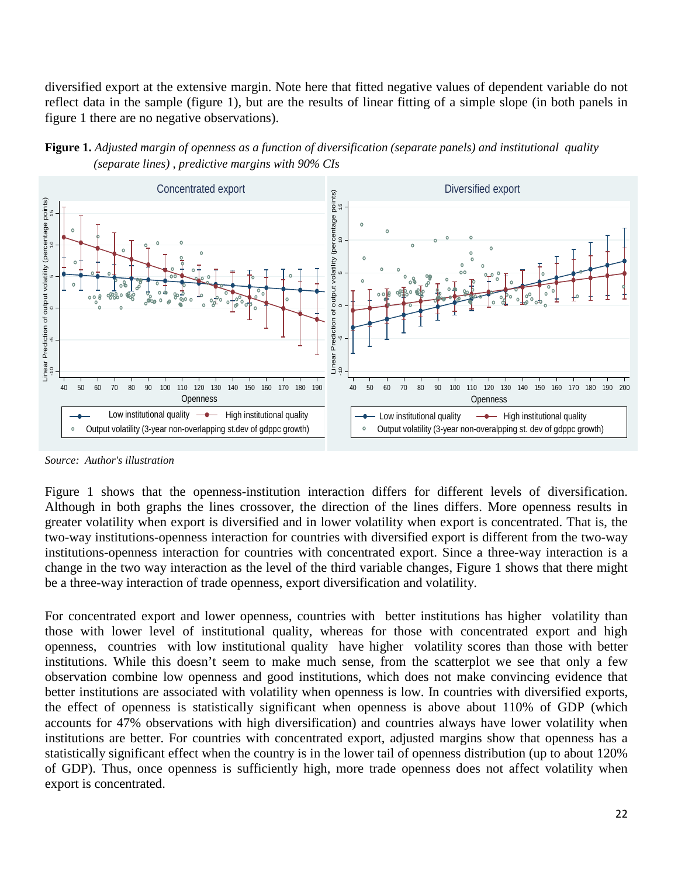diversified export at the extensive margin. Note here that fitted negative values of dependent variable do not reflect data in the sample (figure 1), but are the results of linear fitting of a simple slope (in both panels in figure 1 there are no negative observations).





*Source: Author's illustration*

Figure 1 shows that the openness-institution interaction differs for different levels of diversification. Although in both graphs the lines crossover, the direction of the lines differs. More openness results in greater volatility when export is diversified and in lower volatility when export is concentrated. That is, the two-way institutions-openness interaction for countries with diversified export is different from the two-way institutions-openness interaction for countries with concentrated export. Since a three-way interaction is a change in the two way interaction as the level of the third variable changes, Figure 1 shows that there might be a three-way interaction of trade openness, export diversification and volatility.

For concentrated export and lower openness, countries with better institutions has higher volatility than those with lower level of institutional quality, whereas for those with concentrated export and high openness, countries with low institutional quality have higher volatility scores than those with better institutions. While this doesn't seem to make much sense, from the scatterplot we see that only a few observation combine low openness and good institutions, which does not make convincing evidence that better institutions are associated with volatility when openness is low. In countries with diversified exports, the effect of openness is statistically significant when openness is above about 110% of GDP (which accounts for 47% observations with high diversification) and countries always have lower volatility when institutions are better. For countries with concentrated export, adjusted margins show that openness has a statistically significant effect when the country is in the lower tail of openness distribution (up to about 120% of GDP). Thus, once openness is sufficiently high, more trade openness does not affect volatility when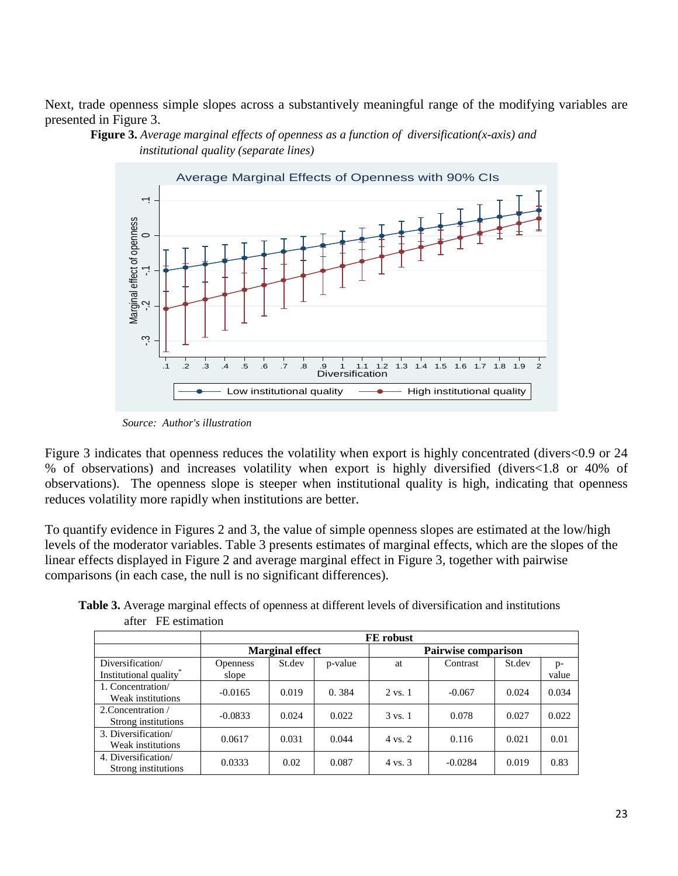Next, trade openness simple slopes across a substantively meaningful range of the modifying variables are presented in Figure 3.



 **Figure 3.** *Average marginal effects of openness as a function of diversification(x-axis) and institutional quality (separate lines)*

 *Source: Author's illustration*

Figure 3 indicates that openness reduces the volatility when export is highly concentrated (divers<0.9 or 24 % of observations) and increases volatility when export is highly diversified (divers<1.8 or 40% of observations). The openness slope is steeper when institutional quality is high, indicating that openness reduces volatility more rapidly when institutions are better.

To quantify evidence in Figures 2 and 3, the value of simple openness slopes are estimated at the low/high levels of the moderator variables. Table 3 presents estimates of marginal effects, which are the slopes of the linear effects displayed in Figure 2 and average marginal effect in Figure 3, together with pairwise comparisons (in each case, the null is no significant differences).

|                                            | FE robust                |                        |         |                            |           |        |             |  |  |
|--------------------------------------------|--------------------------|------------------------|---------|----------------------------|-----------|--------|-------------|--|--|
|                                            |                          | <b>Marginal effect</b> |         | <b>Pairwise comparison</b> |           |        |             |  |  |
| Diversification/<br>Institutional quality  | <b>Openness</b><br>slope | St.dev                 | p-value | at                         | Contrast  | St.dev | p-<br>value |  |  |
| 1. Concentration/<br>Weak institutions     | $-0.0165$                | 0.019                  | 0.384   | $2 \text{ vs. } 1$         | $-0.067$  | 0.024  | 0.034       |  |  |
| 2. Concentration /<br>Strong institutions  | $-0.0833$                | 0.024                  | 0.022   | $3 \text{ vs. } 1$         | 0.078     | 0.027  | 0.022       |  |  |
| 3. Diversification/<br>Weak institutions   | 0.0617                   | 0.031                  | 0.044   | $4 \text{ vs. } 2$         | 0.116     | 0.021  | 0.01        |  |  |
| 4. Diversification/<br>Strong institutions | 0.0333                   | 0.02                   | 0.087   | 4 vs. 3                    | $-0.0284$ | 0.019  | 0.83        |  |  |

 **Table 3.** Average marginal effects of openness at different levels of diversification and institutions after FE estimation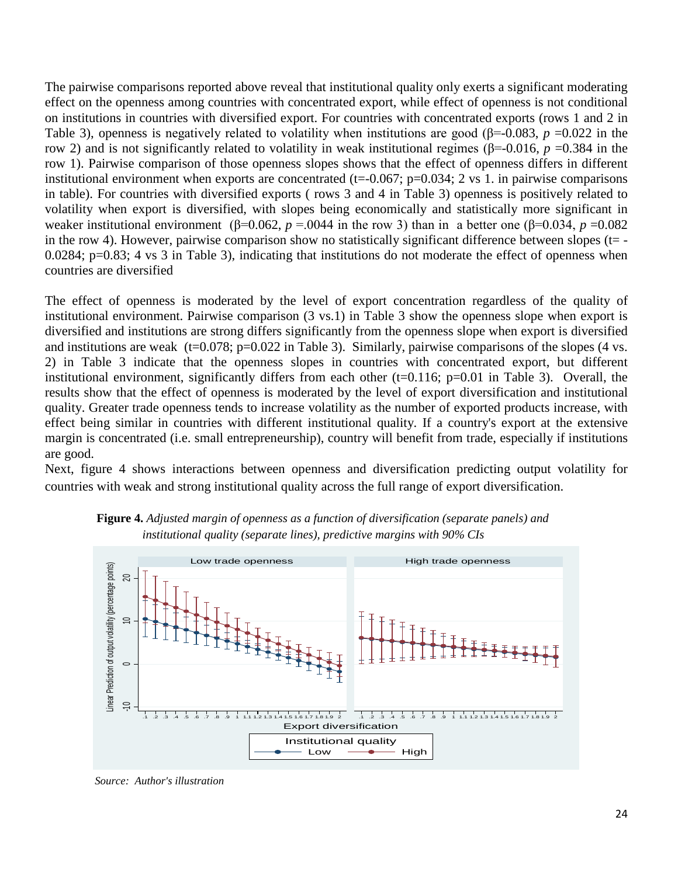The pairwise comparisons reported above reveal that institutional quality only exerts a significant moderating effect on the openness among countries with concentrated export, while effect of openness is not conditional on institutions in countries with diversified export. For countries with concentrated exports (rows 1 and 2 in Table 3), openness is negatively related to volatility when institutions are good (β=-0.083, *p* =0.022 in the row 2) and is not significantly related to volatility in weak institutional regimes (β=-0.016, *p* =0.384 in the row 1). Pairwise comparison of those openness slopes shows that the effect of openness differs in different institutional environment when exports are concentrated ( $t=-0.067$ ;  $p=0.034$ ; 2 vs 1. in pairwise comparisons in table). For countries with diversified exports ( rows 3 and 4 in Table 3) openness is positively related to volatility when export is diversified, with slopes being economically and statistically more significant in weaker institutional environment ( $\beta$ =0.062, *p* = 0.044 in the row 3) than in a better one ( $\beta$ =0.034, *p* =0.082 in the row 4). However, pairwise comparison show no statistically significant difference between slopes ( $t=$  -0.0284; p=0.83; 4 vs 3 in Table 3), indicating that institutions do not moderate the effect of openness when countries are diversified

The effect of openness is moderated by the level of export concentration regardless of the quality of institutional environment. Pairwise comparison (3 vs.1) in Table 3 show the openness slope when export is diversified and institutions are strong differs significantly from the openness slope when export is diversified and institutions are weak  $(t=0.078; p=0.022$  in Table 3). Similarly, pairwise comparisons of the slopes  $(4 \text{ vs.})$ 2) in Table 3 indicate that the openness slopes in countries with concentrated export, but different institutional environment, significantly differs from each other (t=0.116; p=0.01 in Table 3). Overall, the results show that the effect of openness is moderated by the level of export diversification and institutional quality. Greater trade openness tends to increase volatility as the number of exported products increase, with effect being similar in countries with different institutional quality. If a country's export at the extensive margin is concentrated (i.e. small entrepreneurship), country will benefit from trade, especially if institutions are good.

Next, figure 4 shows interactions between openness and diversification predicting output volatility for countries with weak and strong institutional quality across the full range of export diversification.



 **Figure 4.** *Adjusted margin of openness as a function of diversification (separate panels) and institutional quality (separate lines), predictive margins with 90% CIs*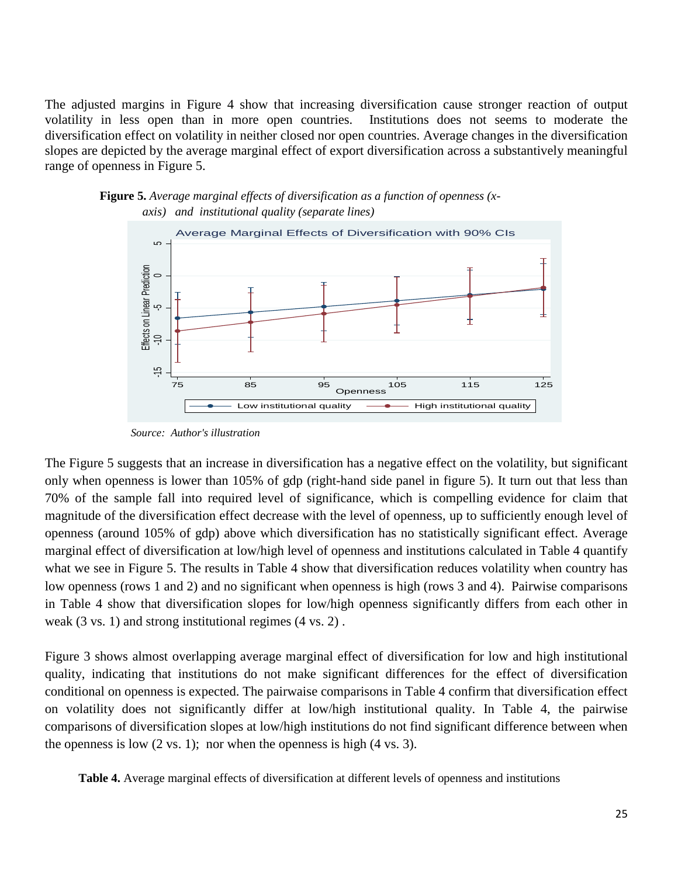The adjusted margins in Figure 4 show that increasing diversification cause stronger reaction of output volatility in less open than in more open countries. Institutions does not seems to moderate the diversification effect on volatility in neither closed nor open countries. Average changes in the diversification slopes are depicted by the average marginal effect of export diversification across a substantively meaningful range of openness in Figure 5.





 *Source: Author's illustration*

The Figure 5 suggests that an increase in diversification has a negative effect on the volatility, but significant only when openness is lower than 105% of gdp (right-hand side panel in figure 5). It turn out that less than 70% of the sample fall into required level of significance, which is compelling evidence for claim that magnitude of the diversification effect decrease with the level of openness, up to sufficiently enough level of openness (around 105% of gdp) above which diversification has no statistically significant effect. Average marginal effect of diversification at low/high level of openness and institutions calculated in Table 4 quantify what we see in Figure 5. The results in Table 4 show that diversification reduces volatility when country has low openness (rows 1 and 2) and no significant when openness is high (rows 3 and 4). Pairwise comparisons in Table 4 show that diversification slopes for low/high openness significantly differs from each other in weak (3 vs. 1) and strong institutional regimes (4 vs. 2) . **Example 1.1** Average marginal effects of diversification at different levels of openness at 1.1 Average marginal effects of diversification has a negative effect on the volatility, but also dependent of the simple indiver

Figure 3 shows almost overlapping average marginal effect of diversification for low and high institutional quality, indicating that institutions do not make significant differences for the effect of diversification conditional on openness is expected. The pairwaise comparisons in Table 4 confirm that diversification effect on volatility does not significantly differ at low/high institutional quality. In Table 4, the pairwise comparisons of diversification slopes at low/high institutions do not find significant difference between when the openness is low  $(2 \text{ vs. } 1)$ ; nor when the openness is high  $(4 \text{ vs. } 3)$ .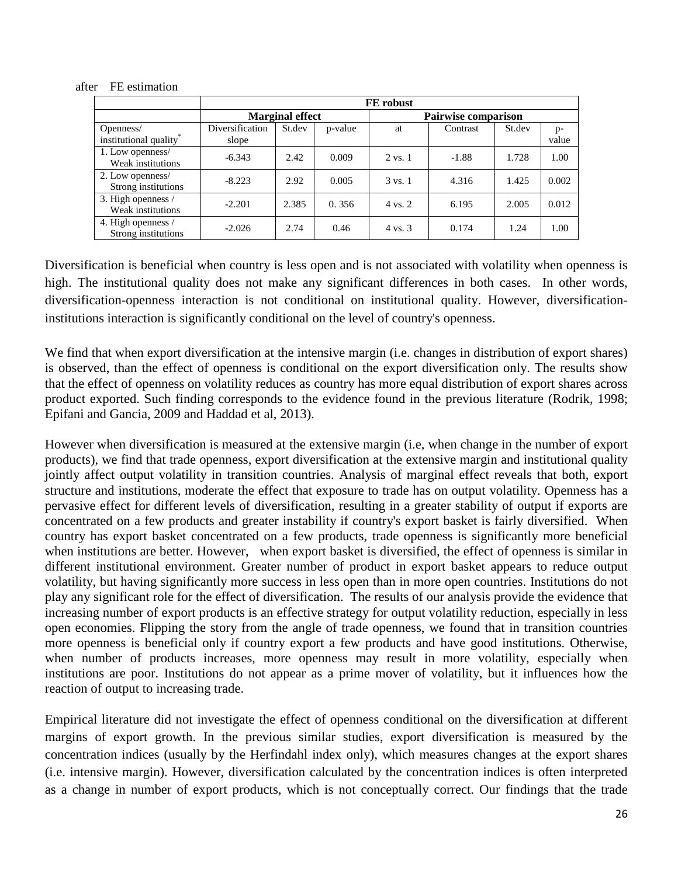|                                           | FE robust                |                        |         |                            |          |        |             |  |  |
|-------------------------------------------|--------------------------|------------------------|---------|----------------------------|----------|--------|-------------|--|--|
|                                           |                          | <b>Marginal effect</b> |         | <b>Pairwise comparison</b> |          |        |             |  |  |
| Openness/<br>institutional quality*       | Diversification<br>slope | St.dev                 | p-value | at                         | Contrast | St.dev | p-<br>value |  |  |
| 1. Low openness/<br>Weak institutions     | $-6.343$                 | 2.42                   | 0.009   | 2 vs. 1                    | $-1.88$  | 1.728  | 1.00        |  |  |
| 2. Low openness/<br>Strong institutions   | $-8.223$                 | 2.92                   | 0.005   | $3 \text{ vs. } 1$         | 4.316    | 1.425  | 0.002       |  |  |
| 3. High openness /<br>Weak institutions   | $-2.201$                 | 2.385                  | 0.356   | $4 \text{ vs. } 2$         | 6.195    | 2.005  | 0.012       |  |  |
| 4. High openness /<br>Strong institutions | $-2.026$                 | 2.74                   | 0.46    | $4 \text{ vs. } 3$         | 0.174    | 1.24   | 1.00        |  |  |

#### after FE estimation

Diversification is beneficial when country is less open and is not associated with volatility when openness is high. The institutional quality does not make any significant differences in both cases. In other words, diversification-openness interaction is not conditional on institutional quality. However, diversificationinstitutions interaction is significantly conditional on the level of country's openness.

We find that when export diversification at the intensive margin (i.e. changes in distribution of export shares) is observed, than the effect of openness is conditional on the export diversification only. The results show that the effect of openness on volatility reduces as country has more equal distribution of export shares across product exported. Such finding corresponds to the evidence found in the previous literature (Rodrik, 1998; Epifani and Gancia, 2009 and Haddad et al, 2013).

However when diversification is measured at the extensive margin (i.e, when change in the number of export products), we find that trade openness, export diversification at the extensive margin and institutional quality jointly affect output volatility in transition countries. Analysis of marginal effect reveals that both, export structure and institutions, moderate the effect that exposure to trade has on output volatility. Openness has a pervasive effect for different levels of diversification, resulting in a greater stability of output if exports are concentrated on a few products and greater instability if country's export basket is fairly diversified. When country has export basket concentrated on a few products, trade openness is significantly more beneficial when institutions are better. However, when export basket is diversified, the effect of openness is similar in different institutional environment. Greater number of product in export basket appears to reduce output volatility, but having significantly more success in less open than in more open countries. Institutions do not play any significant role for the effect of diversification. The results of our analysis provide the evidence that increasing number of export products is an effective strategy for output volatility reduction, especially in less open economies. Flipping the story from the angle of trade openness, we found that in transition countries more openness is beneficial only if country export a few products and have good institutions. Otherwise, when number of products increases, more openness may result in more volatility, especially when institutions are poor. Institutions do not appear as a prime mover of volatility, but it influences how the reaction of output to increasing trade.

Empirical literature did not investigate the effect of openness conditional on the diversification at different margins of export growth. In the previous similar studies, export diversification is measured by the concentration indices (usually by the Herfindahl index only), which measures changes at the export shares (i.e. intensive margin). However, diversification calculated by the concentration indices is often interpreted as a change in number of export products, which is not conceptually correct. Our findings that the trade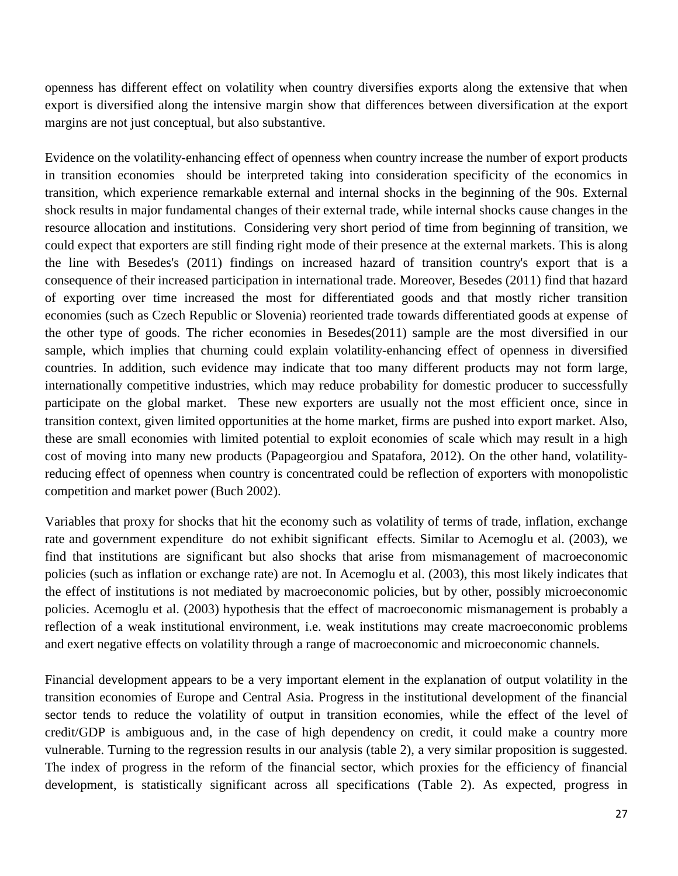openness has different effect on volatility when country diversifies exports along the extensive that when export is diversified along the intensive margin show that differences between diversification at the export margins are not just conceptual, but also substantive.

Evidence on the volatility-enhancing effect of openness when country increase the number of export products in transition economies should be interpreted taking into consideration specificity of the economics in transition, which experience remarkable external and internal shocks in the beginning of the 90s. External shock results in major fundamental changes of their external trade, while internal shocks cause changes in the resource allocation and institutions. Considering very short period of time from beginning of transition, we could expect that exporters are still finding right mode of their presence at the external markets. This is along the line with Besedes's (2011) findings on increased hazard of transition country's export that is a consequence of their increased participation in international trade. Moreover, Besedes (2011) find that hazard of exporting over time increased the most for differentiated goods and that mostly richer transition economies (such as Czech Republic or Slovenia) reoriented trade towards differentiated goods at expense of the other type of goods. The richer economies in Besedes(2011) sample are the most diversified in our sample, which implies that churning could explain volatility-enhancing effect of openness in diversified countries. In addition, such evidence may indicate that too many different products may not form large, internationally competitive industries, which may reduce probability for domestic producer to successfully participate on the global market. These new exporters are usually not the most efficient once, since in transition context, given limited opportunities at the home market, firms are pushed into export market. Also, these are small economies with limited potential to exploit economies of scale which may result in a high cost of moving into many new products (Papageorgiou and Spatafora, 2012). On the other hand, volatilityreducing effect of openness when country is concentrated could be reflection of exporters with monopolistic competition and market power (Buch 2002).

Variables that proxy for shocks that hit the economy such as volatility of terms of trade, inflation, exchange rate and government expenditure do not exhibit significant effects. Similar to Acemoglu et al. (2003), we find that institutions are significant but also shocks that arise from mismanagement of macroeconomic policies (such as inflation or exchange rate) are not. In Acemoglu et al. (2003), this most likely indicates that the effect of institutions is not mediated by macroeconomic policies, but by other, possibly microeconomic policies. Acemoglu et al. (2003) hypothesis that the effect of macroeconomic mismanagement is probably a reflection of a weak institutional environment, i.e. weak institutions may create macroeconomic problems and exert negative effects on volatility through a range of macroeconomic and microeconomic channels.

Financial development appears to be a very important element in the explanation of output volatility in the transition economies of Europe and Central Asia. Progress in the institutional development of the financial sector tends to reduce the volatility of output in transition economies, while the effect of the level of credit/GDP is ambiguous and, in the case of high dependency on credit, it could make a country more vulnerable. Turning to the regression results in our analysis (table 2), a very similar proposition is suggested. The index of progress in the reform of the financial sector, which proxies for the efficiency of financial development, is statistically significant across all specifications (Table 2). As expected, progress in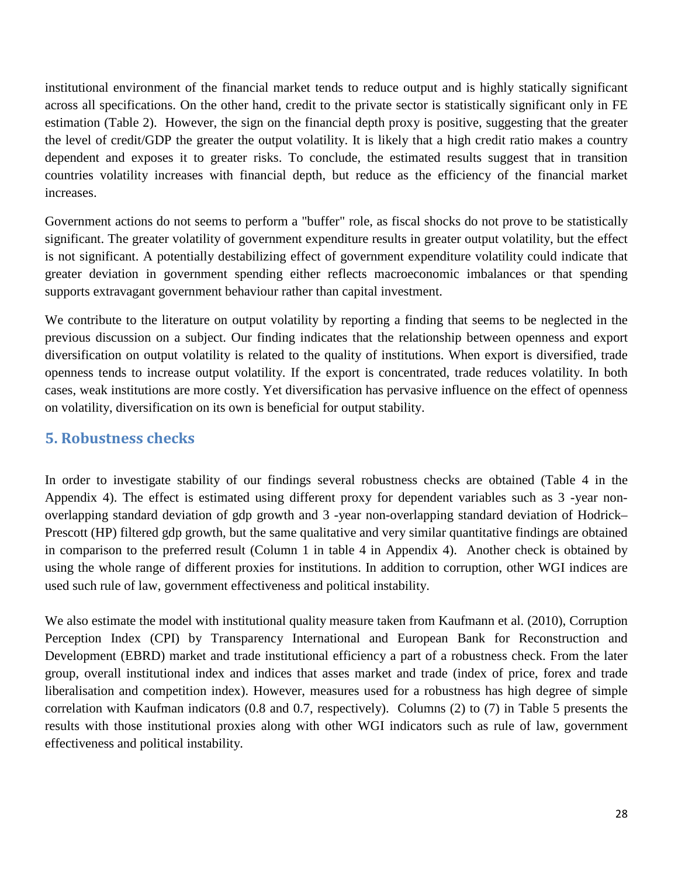institutional environment of the financial market tends to reduce output and is highly statically significant across all specifications. On the other hand, credit to the private sector is statistically significant only in FE estimation (Table 2). However, the sign on the financial depth proxy is positive, suggesting that the greater the level of credit/GDP the greater the output volatility. It is likely that a high credit ratio makes a country dependent and exposes it to greater risks. To conclude, the estimated results suggest that in transition countries volatility increases with financial depth, but reduce as the efficiency of the financial market increases.

Government actions do not seems to perform a "buffer" role, as fiscal shocks do not prove to be statistically significant. The greater volatility of government expenditure results in greater output volatility, but the effect is not significant. A potentially destabilizing effect of government expenditure volatility could indicate that greater deviation in government spending either reflects macroeconomic imbalances or that spending supports extravagant government behaviour rather than capital investment.

We contribute to the literature on output volatility by reporting a finding that seems to be neglected in the previous discussion on a subject. Our finding indicates that the relationship between openness and export diversification on output volatility is related to the quality of institutions. When export is diversified, trade openness tends to increase output volatility. If the export is concentrated, trade reduces volatility. In both cases, weak institutions are more costly. Yet diversification has pervasive influence on the effect of openness on volatility, diversification on its own is beneficial for output stability.

## **5. Robustness checks**

In order to investigate stability of our findings several robustness checks are obtained (Table 4 in the Appendix 4). The effect is estimated using different proxy for dependent variables such as 3 -year nonoverlapping standard deviation of gdp growth and 3 -year non-overlapping standard deviation of Hodrick– Prescott (HP) filtered gdp growth, but the same qualitative and very similar quantitative findings are obtained in comparison to the preferred result (Column 1 in table 4 in Appendix 4). Another check is obtained by using the whole range of different proxies for institutions. In addition to corruption, other WGI indices are used such rule of law, government effectiveness and political instability.

We also estimate the model with institutional quality measure taken from Kaufmann et al. (2010), Corruption Perception Index (CPI) by Transparency International and European Bank for Reconstruction and Development (EBRD) market and trade institutional efficiency a part of a robustness check. From the later group, overall institutional index and indices that asses market and trade (index of price, forex and trade liberalisation and competition index). However, measures used for a robustness has high degree of simple correlation with Kaufman indicators (0.8 and 0.7, respectively). Columns (2) to (7) in Table 5 presents the results with those institutional proxies along with other WGI indicators such as rule of law, government effectiveness and political instability.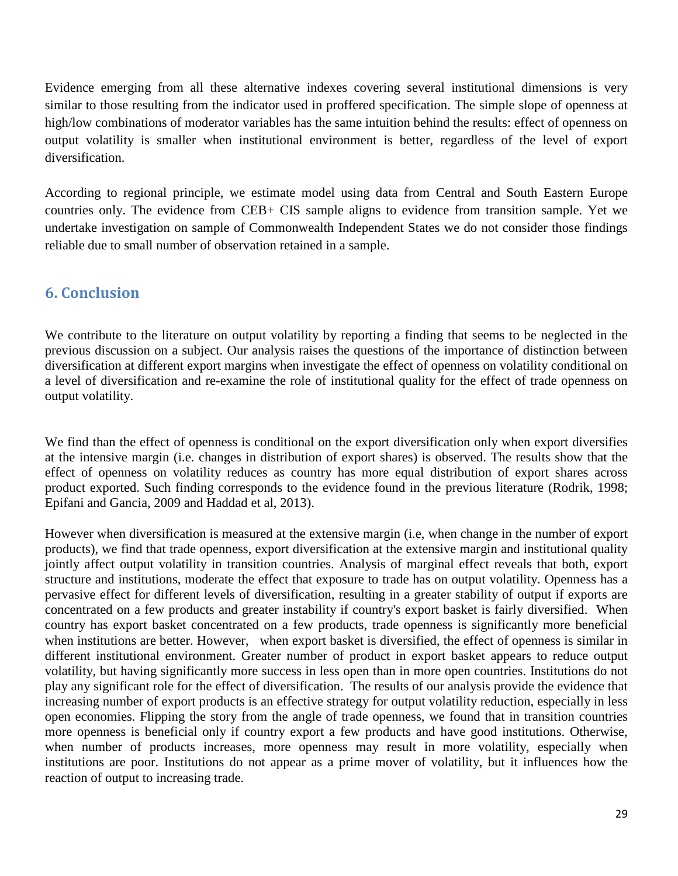Evidence emerging from all these alternative indexes covering several institutional dimensions is very similar to those resulting from the indicator used in proffered specification. The simple slope of openness at high/low combinations of moderator variables has the same intuition behind the results: effect of openness on output volatility is smaller when institutional environment is better, regardless of the level of export diversification.

According to regional principle, we estimate model using data from Central and South Eastern Europe countries only. The evidence from CEB+ CIS sample aligns to evidence from transition sample. Yet we undertake investigation on sample of Commonwealth Independent States we do not consider those findings reliable due to small number of observation retained in a sample.

## **6. Conclusion**

We contribute to the literature on output volatility by reporting a finding that seems to be neglected in the previous discussion on a subject. Our analysis raises the questions of the importance of distinction between diversification at different export margins when investigate the effect of openness on volatility conditional on a level of diversification and re-examine the role of institutional quality for the effect of trade openness on output volatility.

We find than the effect of openness is conditional on the export diversification only when export diversifies at the intensive margin (i.e. changes in distribution of export shares) is observed. The results show that the effect of openness on volatility reduces as country has more equal distribution of export shares across product exported. Such finding corresponds to the evidence found in the previous literature (Rodrik, 1998; Epifani and Gancia, 2009 and Haddad et al, 2013).

However when diversification is measured at the extensive margin (i.e, when change in the number of export products), we find that trade openness, export diversification at the extensive margin and institutional quality jointly affect output volatility in transition countries. Analysis of marginal effect reveals that both, export structure and institutions, moderate the effect that exposure to trade has on output volatility. Openness has a pervasive effect for different levels of diversification, resulting in a greater stability of output if exports are concentrated on a few products and greater instability if country's export basket is fairly diversified. When country has export basket concentrated on a few products, trade openness is significantly more beneficial when institutions are better. However, when export basket is diversified, the effect of openness is similar in different institutional environment. Greater number of product in export basket appears to reduce output volatility, but having significantly more success in less open than in more open countries. Institutions do not play any significant role for the effect of diversification. The results of our analysis provide the evidence that increasing number of export products is an effective strategy for output volatility reduction, especially in less open economies. Flipping the story from the angle of trade openness, we found that in transition countries more openness is beneficial only if country export a few products and have good institutions. Otherwise, when number of products increases, more openness may result in more volatility, especially when institutions are poor. Institutions do not appear as a prime mover of volatility, but it influences how the reaction of output to increasing trade.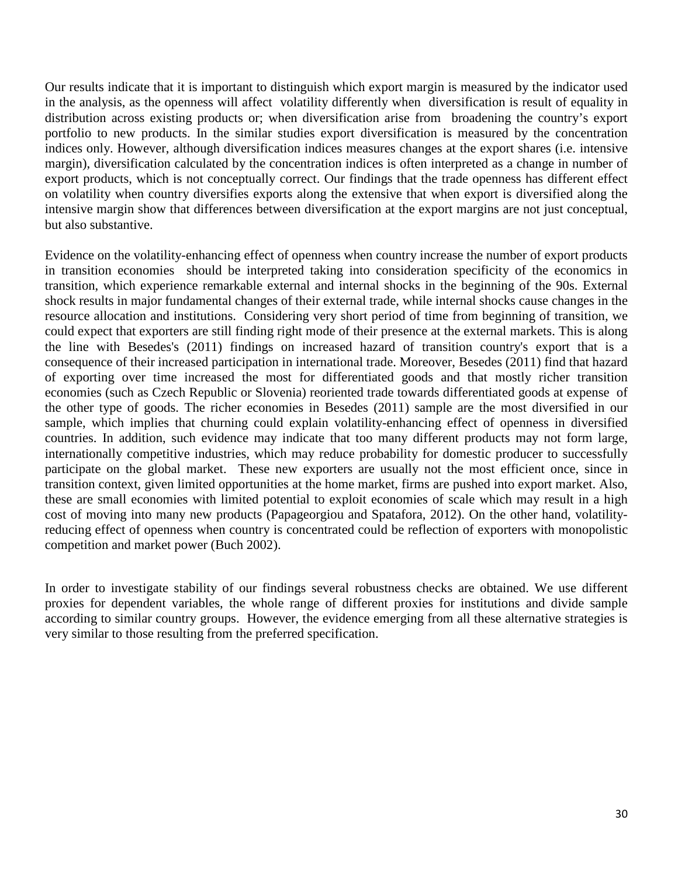Our results indicate that it is important to distinguish which export margin is measured by the indicator used in the analysis, as the openness will affect volatility differently when diversification is result of equality in distribution across existing products or; when diversification arise from broadening the country's export portfolio to new products. In the similar studies export diversification is measured by the concentration indices only. However, although diversification indices measures changes at the export shares (i.e. intensive margin), diversification calculated by the concentration indices is often interpreted as a change in number of export products, which is not conceptually correct. Our findings that the trade openness has different effect on volatility when country diversifies exports along the extensive that when export is diversified along the intensive margin show that differences between diversification at the export margins are not just conceptual, but also substantive.

Evidence on the volatility-enhancing effect of openness when country increase the number of export products in transition economies should be interpreted taking into consideration specificity of the economics in transition, which experience remarkable external and internal shocks in the beginning of the 90s. External shock results in major fundamental changes of their external trade, while internal shocks cause changes in the resource allocation and institutions. Considering very short period of time from beginning of transition, we could expect that exporters are still finding right mode of their presence at the external markets. This is along the line with Besedes's (2011) findings on increased hazard of transition country's export that is a consequence of their increased participation in international trade. Moreover, Besedes (2011) find that hazard of exporting over time increased the most for differentiated goods and that mostly richer transition economies (such as Czech Republic or Slovenia) reoriented trade towards differentiated goods at expense of the other type of goods. The richer economies in Besedes (2011) sample are the most diversified in our sample, which implies that churning could explain volatility-enhancing effect of openness in diversified countries. In addition, such evidence may indicate that too many different products may not form large, internationally competitive industries, which may reduce probability for domestic producer to successfully participate on the global market. These new exporters are usually not the most efficient once, since in transition context, given limited opportunities at the home market, firms are pushed into export market. Also, these are small economies with limited potential to exploit economies of scale which may result in a high cost of moving into many new products (Papageorgiou and Spatafora, 2012). On the other hand, volatilityreducing effect of openness when country is concentrated could be reflection of exporters with monopolistic competition and market power (Buch 2002).

In order to investigate stability of our findings several robustness checks are obtained. We use different proxies for dependent variables, the whole range of different proxies for institutions and divide sample according to similar country groups. However, the evidence emerging from all these alternative strategies is very similar to those resulting from the preferred specification.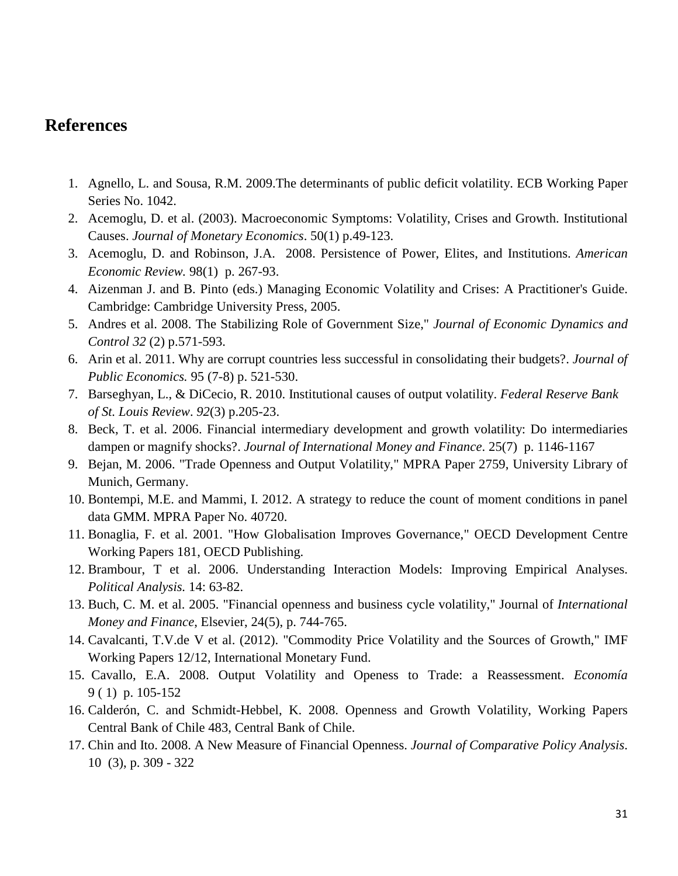# **References**

- 1. Agnello, L. and Sousa, R.M. 2009.The determinants of public deficit volatility. ECB Working Paper Series No. 1042.
- 2. Acemoglu, D. et al. (2003). Macroeconomic Symptoms: Volatility, Crises and Growth. Institutional Causes. *Journal of Monetary Economics*. 50(1) p.49-123.
- 3. Acemoglu, D. and Robinson, J.A. 2008. [Persistence of Power, Elites, and Institutions.](http://ideas.repec.org/a/aea/aecrev/v98y2008i1p267-93.html) *[American](http://ideas.repec.org/s/aea/aecrev.html)  [Economic Review.](http://ideas.repec.org/s/aea/aecrev.html)* 98(1) p. 267-93.
- 4. Aizenman J. and B. Pinto (eds.) Managing Economic Volatility and Crises: A Practitioner's Guide. Cambridge: Cambridge University Press, 2005.
- 5. Andres et al. 2008. The Stabilizing Role of Government Size," *Journal of Economic Dynamics and Control 32* (2) p.571-593.
- 6. Arin et al. 2011. Why are corrupt countries less successful in consolidating their budgets?. *Journal of Public Economics.* 95 (7-8) p. 521-530.
- 7. Barseghyan, L., & DiCecio, R. 2010. Institutional causes of output volatility. *Federal Reserve Bank of St. Louis Review*. *92*(3) p.205-23.
- 8. Beck, T. et al. 2006. [Financial intermediary development and growth volatility: Do intermediaries](http://ideas.repec.org/a/eee/jimfin/v25y2006i7p1146-1167.html)  [dampen or magnify shocks?.](http://ideas.repec.org/a/eee/jimfin/v25y2006i7p1146-1167.html) *[Journal of International Money and Finance](http://ideas.repec.org/s/eee/jimfin.html)*. 25(7) p. 1146-1167
- 9. Bejan, M. 2006. ["Trade Openness and Output Volatility,](http://ideas.repec.org/p/pra/mprapa/2759.html)" [MPRA Paper](http://ideas.repec.org/s/pra/mprapa.html) 2759, University Library of Munich, Germany.
- 10. Bontempi, M.E. and Mammi, I. 2012. A strategy to reduce the count of moment conditions in panel data GMM. MPRA Paper No. 40720.
- 11. Bonaglia, F. et al. 2001. ["How Globalisation Improves Governance,](http://ideas.repec.org/p/oec/devaaa/181-en.html)" [OECD Development Centre](http://ideas.repec.org/s/oec/devaaa.html)  [Working Papers](http://ideas.repec.org/s/oec/devaaa.html) 181, OECD Publishing.
- 12. Brambour, T et al. 2006. [Understanding Interaction Models: Improving Empirical Analyses.](https://files.nyu.edu/mrg217/public/pa_final.pdf)  *Political Analysis.* 14: 63-82.
- 13. Buch, C. M. et al. 2005. ["Financial openness and business cycle volatility,](http://ideas.repec.org/a/eee/jimfin/v24y2005i5p744-765.html)" Journal of *[International](http://ideas.repec.org/s/eee/jimfin.html)  [Money and Finance](http://ideas.repec.org/s/eee/jimfin.html)*, Elsevier, 24(5), p. 744-765.
- 14. Cavalcanti, T.V.de V et al. (2012). ["Commodity Price Volatility and the Sources of Growth,](http://ideas.repec.org/p/imf/imfwpa/12-12.html)" [IMF](http://ideas.repec.org/s/imf/imfwpa.html)  [Working Papers](http://ideas.repec.org/s/imf/imfwpa.html) 12/12, International Monetary Fund.
- 15. Cavallo, E.A. 2008. [Output Volatility and Openess to Trade: a Reassessment.](http://ideas.repec.org/a/col/000425/008594.html) *Economía* 9 ( 1) p. 105-152
- 16. Calderón, C. and Schmidt-Hebbel, K. 2008. [Openness and Growth Volatility,](http://ideas.repec.org/p/chb/bcchwp/483.html) [Working Papers](http://ideas.repec.org/s/chb/bcchwp.html)  [Central Bank of Chile](http://ideas.repec.org/s/chb/bcchwp.html) 483, Central Bank of Chile.
- 17. Chin and Ito. 2008. A New Measure of Financial Openness. *Journal of Comparative Policy Analysis*. 10 (3), p. 309 - 322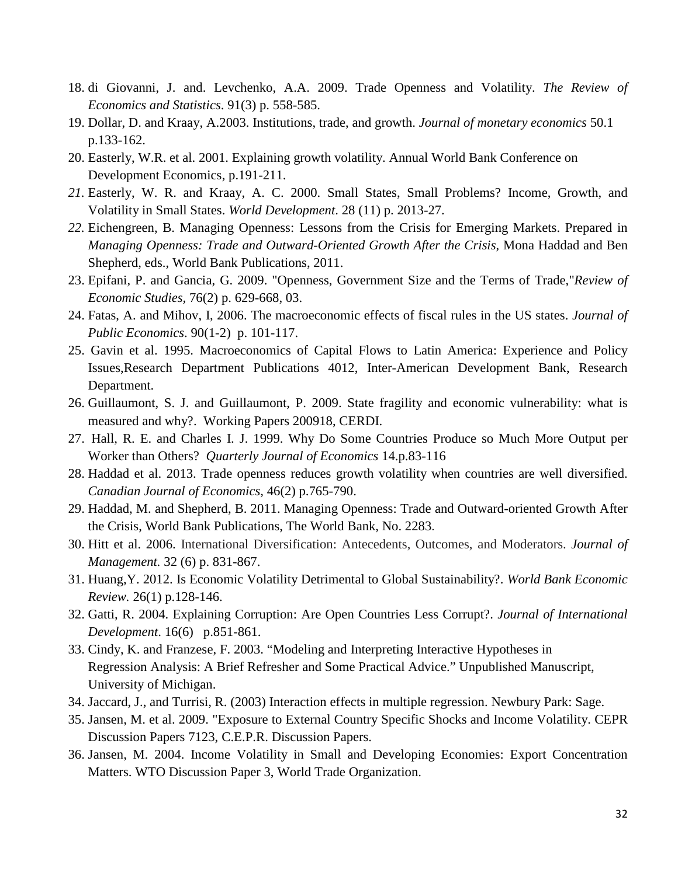- 18. di Giovanni, J. and. Levchenko, A.A. 2009. [Trade Openness and Volatility.](http://ideas.repec.org/a/tpr/restat/v91y2009i3p558-585.html) *[The Review of](http://ideas.repec.org/s/tpr/restat.html)  [Economics and Statistics](http://ideas.repec.org/s/tpr/restat.html)*. 91(3) p. 558-585.
- 19. Dollar, D. and Kraay, A.2003. Institutions, trade, and growth. *Journal of monetary economics* 50.1 p.133-162.
- 20. Easterly, W.R. et al. 2001. Explaining growth volatility. Annual World Bank Conference on Development Economics, p.191-211.
- *21.* Easterly, W. R. and Kraay, A. C. 2000. Small States, Small Problems? Income, Growth, and Volatility in Small States. *World Development*. 28 (11) p. 2013-27.
- *22.* Eichengreen, B. [Managing Openness: Lessons from the Crisis for Emerging Markets.](http://emlab.berkeley.edu/~eichengr/managing_openness_5_10_10.pdf) Prepared in *Managing Openness: Trade and Outward-Oriented Growth After the Crisis*, Mona Haddad and Ben Shepherd, eds., World Bank Publications, 2011.
- 23. Epifani, P. and Gancia, G. 2009. ["Openness, Government Size and the Terms of Trade,](http://ideas.repec.org/a/bla/restud/v76y2009i2p629-668.html)"*[Review of](http://ideas.repec.org/s/bla/restud.html)  [Economic Studies,](http://ideas.repec.org/s/bla/restud.html)* 76(2) p. 629-668, 03.
- 24. Fatas, A. and Mihov, I, 2006. [The macroeconomic effects of fiscal rules](http://ideas.repec.org/a/eee/pubeco/v90y2006i1-2p101-117.html) in the US states. *[Journal of](http://ideas.repec.org/s/eee/pubeco.html)  [Public Economics](http://ideas.repec.org/s/eee/pubeco.html)*. 90(1-2) p. 101-117.
- 25. Gavin et al. 1995. [Macroeconomics of Capital Flows to Latin America: Experience and Policy](http://ideas.repec.org/p/idb/wpaper/4012.html)  [Issues,](http://ideas.repec.org/p/idb/wpaper/4012.html)[Research Department Publications](http://ideas.repec.org/s/idb/wpaper.html) 4012, Inter-American Development Bank, Research Department.
- 26. Guillaumont, S. J. and Guillaumont, P. 2009. [State fragility and economic vulnerability: what is](http://ideas.repec.org/p/cdi/wpaper/1096.html)  [measured and why?.](http://ideas.repec.org/p/cdi/wpaper/1096.html) [Working Papers](http://ideas.repec.org/s/cdi/wpaper.html) 200918, CERDI.
- 27. Hall, R. E. and Charles I. J. 1999. Why Do Some Countries Produce so Much More Output per Worker than Others? *Quarterly Journal of Economics* 14.p.83-116
- 28. Haddad et al. 2013. Trade openness reduces growth volatility when countries are well diversified. *[Canadian Journal of Economics](http://ideas.repec.org/s/cje/issued.html)*, 46(2) p.765-790.
- 29. Haddad, M. and Shepherd, B. 2011. [Managing Openness: Trade and Outward-oriented Growth After](http://ideas.repec.org/b/wbk/wbpubs/2283.html)  [the Crisis,](http://ideas.repec.org/b/wbk/wbpubs/2283.html) [World Bank Publications,](http://ideas.repec.org/s/wbk/wbpubs.html) The World Bank, No. 2283.
- 30. Hitt et al. 2006. International Diversification: Antecedents, Outcomes, and Moderators. *Journal of Management.* 32 (6) p. 831-867.
- 31. Huang,Y. 2012. [Is Economic Volatility Detrimental to Global Sustainability?.](http://ideas.repec.org/a/oup/wbecrv/v26y2012i1p128-146.html) *[World Bank Economic](http://ideas.repec.org/s/oup/wbecrv.html)  [Review.](http://ideas.repec.org/s/oup/wbecrv.html)* 26(1) p.128-146.
- 32. Gatti, R. 2004. Explaining Corruption: Are Open Countries Less Corrupt?. *Journal of International Development*. 16(6) p.851-861.
- 33. Cindy, K. and Franzese, F. 2003. "Modeling and Interpreting Interactive Hypotheses in Regression Analysis: A Brief Refresher and Some Practical Advice." Unpublished Manuscript, University of Michigan.
- 34. Jaccard, J., and Turrisi, R. (2003) Interaction effects in multiple regression. Newbury Park: Sage.
- 35. Jansen, M. et al. 2009. ["Exposure to External Country Specific Shocks and Income Volatility.](http://ideas.repec.org/p/cpr/ceprdp/7123.html) [CEPR](http://ideas.repec.org/s/cpr/ceprdp.html)  [Discussion Papers](http://ideas.repec.org/s/cpr/ceprdp.html) 7123, C.E.P.R. Discussion Papers.
- 36. Jansen, M. 2004. Income Volatility in Small and Developing Economies: Export Concentration Matters. WTO Discussion Paper 3, World Trade Organization.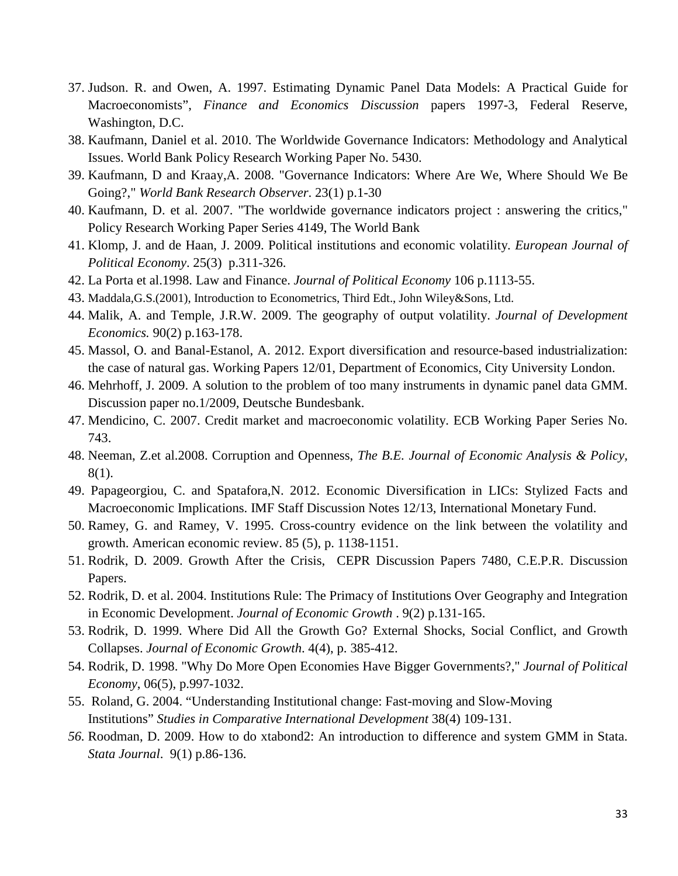- 37. Judson. R. and Owen, A. 1997. Estimating Dynamic Panel Data Models: A Practical Guide for Macroeconomists", *Finance and Economics Discussion* papers 1997-3, Federal Reserve, Washington, D.C.
- 38. Kaufmann, Daniel et al. 2010. The Worldwide Governance Indicators: Methodology and Analytical Issues. World Bank Policy Research Working Paper No. 5430.
- 39. Kaufmann, D and Kraay,A. 2008. ["Governance Indicators: Where Are We, Where Should We Be](http://ideas.repec.org/a/oup/wbrobs/v23y2008i1p1-30.html)  [Going?,](http://ideas.repec.org/a/oup/wbrobs/v23y2008i1p1-30.html)" *[World Bank Research Observer](http://ideas.repec.org/s/oup/wbrobs.html)*. 23(1) p.1-30
- 40. Kaufmann, D. et al. 2007. ["The worldwide governance indicators project : answering the critics,](http://ideas.repec.org/p/wbk/wbrwps/4149.html)" [Policy Research Working Paper Series](http://ideas.repec.org/s/wbk/wbrwps.html) 4149, The World Bank
- 41. Klomp, J. and de Haan, J. 2009. [Political institutions and economic](http://ideas.repec.org/a/eee/poleco/v25y2009i3p311-326.html) volatility. *[European Journal of](http://ideas.repec.org/s/eee/poleco.html)  [Political Economy](http://ideas.repec.org/s/eee/poleco.html)*. 25(3) p.311-326.
- 42. La Porta et al.1998. Law and Finance. *Journal of Political Economy* 106 p.1113-55.
- 43. Maddala,G.S.(2001), Introduction to Econometrics, Third Edt., John Wiley&Sons, Ltd.
- 44. Malik, A. and Temple, J.R.W. 2009. [The geography of output volatility.](http://ideas.repec.org/a/eee/deveco/v90y2009i2p163-178.html) *[Journal of Development](http://ideas.repec.org/s/eee/deveco.html)  [Economics.](http://ideas.repec.org/s/eee/deveco.html)* 90(2) p.163-178.
- 45. Massol, O. and Banal-Estanol, A. 2012. [Export diversification and resource-based industrialization:](http://ideas.repec.org/p/cty/dpaper/12-01.html)  [the case of natural gas.](http://ideas.repec.org/p/cty/dpaper/12-01.html) [Working Papers](http://ideas.repec.org/s/cty/dpaper.html) 12/01, Department of Economics, City University London.
- 46. Mehrhoff, J. 2009. A solution to the problem of too many instruments in dynamic panel data GMM. Discussion paper no.1/2009, Deutsche Bundesbank.
- 47. Mendicino, C. 2007. Credit market and macroeconomic volatility. ECB Working Paper Series No. 743.
- 48. Neeman, Z.et al.2008. [Corruption and Openness,](http://ideas.repec.org/a/bpj/bejeap/v8y2008i1n50.html) *[The B.E. Journal of Economic Analysis & Policy,](http://ideas.repec.org/s/bpj/bejeap.html)*  8(1).
- 49. Papageorgiou, C. and Spatafora,N. 2012. [Economic Diversification in LICs: Stylized Facts and](http://ideas.repec.org/p/imf/imfsdn/12-13.html)  [Macroeconomic Implications.](http://ideas.repec.org/p/imf/imfsdn/12-13.html) [IMF Staff Discussion Notes](http://ideas.repec.org/s/imf/imfsdn.html) 12/13, International Monetary Fund.
- 50. Ramey, G. and Ramey, V. 1995. Cross-country evidence on the link between the volatility and growth. American economic review. 85 (5), p. 1138-1151.
- 51. Rodrik, D. 2009. [Growth After the Crisis,](http://ideas.repec.org/p/cpr/ceprdp/7480.html) [CEPR Discussion Papers](http://ideas.repec.org/s/cpr/ceprdp.html) 7480, C.E.P.R. Discussion Papers.
- 52. Rodrik, D. et al. 2004. [Institutions Rule: The Primacy of Institutions Over Geography and Integration](http://ideas.repec.org/a/kap/jecgro/v9y2004i2p131-165.html)  [in Economic Development.](http://ideas.repec.org/a/kap/jecgro/v9y2004i2p131-165.html) *[Journal of Economic Growth](http://ideas.repec.org/s/kap/jecgro.html)* . 9(2) p.131-165.
- 53. Rodrik, D. 1999. [Where Did All the Growth Go? External Shocks, Social Conflict, and Growth](http://ideas.repec.org/a/kap/jecgro/v4y1999i4p385-412.html)  [Collapses.](http://ideas.repec.org/a/kap/jecgro/v4y1999i4p385-412.html) *[Journal of Economic Growth](http://ideas.repec.org/s/kap/jecgro.html)*. 4(4), p. 385-412.
- 54. Rodrik, D. 1998. ["Why Do More Open Economies Have Bigger Governments?,](http://ideas.repec.org/a/ucp/jpolec/v106y1998i5p997-1032.html)" *[Journal of Political](http://ideas.repec.org/s/ucp/jpolec.html)  [Economy](http://ideas.repec.org/s/ucp/jpolec.html)*, 06(5), p.997-1032.
- 55. Roland, G. 2004. "Understanding Institutional change: Fast-moving and Slow-Moving Institutions" *Studies in Comparative International Development* 38(4) 109-131.
- *56.* Roodman, D. 2009. [How to do xtabond2: An introduction to difference and system GMM in Stata.](http://ideas.repec.org/a/tsj/stataj/v9y2009i1p86-136.html) *[Stata Journal](http://ideas.repec.org/s/tsj/stataj.html)*. 9(1) p.86-136.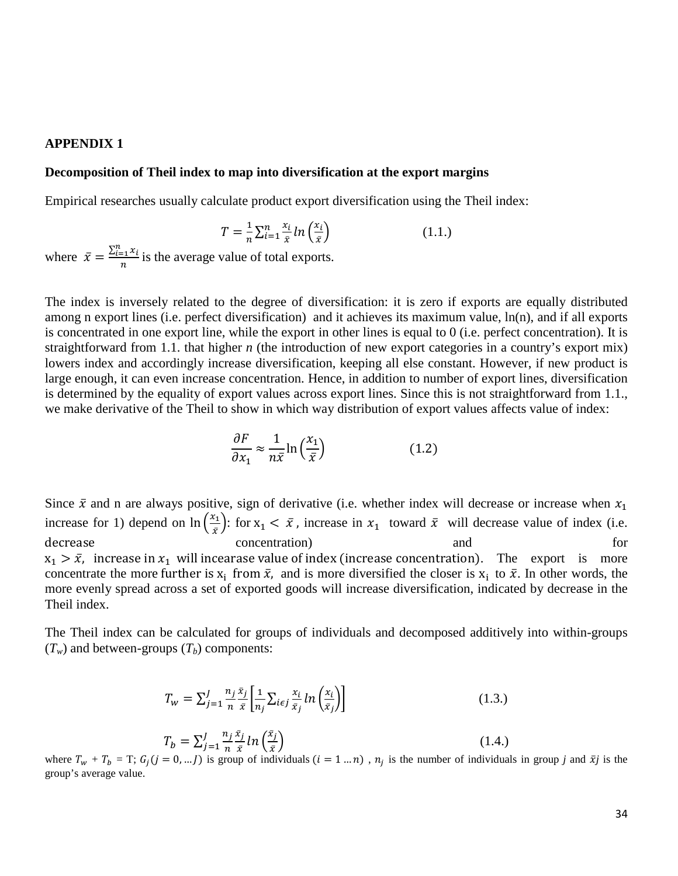#### **APPENDIX 1**

### **Decomposition of Theil index to map into diversification at the export margins**

Empirical researches usually calculate product export diversification using the Theil index:

$$
T = \frac{1}{n} \sum_{i=1}^{n} \frac{x_i}{\bar{x}} ln\left(\frac{x_i}{\bar{x}}\right)
$$
 (1.1.)

where  $\bar{x} = \frac{\sum_{i=1}^{n} x_i}{n}$  is the average value of total exports.

The index is inversely related to the degree of diversification: it is zero if exports are equally distributed among n export lines (i.e. perfect diversification) and it achieves its maximum value, ln(n), and if all exports is concentrated in one export line, while the export in other lines is equal to 0 (i.e. perfect concentration). It is straightforward from 1.1. that higher *n* (the introduction of new export categories in a country's export mix) lowers index and accordingly increase diversification, keeping all else constant. However, if new product is large enough, it can even increase concentration. Hence, in addition to number of export lines, diversification is determined by the equality of export values across export lines. Since this is not straightforward from 1.1., we make derivative of the Theil to show in which way distribution of export values affects value of index:

$$
\frac{\partial F}{\partial x_1} \approx \frac{1}{n\bar{x}} \ln\left(\frac{x_1}{\bar{x}}\right) \tag{1.2}
$$

Since  $\bar{x}$  and n are always positive, sign of derivative (i.e. whether index will decrease or increase when  $x_1$ increase for 1) depend on  $\ln\left(\frac{x_1}{\bar{x}}\right)$  $\left(\frac{x_1}{\bar{x}}\right)$ : for  $x_1 < \bar{x}$ , increase in  $x_1$  toward  $\bar{x}$  will decrease value of index (i.e. decrease concentration) and for  $x_1 > \bar{x}$ , increase in  $x_1$  will incearase value of index (increase concentration). The export is more concentrate the more further is  $x_i$  from  $\bar{x}$ , and is more diversified the closer is  $x_i$  to  $\bar{x}$ . In other words, the more evenly spread across a set of exported goods will increase diversification, indicated by decrease in the Theil index.

The Theil index can be calculated for groups of individuals and decomposed additively into within-groups  $(T_w)$  and between-groups  $(T_b)$  components:

$$
T_w = \sum_{j=1}^{J} \frac{n_j \,\bar{x}_j}{n} \left[ \frac{1}{n_j} \sum_{i \in j} \frac{x_i}{\bar{x}_j} \ln \left( \frac{x_i}{\bar{x}_j} \right) \right] \tag{1.3.}
$$

$$
T_b = \sum_{j=1}^{J} \frac{n_j x_j}{n \bar{x}} ln\left(\frac{x_j}{\bar{x}}\right)
$$
 (1.4.)

 $T_b = \sum_{j=1}^r \frac{1}{n} \frac{1}{\bar{x}} ln\left(\frac{j}{\bar{x}}\right)$  (1.4.)<br>where  $T_w + T_b = T$ ;  $G_j(j = 0, ... J)$  is group of individuals  $(i = 1 ... n)$ ,  $n_j$  is the number of individuals in group *j* and  $\bar{x}j$  is the group's average value.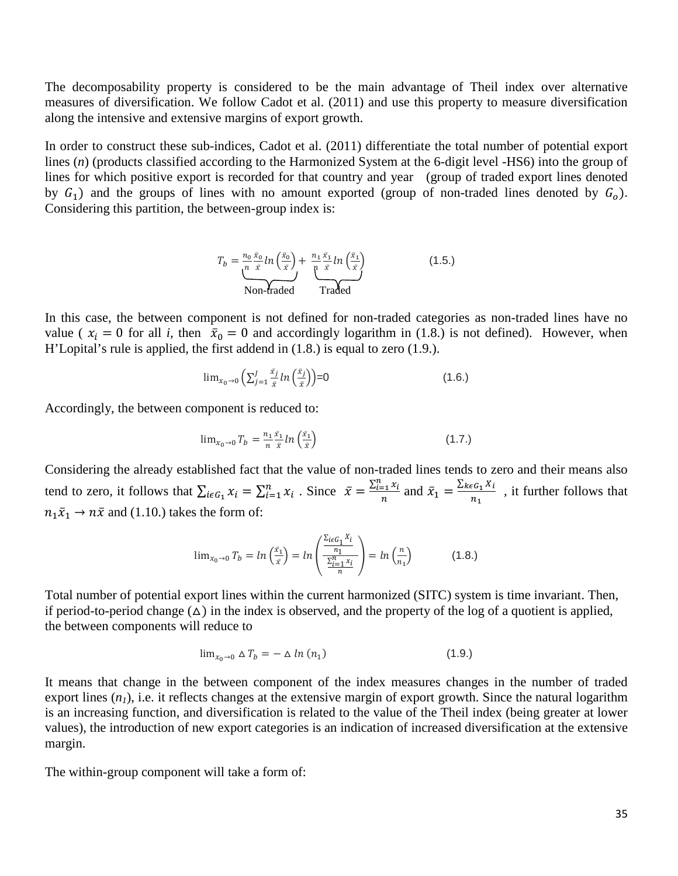The decomposability property is considered to be the main advantage of Theil index over alternative measures of diversification. We follow Cadot et al. (2011) and use this property to measure diversification along the intensive and extensive margins of export growth.

In order to construct these sub-indices, Cadot et al. (2011) differentiate the total number of potential export lines (*n*) (products classified according to the Harmonized System at the 6-digit level -HS6) into the group of lines for which positive export is recorded for that country and year (group of traded export lines denoted by  $G_1$ ) and the groups of lines with no amount exported (group of non-traded lines denoted by  $G_0$ ). Considering this partition, the between-group index is:

$$
T_b = \underbrace{\frac{n_0 \,\bar{x}_0}{n} \ln\left(\frac{\bar{x}_0}{\bar{x}}\right)}_{\text{Non-graded}} + \underbrace{\frac{n_1 \,\bar{x}_1}{n} \ln\left(\frac{\bar{x}_1}{\bar{x}}\right)}_{\text{Traded}}
$$
(1.5.)

In this case, the between component is not defined for non-traded categories as non-traded lines have no value ( $x_i = 0$  for all *i*, then  $\bar{x}_0 = 0$  and accordingly logarithm in (1.8.) is not defined). However, when H'Lopital's rule is applied, the first addend in (1.8.) is equal to zero (1.9.).

$$
\lim_{x_0 \to 0} \left( \sum_{j=1}^J \frac{\bar{x}_j}{\bar{x}} \ln \left( \frac{\bar{x}_j}{\bar{x}} \right) \right) = 0 \tag{1.6.}
$$

Accordingly, the between component is reduced to:

$$
\lim_{x_0 \to 0} T_b = \frac{n_1 \bar{x}_1}{n \bar{x}} ln\left(\frac{\bar{x}_1}{\bar{x}}\right)
$$
\n(1.7.)

Considering the already established fact that the value of non-traded lines tends to zero and their means also tend to zero, it follows that  $\sum_{i \in G_1} x_i = \sum_{i=1}^n x_i$ . Since  $\bar{x} = \frac{\sum_{i=1}^n x_i}{n}$  and  $\bar{x}_1 = \frac{\sum_{k \in G_1} x_i}{n_1}$ , it further follows that  $_1\bar{x}_1 \rightarrow n\bar{x}$  and (1.10.) takes the form of:

$$
\lim_{x_0 \to 0} T_b = \ln \left( \frac{\bar{x}_1}{\bar{x}} \right) = \ln \left( \frac{\frac{\sum_{i \in G_1} x_i}{n_1}}{\frac{\sum_{i=1}^n x_i}{n}} \right) = \ln \left( \frac{n}{n_1} \right) \tag{1.8.}
$$

Total number of potential export lines within the current harmonized (SITC) system is time invariant. Then, if period-to-period change  $(\Delta)$  in the index is observed, and the property of the log of a quotient is applied, the between components will reduce to

$$
\lim_{x_0 \to 0} \Delta T_b = -\Delta \ln (n_1) \tag{1.9.}
$$

It means that change in the between component of the index measures changes in the number of traded export lines  $(n_1)$ , i.e. it reflects changes at the extensive margin of export growth. Since the natural logarithm is an increasing function, and diversification is related to the value of the Theil index (being greater at lower values), the introduction of new export categories is an indication of increased diversification at the extensive margin.

The within-group component will take a form of: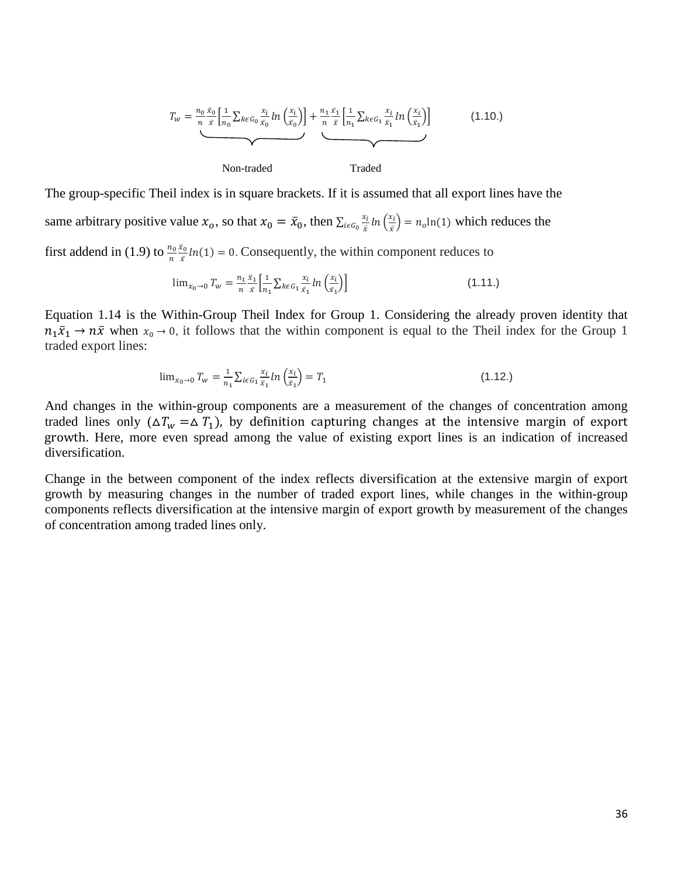$$
T_{w} = \underbrace{\frac{n_{0} \bar{x}_{0}}{n} \left[ \frac{1}{n_{0}} \sum_{k \in G_{0}} \frac{x_{i}}{\bar{x}_{0}} ln\left(\frac{x_{i}}{\bar{x}_{0}}\right) \right]}_{\text{Non-traded}} + \underbrace{\frac{n_{1} \bar{x}_{1}}{n} \left[ \frac{1}{n_{1}} \sum_{k \in G_{1}} \frac{x_{i}}{\bar{x}_{1}} ln\left(\frac{x_{i}}{\bar{x}_{1}}\right) \right]}_{\text{Traded}} \tag{1.10.}
$$

The group-specific Theil index is in square brackets. If it is assumed that all export lines have the

same arbitrary positive value  $x_o$ , so that  $x_0 = \bar{x}_0$ , then  $\sum_{i \in G_0} \frac{x_i}{\bar{x}} ln(\frac{x_i}{\bar{x}}) = n_o ln(1)$  which reduces the

first addend in (1.9) to  $\frac{n_0}{n} \frac{x_0}{\bar{x}} ln(1) = 0$ . Consequently, the within component reduces to

$$
\lim_{x_0 \to 0} T_w = \frac{n_1 \,\bar{x}_1}{n} \left[ \frac{1}{n_1} \sum_{k \in G_1} \frac{x_i}{\bar{x}_1} \ln \left( \frac{x_i}{\bar{x}_1} \right) \right] \tag{1.11.}
$$

Equation 1.14 is the Within-Group Theil Index for Group 1. Considering the already proven identity that  $_1\bar{x}_1 \rightarrow n\bar{x}$  when  $x_0 \rightarrow 0$ , it follows that the within component is equal to the Theil index for the Group 1 traded export lines:

$$
\lim_{x_0 \to 0} T_w = \frac{1}{n_1} \sum_{i \in G_1} \frac{x_i}{\bar{x}_1} \ln \left( \frac{x_i}{\bar{x}_1} \right) = T_1 \tag{1.12.}
$$

And changes in the within-group components are a measurement of the changes of concentration among traded lines only ( $\Delta T_w = \Delta T_1$ ), by definition capturing changes at the intensive margin of export growth. Here, more even spread among the value of existing export lines is an indication of increased diversification.

Change in the between component of the index reflects diversification at the extensive margin of export growth by measuring changes in the number of traded export lines, while changes in the within-group components reflects diversification at the intensive margin of export growth by measurement of the changes of concentration among traded lines only.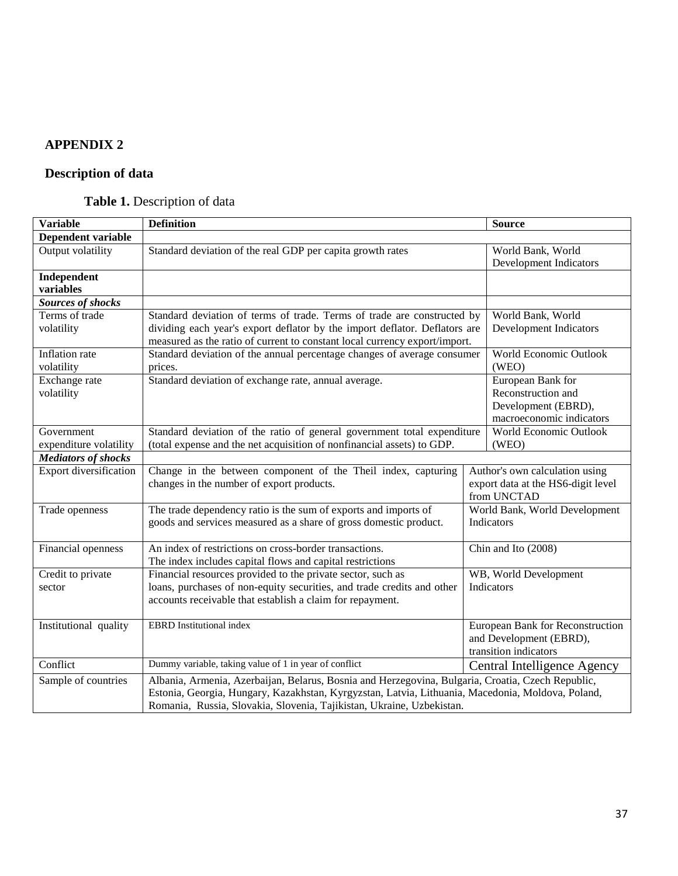## **APPENDIX 2**

# **Description of data**

# **Table 1.** Description of data

| <b>Variable</b>               | <b>Definition</b>                                                                                 | <b>Source</b>                      |
|-------------------------------|---------------------------------------------------------------------------------------------------|------------------------------------|
| <b>Dependent variable</b>     |                                                                                                   |                                    |
| Output volatility             | Standard deviation of the real GDP per capita growth rates                                        | World Bank, World                  |
|                               |                                                                                                   | Development Indicators             |
| Independent                   |                                                                                                   |                                    |
| variables                     |                                                                                                   |                                    |
| Sources of shocks             |                                                                                                   |                                    |
| Terms of trade                | Standard deviation of terms of trade. Terms of trade are constructed by                           | World Bank, World                  |
| volatility                    | dividing each year's export deflator by the import deflator. Deflators are                        | Development Indicators             |
|                               | measured as the ratio of current to constant local currency export/import.                        |                                    |
| Inflation rate                | Standard deviation of the annual percentage changes of average consumer                           | World Economic Outlook             |
| volatility                    | prices.                                                                                           | (WEO)                              |
| Exchange rate                 | Standard deviation of exchange rate, annual average.                                              | European Bank for                  |
| volatility                    |                                                                                                   | Reconstruction and                 |
|                               |                                                                                                   | Development (EBRD),                |
|                               |                                                                                                   | macroeconomic indicators           |
| Government                    | Standard deviation of the ratio of general government total expenditure                           | World Economic Outlook             |
| expenditure volatility        | (total expense and the net acquisition of nonfinancial assets) to GDP.                            | (WEO)                              |
| <b>Mediators of shocks</b>    |                                                                                                   |                                    |
| <b>Export diversification</b> | Change in the between component of the Theil index, capturing                                     | Author's own calculation using     |
|                               | changes in the number of export products.                                                         | export data at the HS6-digit level |
|                               |                                                                                                   | from UNCTAD                        |
| Trade openness                | The trade dependency ratio is the sum of exports and imports of                                   | World Bank, World Development      |
|                               | goods and services measured as a share of gross domestic product.                                 | Indicators                         |
|                               |                                                                                                   |                                    |
| Financial openness            | An index of restrictions on cross-border transactions.                                            | Chin and Ito (2008)                |
|                               | The index includes capital flows and capital restrictions                                         |                                    |
| Credit to private             | Financial resources provided to the private sector, such as                                       | WB, World Development              |
| sector                        | loans, purchases of non-equity securities, and trade credits and other                            | Indicators                         |
|                               | accounts receivable that establish a claim for repayment.                                         |                                    |
|                               |                                                                                                   |                                    |
| Institutional quality         | <b>EBRD</b> Institutional index                                                                   | European Bank for Reconstruction   |
|                               |                                                                                                   | and Development (EBRD),            |
|                               |                                                                                                   | transition indicators              |
| Conflict                      | Dummy variable, taking value of 1 in year of conflict                                             | Central Intelligence Agency        |
| Sample of countries           | Albania, Armenia, Azerbaijan, Belarus, Bosnia and Herzegovina, Bulgaria, Croatia, Czech Republic, |                                    |
|                               | Estonia, Georgia, Hungary, Kazakhstan, Kyrgyzstan, Latvia, Lithuania, Macedonia, Moldova, Poland, |                                    |
|                               | Romania, Russia, Slovakia, Slovenia, Tajikistan, Ukraine, Uzbekistan.                             |                                    |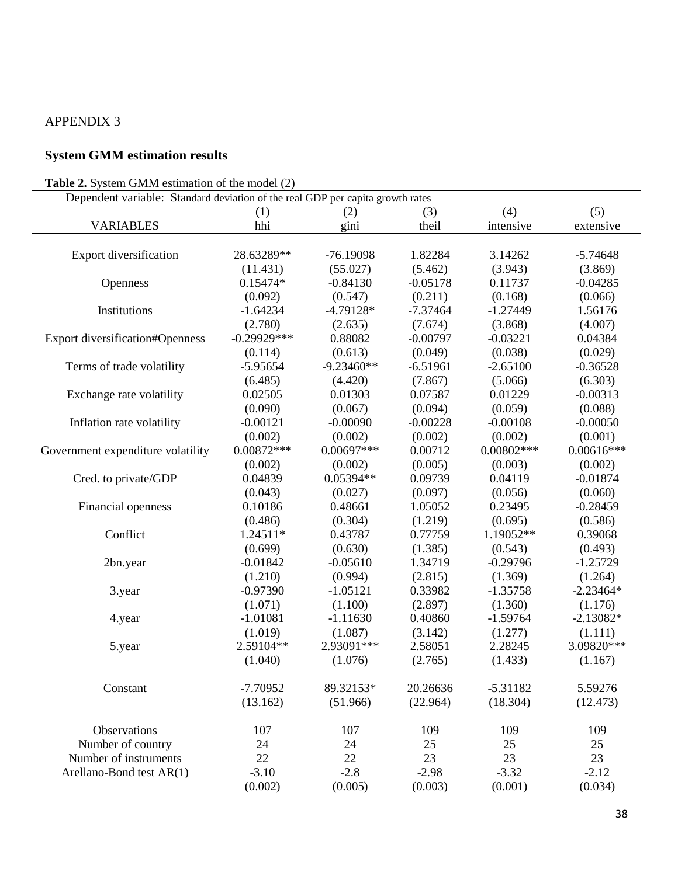## APPENDIX 3

# **System GMM estimation results**

### **Table 2.** System GMM estimation of the model (2)

| <b>Table 2.</b> System GMM estimation of the model (2)                         |               |              |            |              |              |  |  |  |
|--------------------------------------------------------------------------------|---------------|--------------|------------|--------------|--------------|--|--|--|
| Dependent variable: Standard deviation of the real GDP per capita growth rates |               |              |            |              |              |  |  |  |
|                                                                                | (1)           | (2)          | (3)        | (4)          | (5)          |  |  |  |
| <b>VARIABLES</b>                                                               | hhi           | gini         | theil      | intensive    | extensive    |  |  |  |
|                                                                                |               |              |            |              |              |  |  |  |
| <b>Export diversification</b>                                                  | 28.63289**    | $-76.19098$  | 1.82284    | 3.14262      | $-5.74648$   |  |  |  |
|                                                                                | (11.431)      | (55.027)     | (5.462)    | (3.943)      | (3.869)      |  |  |  |
| Openness                                                                       | $0.15474*$    | $-0.84130$   | $-0.05178$ | 0.11737      | $-0.04285$   |  |  |  |
|                                                                                | (0.092)       | (0.547)      | (0.211)    | (0.168)      | (0.066)      |  |  |  |
| Institutions                                                                   | $-1.64234$    | $-4.79128*$  | $-7.37464$ | $-1.27449$   | 1.56176      |  |  |  |
|                                                                                | (2.780)       | (2.635)      | (7.674)    | (3.868)      | (4.007)      |  |  |  |
| <b>Export diversification#Openness</b>                                         | $-0.29929***$ | 0.88082      | $-0.00797$ | $-0.03221$   | 0.04384      |  |  |  |
|                                                                                | (0.114)       | (0.613)      | (0.049)    | (0.038)      | (0.029)      |  |  |  |
| Terms of trade volatility                                                      | $-5.95654$    | $-9.23460**$ | $-6.51961$ | $-2.65100$   | $-0.36528$   |  |  |  |
|                                                                                | (6.485)       | (4.420)      | (7.867)    | (5.066)      | (6.303)      |  |  |  |
| Exchange rate volatility                                                       | 0.02505       | 0.01303      | 0.07587    | 0.01229      | $-0.00313$   |  |  |  |
|                                                                                | (0.090)       | (0.067)      | (0.094)    | (0.059)      | (0.088)      |  |  |  |
| Inflation rate volatility                                                      | $-0.00121$    | $-0.00090$   | $-0.00228$ | $-0.00108$   | $-0.00050$   |  |  |  |
|                                                                                | (0.002)       | (0.002)      | (0.002)    | (0.002)      | (0.001)      |  |  |  |
| Government expenditure volatility                                              | $0.00872***$  | $0.00697***$ | 0.00712    | $0.00802***$ | $0.00616***$ |  |  |  |
|                                                                                | (0.002)       | (0.002)      | (0.005)    | (0.003)      | (0.002)      |  |  |  |
| Cred. to private/GDP                                                           | 0.04839       | 0.05394**    | 0.09739    | 0.04119      | $-0.01874$   |  |  |  |
|                                                                                | (0.043)       | (0.027)      | (0.097)    | (0.056)      | (0.060)      |  |  |  |
| Financial openness                                                             | 0.10186       | 0.48661      | 1.05052    | 0.23495      | $-0.28459$   |  |  |  |
|                                                                                | (0.486)       | (0.304)      | (1.219)    | (0.695)      | (0.586)      |  |  |  |
| Conflict                                                                       | 1.24511*      | 0.43787      | 0.77759    | 1.19052**    | 0.39068      |  |  |  |
|                                                                                | (0.699)       | (0.630)      | (1.385)    | (0.543)      | (0.493)      |  |  |  |
| 2bn.year                                                                       | $-0.01842$    | $-0.05610$   | 1.34719    | $-0.29796$   | $-1.25729$   |  |  |  |
|                                                                                | (1.210)       | (0.994)      | (2.815)    | (1.369)      | (1.264)      |  |  |  |
| 3.year                                                                         | $-0.97390$    | $-1.05121$   | 0.33982    | $-1.35758$   | $-2.23464*$  |  |  |  |
|                                                                                | (1.071)       | (1.100)      | (2.897)    | (1.360)      | (1.176)      |  |  |  |
| 4.year                                                                         | $-1.01081$    | $-1.11630$   | 0.40860    | $-1.59764$   | $-2.13082*$  |  |  |  |
|                                                                                | (1.019)       | (1.087)      | (3.142)    | (1.277)      | (1.111)      |  |  |  |
| 5.year                                                                         | 2.59104**     | 2.93091***   | 2.58051    | 2.28245      | 3.09820***   |  |  |  |
|                                                                                | (1.040)       | (1.076)      | (2.765)    | (1.433)      | (1.167)      |  |  |  |
| Constant                                                                       | $-7.70952$    | 89.32153*    | 20.26636   | $-5.31182$   | 5.59276      |  |  |  |
|                                                                                | (13.162)      | (51.966)     | (22.964)   | (18.304)     | (12.473)     |  |  |  |
| Observations                                                                   | 107           | 107          | 109        | 109          | 109          |  |  |  |
| Number of country                                                              | 24            | 24           | 25         | 25           | 25           |  |  |  |
| Number of instruments                                                          | 22            | 22           | 23         | 23           | 23           |  |  |  |
| Arellano-Bond test AR(1)                                                       | $-3.10$       | $-2.8$       | $-2.98$    | $-3.32$      | $-2.12$      |  |  |  |
|                                                                                | (0.002)       | (0.005)      | (0.003)    | (0.001)      | (0.034)      |  |  |  |
|                                                                                |               |              |            |              |              |  |  |  |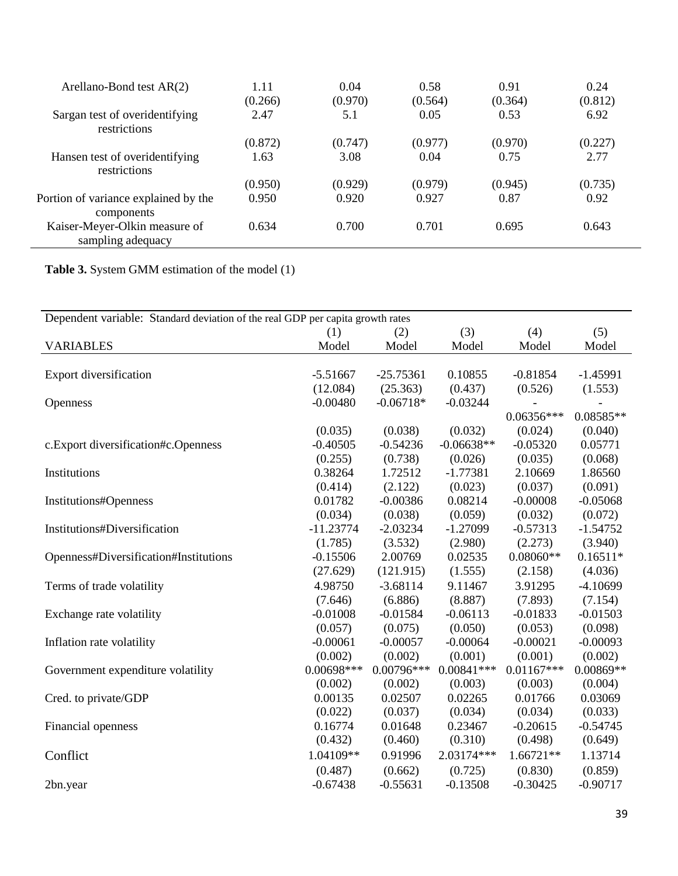| Arellano-Bond test $AR(2)$                         | 1.11<br>(0.266) | 0.04<br>(0.970) | 0.58<br>(0.564) | 0.91<br>(0.364) | 0.24<br>(0.812) |
|----------------------------------------------------|-----------------|-----------------|-----------------|-----------------|-----------------|
| Sargan test of overidentifying<br>restrictions     | 2.47            | 5.1             | 0.05            | 0.53            | 6.92            |
|                                                    | (0.872)         | (0.747)         | (0.977)         | (0.970)         | (0.227)         |
| Hansen test of overidentifying<br>restrictions     | 1.63            | 3.08            | 0.04            | 0.75            | 2.77            |
|                                                    | (0.950)         | (0.929)         | (0.979)         | (0.945)         | (0.735)         |
| Portion of variance explained by the<br>components | 0.950           | 0.920           | 0.927           | 0.87            | 0.92            |
| Kaiser-Meyer-Olkin measure of<br>sampling adequacy | 0.634           | 0.700           | 0.701           | 0.695           | 0.643           |

**Table 3.** System GMM estimation of the model (1)

| Dependent variable: Standard deviation of the real GDP per capita growth rates |              |              |              |              |            |  |  |
|--------------------------------------------------------------------------------|--------------|--------------|--------------|--------------|------------|--|--|
|                                                                                | (1)          | (2)          | (3)          | (4)          | (5)        |  |  |
| <b>VARIABLES</b>                                                               | Model        | Model        | Model        | Model        | Model      |  |  |
|                                                                                |              |              |              |              |            |  |  |
| Export diversification                                                         | $-5.51667$   | $-25.75361$  | 0.10855      | $-0.81854$   | $-1.45991$ |  |  |
|                                                                                | (12.084)     | (25.363)     | (0.437)      | (0.526)      | (1.553)    |  |  |
| <b>Openness</b>                                                                | $-0.00480$   | $-0.06718*$  | $-0.03244$   |              |            |  |  |
|                                                                                |              |              |              | $0.06356***$ | 0.08585**  |  |  |
|                                                                                | (0.035)      | (0.038)      | (0.032)      | (0.024)      | (0.040)    |  |  |
| c.Export diversification#c.Openness                                            | $-0.40505$   | $-0.54236$   | $-0.06638**$ | $-0.05320$   | 0.05771    |  |  |
|                                                                                | (0.255)      | (0.738)      | (0.026)      | (0.035)      | (0.068)    |  |  |
| Institutions                                                                   | 0.38264      | 1.72512      | $-1.77381$   | 2.10669      | 1.86560    |  |  |
|                                                                                | (0.414)      | (2.122)      | (0.023)      | (0.037)      | (0.091)    |  |  |
| Institutions#Openness                                                          | 0.01782      | $-0.00386$   | 0.08214      | $-0.00008$   | $-0.05068$ |  |  |
|                                                                                | (0.034)      | (0.038)      | (0.059)      | (0.032)      | (0.072)    |  |  |
| Institutions#Diversification                                                   | $-11.23774$  | $-2.03234$   | $-1.27099$   | $-0.57313$   | $-1.54752$ |  |  |
|                                                                                | (1.785)      | (3.532)      | (2.980)      | (2.273)      | (3.940)    |  |  |
| Openness#Diversification#Institutions                                          | $-0.15506$   | 2.00769      | 0.02535      | $0.08060**$  | $0.16511*$ |  |  |
|                                                                                | (27.629)     | (121.915)    | (1.555)      | (2.158)      | (4.036)    |  |  |
| Terms of trade volatility                                                      | 4.98750      | $-3.68114$   | 9.11467      | 3.91295      | $-4.10699$ |  |  |
|                                                                                | (7.646)      | (6.886)      | (8.887)      | (7.893)      | (7.154)    |  |  |
| Exchange rate volatility                                                       | $-0.01008$   | $-0.01584$   | $-0.06113$   | $-0.01833$   | $-0.01503$ |  |  |
|                                                                                | (0.057)      | (0.075)      | (0.050)      | (0.053)      | (0.098)    |  |  |
| Inflation rate volatility                                                      | $-0.00061$   | $-0.00057$   | $-0.00064$   | $-0.00021$   | $-0.00093$ |  |  |
|                                                                                | (0.002)      | (0.002)      | (0.001)      | (0.001)      | (0.002)    |  |  |
| Government expenditure volatility                                              | $0.00698***$ | $0.00796***$ | $0.00841***$ | $0.01167***$ | 0.00869**  |  |  |
|                                                                                | (0.002)      | (0.002)      | (0.003)      | (0.003)      | (0.004)    |  |  |
| Cred. to private/GDP                                                           | 0.00135      | 0.02507      | 0.02265      | 0.01766      | 0.03069    |  |  |
|                                                                                | (0.022)      | (0.037)      | (0.034)      | (0.034)      | (0.033)    |  |  |
| Financial openness                                                             | 0.16774      | 0.01648      | 0.23467      | $-0.20615$   | $-0.54745$ |  |  |
|                                                                                | (0.432)      | (0.460)      | (0.310)      | (0.498)      | (0.649)    |  |  |
| Conflict                                                                       | 1.04109**    | 0.91996      | 2.03174***   | $1.66721**$  | 1.13714    |  |  |
|                                                                                | (0.487)      | (0.662)      | (0.725)      | (0.830)      | (0.859)    |  |  |
| 2bn.year                                                                       | $-0.67438$   | $-0.55631$   | $-0.13508$   | $-0.30425$   | $-0.90717$ |  |  |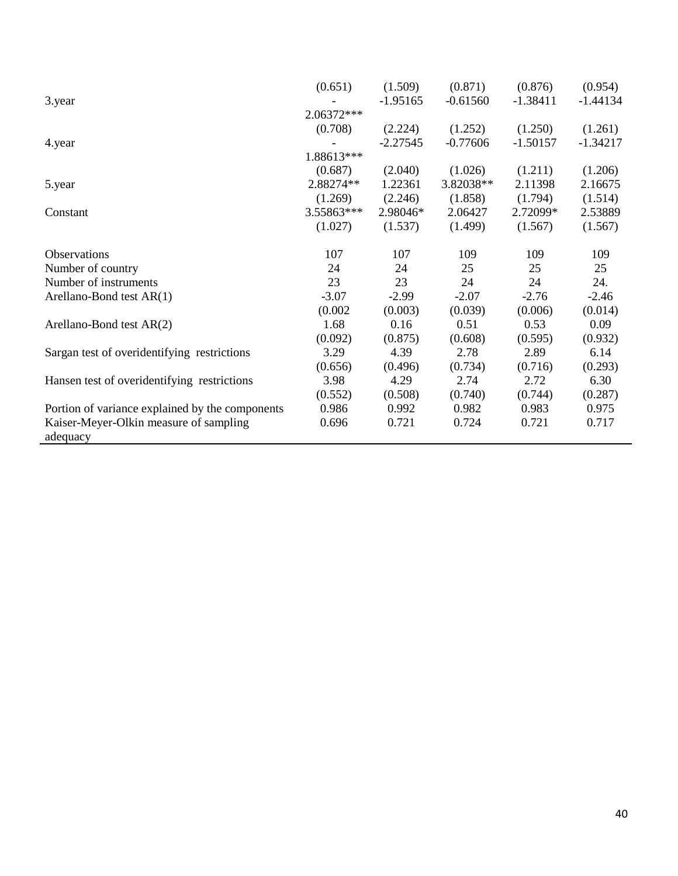| $-1.44134$ |
|------------|
|            |
|            |
| (1.261)    |
| $-1.34217$ |
|            |
| (1.206)    |
| 2.16675    |
| (1.514)    |
| 2.53889    |
| (1.567)    |
|            |
| 109        |
| 25         |
| 24.        |
| $-2.46$    |
| (0.014)    |
| 0.09       |
| (0.932)    |
| 6.14       |
| (0.293)    |
| 6.30       |
| (0.287)    |
| 0.975      |
| 0.717      |
|            |
|            |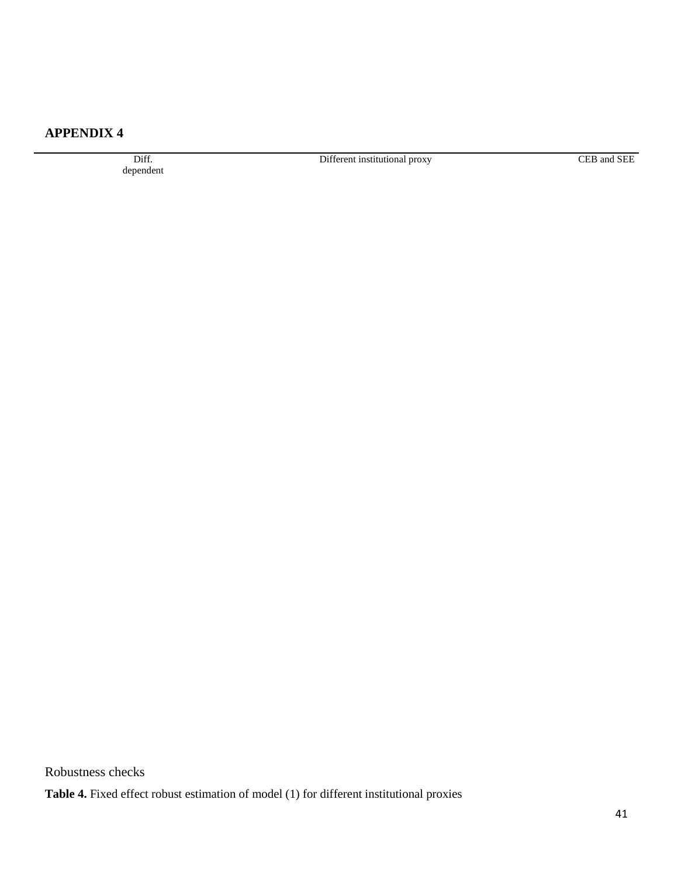## **APPENDIX 4**

Diff. dependent Different institutional proxy CEB and SEE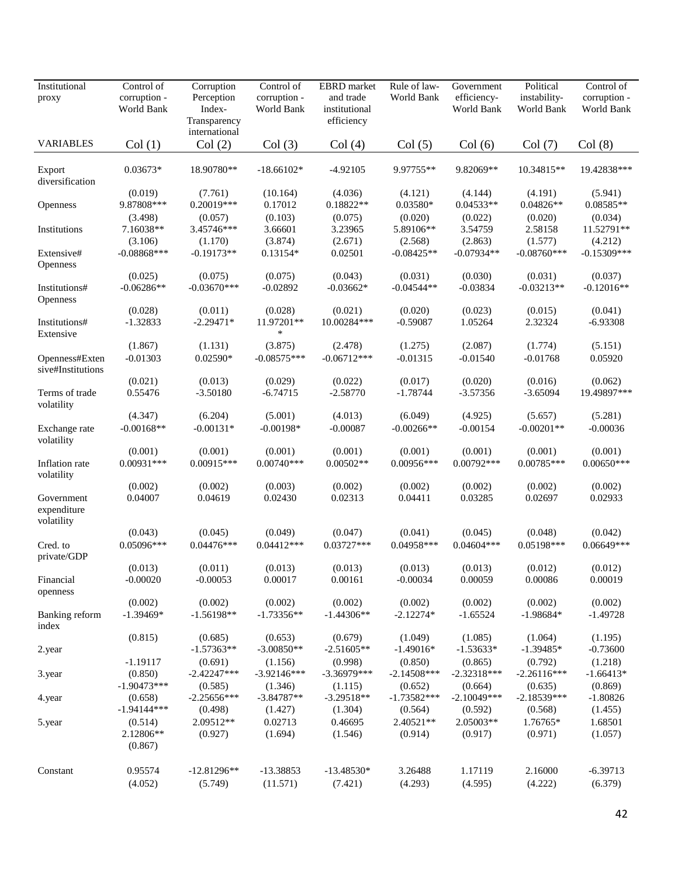| Institutional<br>proxy                  | Control of<br>corruption -<br>World Bank | Corruption<br>Perception<br>Index-<br>Transparency | Control of<br>corruption -<br>World Bank | EBRD market<br>and trade<br>institutional<br>efficiency | Rule of law-<br>World Bank | Government<br>efficiency-<br>World Bank | Political<br>instability-<br>World Bank | Control of<br>corruption -<br>World Bank |
|-----------------------------------------|------------------------------------------|----------------------------------------------------|------------------------------------------|---------------------------------------------------------|----------------------------|-----------------------------------------|-----------------------------------------|------------------------------------------|
| <b>VARIABLES</b>                        | Col(1)                                   | international<br>Col(2)                            | Col(3)                                   | Col(4)                                                  | Col(5)                     | Col(6)                                  | Col(7)                                  | Col(8)                                   |
| Export<br>diversification               | $0.03673*$                               | 18.90780**                                         | $-18.66102*$                             | $-4.92105$                                              | 9.97755**                  | 9.82069**                               | 10.34815**                              | 19.42838***                              |
|                                         | (0.019)                                  | (7.761)                                            | (10.164)                                 | (4.036)                                                 | (4.121)                    | (4.144)                                 | (4.191)                                 | (5.941)                                  |
| Openness                                | 9.87808***<br>(3.498)                    | 0.20019***<br>(0.057)                              | 0.17012<br>(0.103)                       | 0.18822**<br>(0.075)                                    | 0.03580*<br>(0.020)        | $0.04533**$<br>(0.022)                  | $0.04826**$<br>(0.020)                  | 0.08585**<br>(0.034)                     |
| Institutions                            | 7.16038**<br>(3.106)                     | 3.45746***<br>(1.170)                              | 3.66601<br>(3.874)                       | 3.23965<br>(2.671)                                      | 5.89106**<br>(2.568)       | 3.54759<br>(2.863)                      | 2.58158<br>(1.577)                      | 11.52791**<br>(4.212)                    |
| Extensive#<br>Openness                  | $-0.08868$ ***                           | $-0.19173**$                                       | $0.13154*$                               | 0.02501                                                 | $-0.08425**$               | $-0.07934**$                            | $-0.08760***$                           | $-0.15309$ ***                           |
|                                         | (0.025)                                  | (0.075)                                            | (0.075)                                  | (0.043)                                                 | (0.031)                    | (0.030)                                 | (0.031)                                 | (0.037)                                  |
| Institutions#<br>Openness               | $-0.06286**$                             | $-0.03670***$                                      | $-0.02892$                               | $-0.03662*$                                             | $-0.04544**$               | $-0.03834$                              | $-0.03213**$                            | $-0.12016**$                             |
| Institutions#<br>Extensive              | (0.028)<br>$-1.32833$                    | (0.011)<br>$-2.29471*$                             | (0.028)<br>11.97201**<br>*               | (0.021)<br>10.00284***                                  | (0.020)<br>$-0.59087$      | (0.023)<br>1.05264                      | (0.015)<br>2.32324                      | (0.041)<br>$-6.93308$                    |
|                                         | (1.867)                                  | (1.131)                                            | (3.875)                                  | (2.478)                                                 | (1.275)                    | (2.087)                                 | (1.774)                                 | (5.151)                                  |
| Openness#Exten<br>sive#Institutions     | $-0.01303$                               | 0.02590*                                           | $-0.08575***$                            | $-0.06712***$                                           | $-0.01315$                 | $-0.01540$                              | $-0.01768$                              | 0.05920                                  |
|                                         | (0.021)                                  | (0.013)                                            | (0.029)                                  | (0.022)                                                 | (0.017)                    | (0.020)                                 | (0.016)                                 | (0.062)                                  |
| Terms of trade<br>volatility            | 0.55476                                  | $-3.50180$                                         | $-6.74715$                               | $-2.58770$                                              | $-1.78744$                 | $-3.57356$                              | $-3.65094$                              | 19.49897***                              |
| Exchange rate<br>volatility             | (4.347)<br>$-0.00168**$                  | (6.204)<br>$-0.00131*$                             | (5.001)<br>$-0.00198*$                   | (4.013)<br>$-0.00087$                                   | (6.049)<br>$-0.00266**$    | (4.925)<br>$-0.00154$                   | (5.657)<br>$-0.00201**$                 | (5.281)<br>$-0.00036$                    |
| Inflation rate<br>volatility            | (0.001)<br>$0.00931***$                  | (0.001)<br>$0.00915***$                            | (0.001)<br>$0.00740***$                  | (0.001)<br>$0.00502**$                                  | (0.001)<br>0.00956***      | (0.001)<br>$0.00792***$                 | (0.001)<br>$0.00785***$                 | (0.001)<br>$0.00650***$                  |
|                                         | (0.002)                                  | (0.002)                                            | (0.003)                                  | (0.002)                                                 | (0.002)                    | (0.002)                                 | (0.002)                                 | (0.002)                                  |
| Government<br>expenditure<br>volatility | 0.04007                                  | 0.04619                                            | 0.02430                                  | 0.02313                                                 | 0.04411                    | 0.03285                                 | 0.02697                                 | 0.02933                                  |
|                                         | (0.043)                                  | (0.045)                                            | (0.049)                                  | (0.047)                                                 | (0.041)                    | (0.045)                                 | (0.048)                                 | (0.042)                                  |
| Cred. to<br>private/GDP                 | $0.05096***$                             | $0.04476***$                                       | $0.04412***$                             | $0.03727***$                                            | $0.04958***$               | $0.04604***$                            | 0.05198***                              | 0.06649***                               |
| Financial                               | (0.013)<br>$-0.00020$                    | (0.011)<br>$-0.00053$                              | (0.013)<br>0.00017                       | (0.013)<br>0.00161                                      | (0.013)<br>$-0.00034$      | (0.013)<br>0.00059                      | (0.012)<br>0.00086                      | (0.012)<br>0.00019                       |
| openness                                | (0.002)                                  | (0.002)                                            | (0.002)                                  | (0.002)                                                 | (0.002)                    | (0.002)                                 | (0.002)                                 | (0.002)                                  |
| Banking reform<br>index                 | $-1.39469*$                              | $-1.56198**$                                       | $-1.73356**$                             | $-1.44306**$                                            | $-2.12274*$                | $-1.65524$                              | $-1.98684*$                             | $-1.49728$                               |
|                                         | (0.815)                                  | (0.685)                                            | (0.653)                                  | (0.679)                                                 | (1.049)                    | (1.085)                                 | (1.064)                                 | (1.195)                                  |
| 2.year                                  |                                          | $-1.57363**$                                       | $-3.00850**$                             | $-2.51605**$                                            | $-1.49016*$                | $-1.53633*$                             | $-1.39485*$                             | $-0.73600$                               |
|                                         | $-1.19117$                               | (0.691)<br>$-2.42247***$                           | (1.156)<br>$-3.92146***$                 | (0.998)<br>$-3.36979***$                                | (0.850)<br>$-2.14508***$   | (0.865)<br>$-2.32318***$                | (0.792)<br>$-2.26116***$                | (1.218)                                  |
| 3.year                                  | (0.850)<br>$-1.90473***$                 | (0.585)                                            | (1.346)                                  | (1.115)                                                 | (0.652)                    | (0.664)                                 | (0.635)                                 | $-1.66413*$<br>(0.869)                   |
| 4.year                                  | (0.658)                                  | $-2.25656***$                                      | $-3.84787**$                             | $-3.29518**$                                            | $-1.73582***$              | $-2.10049***$                           | $-2.18539***$                           | $-1.80826$                               |
|                                         | $-1.94144***$                            | (0.498)                                            | (1.427)                                  | (1.304)                                                 | (0.564)                    | (0.592)                                 | (0.568)                                 | (1.455)                                  |
| 5.year                                  | (0.514)<br>2.12806**<br>(0.867)          | 2.09512**<br>(0.927)                               | 0.02713<br>(1.694)                       | 0.46695<br>(1.546)                                      | 2.40521**<br>(0.914)       | 2.05003**<br>(0.917)                    | 1.76765*<br>(0.971)                     | 1.68501<br>(1.057)                       |
| Constant                                | 0.95574<br>(4.052)                       | $-12.81296**$<br>(5.749)                           | -13.38853<br>(11.571)                    | $-13.48530*$<br>(7.421)                                 | 3.26488<br>(4.293)         | 1.17119<br>(4.595)                      | 2.16000<br>(4.222)                      | $-6.39713$<br>(6.379)                    |